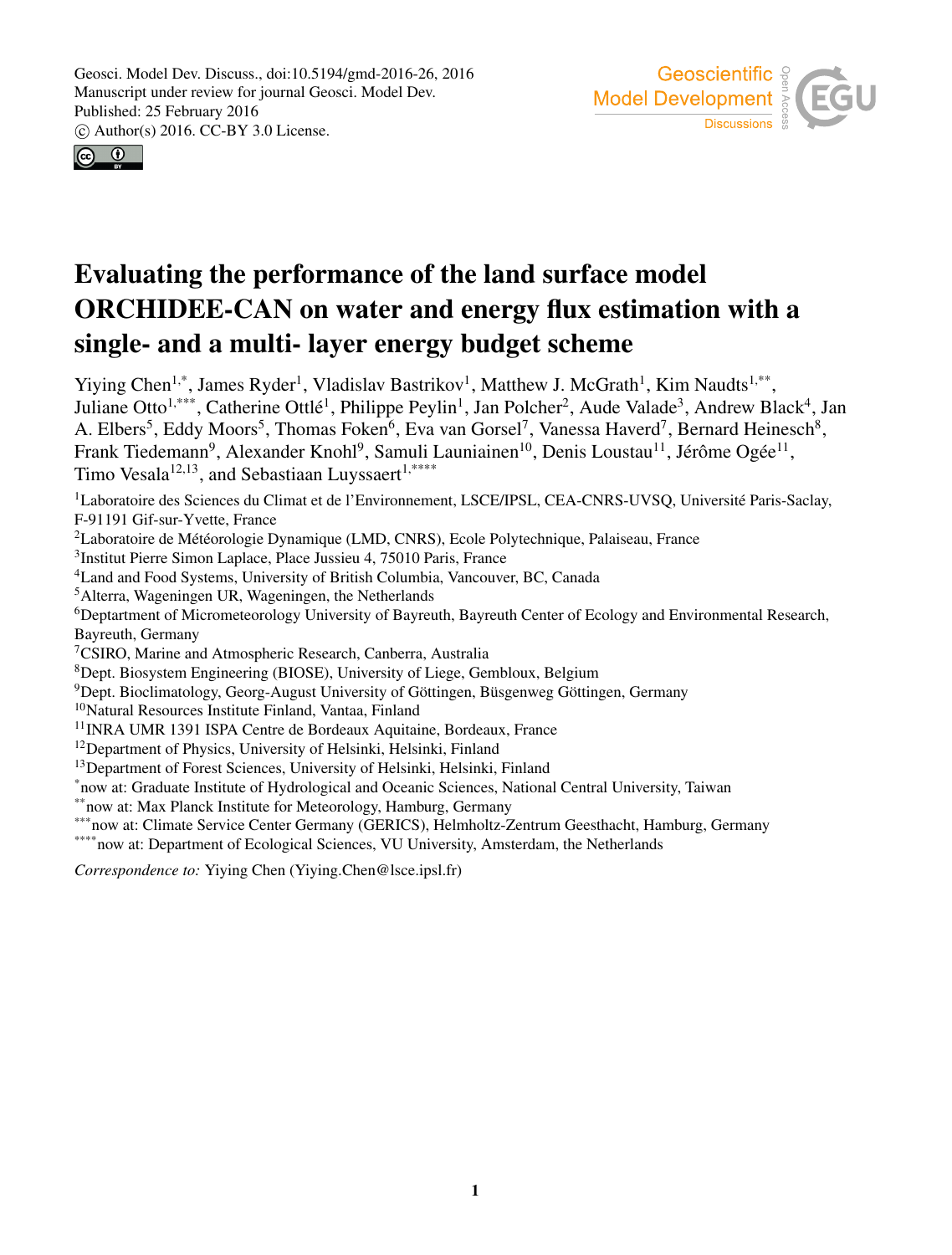



## Evaluating the performance of the land surface model ORCHIDEE-CAN on water and energy flux estimation with a single- and a multi- layer energy budget scheme

Yiying Chen<sup>1,\*</sup>, James Ryder<sup>1</sup>, Vladislav Bastrikov<sup>1</sup>, Matthew J. McGrath<sup>1</sup>, Kim Naudts<sup>1,\*\*</sup>, Juliane Otto<sup>1,\*\*\*</sup>, Catherine Ottlé<sup>1</sup>, Philippe Peylin<sup>1</sup>, Jan Polcher<sup>2</sup>, Aude Valade<sup>3</sup>, Andrew Black<sup>4</sup>, Jan A. Elbers<sup>5</sup>, Eddy Moors<sup>5</sup>, Thomas Foken<sup>6</sup>, Eva van Gorsel<sup>7</sup>, Vanessa Haverd<sup>7</sup>, Bernard Heinesch<sup>8</sup>, Frank Tiedemann<sup>9</sup>, Alexander Knohl<sup>9</sup>, Samuli Launiainen<sup>10</sup>, Denis Loustau<sup>11</sup>, Jérôme Ogée<sup>11</sup>, Timo Vesala<sup>12,13</sup>, and Sebastiaan Luyssaert<sup>1,\*\*\*\*</sup> <sup>1</sup>Laboratoire des Sciences du Climat et de l'Environnement, LSCE/IPSL, CEA-CNRS-UVSQ, Université Paris-Saclay, F-91191 Gif-sur-Yvette, France <sup>2</sup>Laboratoire de Météorologie Dynamique (LMD, CNRS), Ecole Polytechnique, Palaiseau, France 3 Institut Pierre Simon Laplace, Place Jussieu 4, 75010 Paris, France <sup>4</sup>Land and Food Systems, University of British Columbia, Vancouver, BC, Canada <sup>5</sup>Alterra, Wageningen UR, Wageningen, the Netherlands <sup>6</sup>Deptartment of Micrometeorology University of Bayreuth, Bayreuth Center of Ecology and Environmental Research, Bayreuth, Germany <sup>7</sup>CSIRO, Marine and Atmospheric Research, Canberra, Australia <sup>8</sup>Dept. Biosystem Engineering (BIOSE), University of Liege, Gembloux, Belgium <sup>9</sup>Dept. Bioclimatology, Georg-August University of Göttingen, Büsgenweg Göttingen, Germany <sup>10</sup>Natural Resources Institute Finland, Vantaa, Finland <sup>11</sup>INRA UMR 1391 ISPA Centre de Bordeaux Aquitaine, Bordeaux, France <sup>12</sup>Department of Physics, University of Helsinki, Helsinki, Finland <sup>13</sup>Department of Forest Sciences, University of Helsinki, Helsinki, Finland \*now at: Graduate Institute of Hydrological and Oceanic Sciences, National Central University, Taiwan \*\*now at: Max Planck Institute for Meteorology, Hamburg, Germany \*\*\* now at: Climate Service Center Germany (GERICS), Helmholtz-Zentrum Geesthacht, Hamburg, Germany \*\*\*\*\* now at: Department of Ecological Sciences, VU University, Amsterdam, the Netherlands *Correspondence to:* Yiying Chen (Yiying.Chen@lsce.ipsl.fr)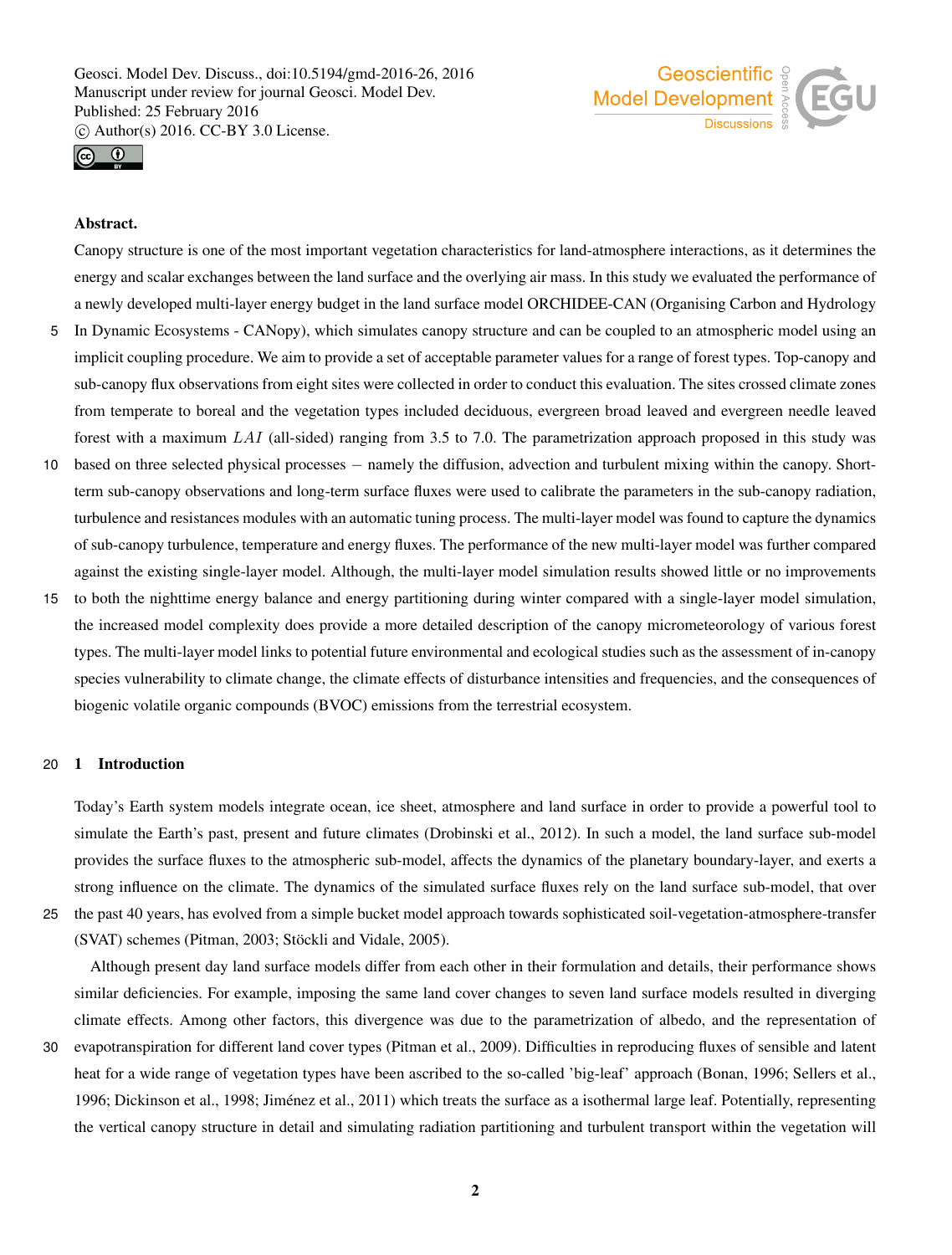



## Abstract.

Canopy structure is one of the most important vegetation characteristics for land-atmosphere interactions, as it determines the energy and scalar exchanges between the land surface and the overlying air mass. In this study we evaluated the performance of a newly developed multi-layer energy budget in the land surface model ORCHIDEE-CAN (Organising Carbon and Hydrology

- 5 In Dynamic Ecosystems CANopy), which simulates canopy structure and can be coupled to an atmospheric model using an implicit coupling procedure. We aim to provide a set of acceptable parameter values for a range of forest types. Top-canopy and sub-canopy flux observations from eight sites were collected in order to conduct this evaluation. The sites crossed climate zones from temperate to boreal and the vegetation types included deciduous, evergreen broad leaved and evergreen needle leaved forest with a maximum  $LAI$  (all-sided) ranging from 3.5 to 7.0. The parametrization approach proposed in this study was
- <sup>10</sup> based on three selected physical processes − namely the diffusion, advection and turbulent mixing within the canopy. Shortterm sub-canopy observations and long-term surface fluxes were used to calibrate the parameters in the sub-canopy radiation, turbulence and resistances modules with an automatic tuning process. The multi-layer model was found to capture the dynamics of sub-canopy turbulence, temperature and energy fluxes. The performance of the new multi-layer model was further compared against the existing single-layer model. Although, the multi-layer model simulation results showed little or no improvements
- 15 to both the nighttime energy balance and energy partitioning during winter compared with a single-layer model simulation, the increased model complexity does provide a more detailed description of the canopy micrometeorology of various forest types. The multi-layer model links to potential future environmental and ecological studies such as the assessment of in-canopy species vulnerability to climate change, the climate effects of disturbance intensities and frequencies, and the consequences of biogenic volatile organic compounds (BVOC) emissions from the terrestrial ecosystem.

#### 20 1 Introduction

Today's Earth system models integrate ocean, ice sheet, atmosphere and land surface in order to provide a powerful tool to simulate the Earth's past, present and future climates (Drobinski et al., 2012). In such a model, the land surface sub-model provides the surface fluxes to the atmospheric sub-model, affects the dynamics of the planetary boundary-layer, and exerts a strong influence on the climate. The dynamics of the simulated surface fluxes rely on the land surface sub-model, that over 25 the past 40 years, has evolved from a simple bucket model approach towards sophisticated soil-vegetation-atmosphere-transfer

(SVAT) schemes (Pitman, 2003; Stöckli and Vidale, 2005).

Although present day land surface models differ from each other in their formulation and details, their performance shows similar deficiencies. For example, imposing the same land cover changes to seven land surface models resulted in diverging climate effects. Among other factors, this divergence was due to the parametrization of albedo, and the representation of

30 evapotranspiration for different land cover types (Pitman et al., 2009). Difficulties in reproducing fluxes of sensible and latent heat for a wide range of vegetation types have been ascribed to the so-called 'big-leaf' approach (Bonan, 1996; Sellers et al., 1996; Dickinson et al., 1998; Jiménez et al., 2011) which treats the surface as a isothermal large leaf. Potentially, representing the vertical canopy structure in detail and simulating radiation partitioning and turbulent transport within the vegetation will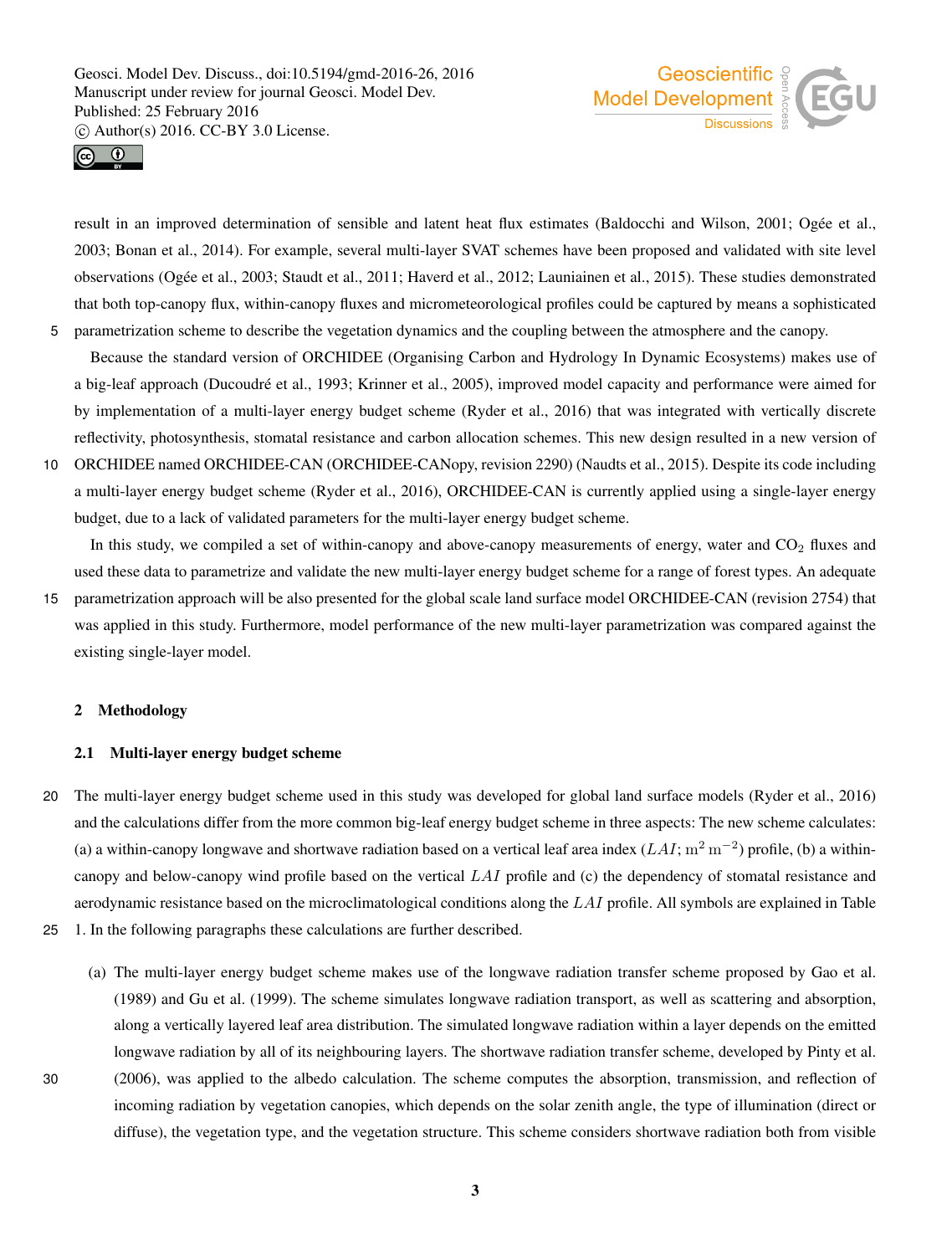



result in an improved determination of sensible and latent heat flux estimates (Baldocchi and Wilson, 2001; Ogée et al., 2003; Bonan et al., 2014). For example, several multi-layer SVAT schemes have been proposed and validated with site level observations (Ogée et al., 2003; Staudt et al., 2011; Haverd et al., 2012; Launiainen et al., 2015). These studies demonstrated that both top-canopy flux, within-canopy fluxes and micrometeorological profiles could be captured by means a sophisticated 5 parametrization scheme to describe the vegetation dynamics and the coupling between the atmosphere and the canopy.

Because the standard version of ORCHIDEE (Organising Carbon and Hydrology In Dynamic Ecosystems) makes use of a big-leaf approach (Ducoudré et al., 1993; Krinner et al., 2005), improved model capacity and performance were aimed for by implementation of a multi-layer energy budget scheme (Ryder et al., 2016) that was integrated with vertically discrete reflectivity, photosynthesis, stomatal resistance and carbon allocation schemes. This new design resulted in a new version of

10 ORCHIDEE named ORCHIDEE-CAN (ORCHIDEE-CANopy, revision 2290) (Naudts et al., 2015). Despite its code including a multi-layer energy budget scheme (Ryder et al., 2016), ORCHIDEE-CAN is currently applied using a single-layer energy budget, due to a lack of validated parameters for the multi-layer energy budget scheme.

In this study, we compiled a set of within-canopy and above-canopy measurements of energy, water and  $CO<sub>2</sub>$  fluxes and used these data to parametrize and validate the new multi-layer energy budget scheme for a range of forest types. An adequate

15 parametrization approach will be also presented for the global scale land surface model ORCHIDEE-CAN (revision 2754) that was applied in this study. Furthermore, model performance of the new multi-layer parametrization was compared against the existing single-layer model.

#### 2 Methodology

#### 2.1 Multi-layer energy budget scheme

- 20 The multi-layer energy budget scheme used in this study was developed for global land surface models (Ryder et al., 2016) and the calculations differ from the more common big-leaf energy budget scheme in three aspects: The new scheme calculates: (a) a within-canopy longwave and shortwave radiation based on a vertical leaf area index ( $LAI$ ;  $m^2 m^{-2}$ ) profile, (b) a withincanopy and below-canopy wind profile based on the vertical LAI profile and (c) the dependency of stomatal resistance and aerodynamic resistance based on the microclimatological conditions along the LAI profile. All symbols are explained in Table
- 25 1. In the following paragraphs these calculations are further described.
- (a) The multi-layer energy budget scheme makes use of the longwave radiation transfer scheme proposed by Gao et al. (1989) and Gu et al. (1999). The scheme simulates longwave radiation transport, as well as scattering and absorption, along a vertically layered leaf area distribution. The simulated longwave radiation within a layer depends on the emitted longwave radiation by all of its neighbouring layers. The shortwave radiation transfer scheme, developed by Pinty et al. 30 (2006), was applied to the albedo calculation. The scheme computes the absorption, transmission, and reflection of incoming radiation by vegetation canopies, which depends on the solar zenith angle, the type of illumination (direct or diffuse), the vegetation type, and the vegetation structure. This scheme considers shortwave radiation both from visible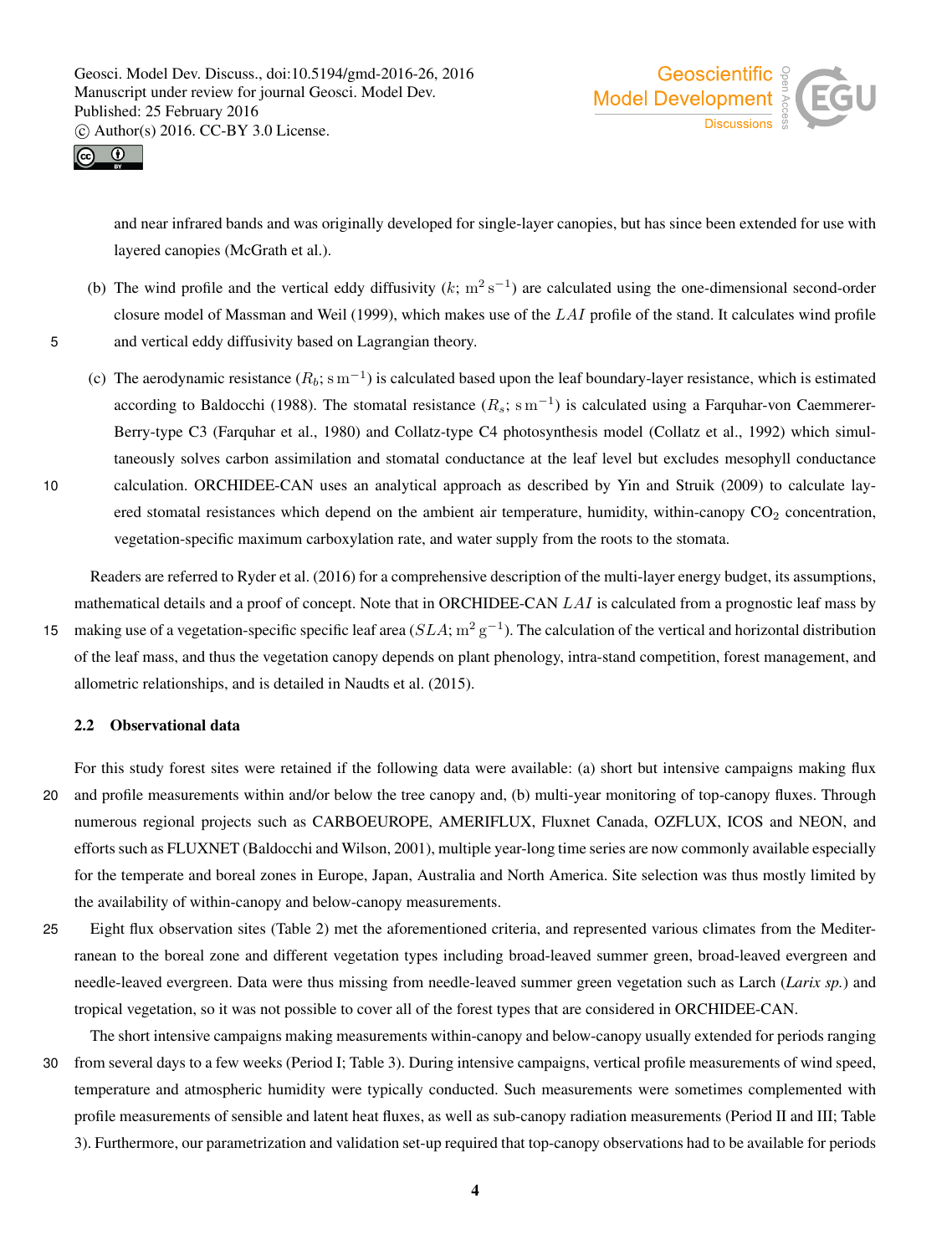



and near infrared bands and was originally developed for single-layer canopies, but has since been extended for use with layered canopies (McGrath et al.).

- (b) The wind profile and the vertical eddy diffusivity  $(k; m^2 s^{-1})$  are calculated using the one-dimensional second-order closure model of Massman and Weil (1999), which makes use of the  $LAI$  profile of the stand. It calculates wind profile 5 and vertical eddy diffusivity based on Lagrangian theory.
- (c) The aerodynamic resistance  $(R_b; \text{sm}^{-1})$  is calculated based upon the leaf boundary-layer resistance, which is estimated according to Baldocchi (1988). The stomatal resistance  $(R_s; \text{ s m}^{-1})$  is calculated using a Farquhar-von Caemmerer-Berry-type C3 (Farquhar et al., 1980) and Collatz-type C4 photosynthesis model (Collatz et al., 1992) which simultaneously solves carbon assimilation and stomatal conductance at the leaf level but excludes mesophyll conductance 10 calculation. ORCHIDEE-CAN uses an analytical approach as described by Yin and Struik (2009) to calculate lay-

vegetation-specific maximum carboxylation rate, and water supply from the roots to the stomata. Readers are referred to Ryder et al. (2016) for a comprehensive description of the multi-layer energy budget, its assumptions,

ered stomatal resistances which depend on the ambient air temperature, humidity, within-canopy  $CO<sub>2</sub>$  concentration,

mathematical details and a proof of concept. Note that in ORCHIDEE-CAN LAI is calculated from a prognostic leaf mass by 15 making use of a vegetation-specific specific leaf area  $(SLA; m^2 g^{-1})$ . The calculation of the vertical and horizontal distribution of the leaf mass, and thus the vegetation canopy depends on plant phenology, intra-stand competition, forest management, and allometric relationships, and is detailed in Naudts et al. (2015).

#### 2.2 Observational data

For this study forest sites were retained if the following data were available: (a) short but intensive campaigns making flux 20 and profile measurements within and/or below the tree canopy and, (b) multi-year monitoring of top-canopy fluxes. Through numerous regional projects such as CARBOEUROPE, AMERIFLUX, Fluxnet Canada, OZFLUX, ICOS and NEON, and efforts such as FLUXNET (Baldocchi and Wilson, 2001), multiple year-long time series are now commonly available especially for the temperate and boreal zones in Europe, Japan, Australia and North America. Site selection was thus mostly limited by the availability of within-canopy and below-canopy measurements.

25 Eight flux observation sites (Table 2) met the aforementioned criteria, and represented various climates from the Mediterranean to the boreal zone and different vegetation types including broad-leaved summer green, broad-leaved evergreen and needle-leaved evergreen. Data were thus missing from needle-leaved summer green vegetation such as Larch (*Larix sp.*) and tropical vegetation, so it was not possible to cover all of the forest types that are considered in ORCHIDEE-CAN.

The short intensive campaigns making measurements within-canopy and below-canopy usually extended for periods ranging 30 from several days to a few weeks (Period I; Table 3). During intensive campaigns, vertical profile measurements of wind speed, temperature and atmospheric humidity were typically conducted. Such measurements were sometimes complemented with profile measurements of sensible and latent heat fluxes, as well as sub-canopy radiation measurements (Period II and III; Table 3). Furthermore, our parametrization and validation set-up required that top-canopy observations had to be available for periods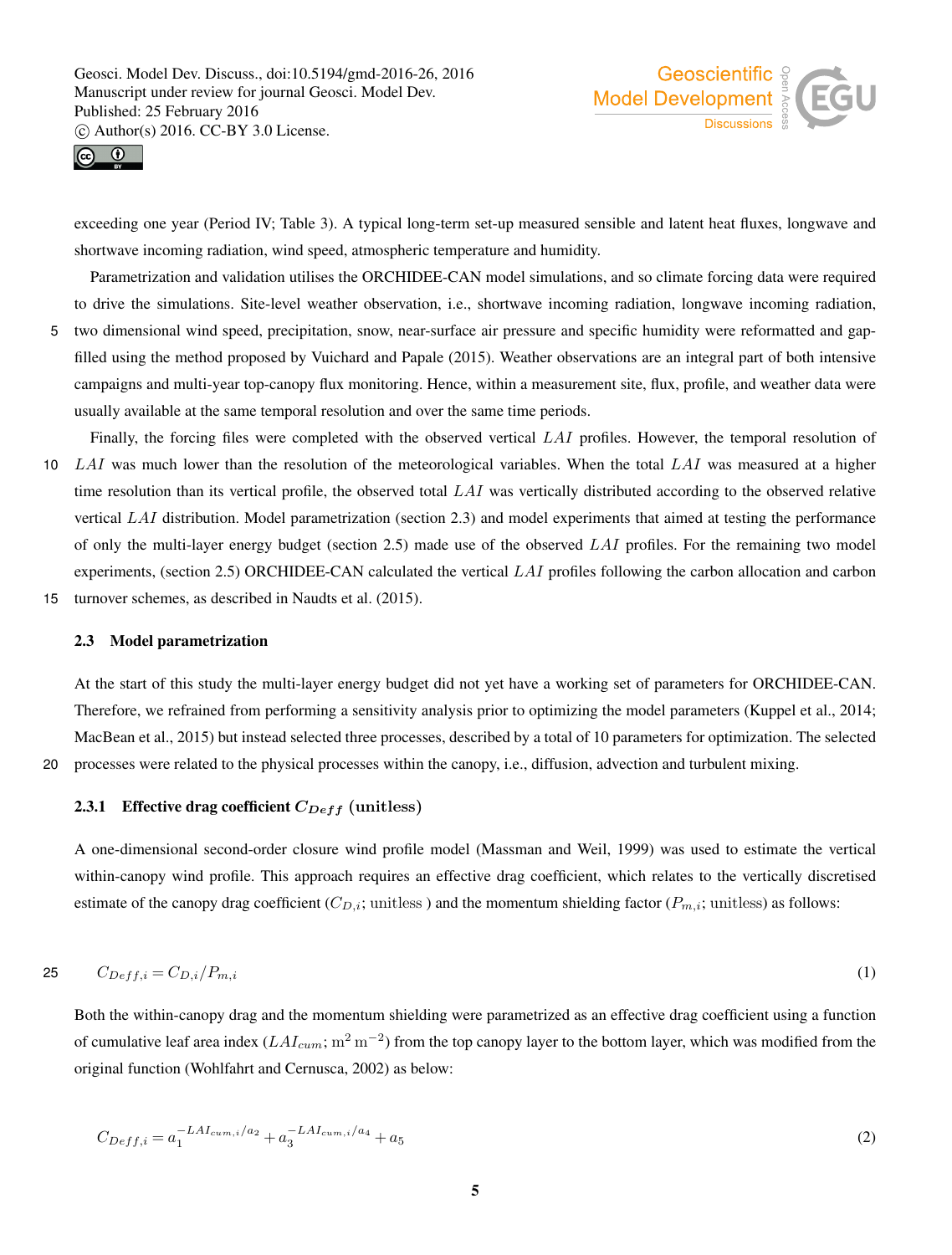



exceeding one year (Period IV; Table 3). A typical long-term set-up measured sensible and latent heat fluxes, longwave and shortwave incoming radiation, wind speed, atmospheric temperature and humidity.

Parametrization and validation utilises the ORCHIDEE-CAN model simulations, and so climate forcing data were required to drive the simulations. Site-level weather observation, i.e., shortwave incoming radiation, longwave incoming radiation,

5 two dimensional wind speed, precipitation, snow, near-surface air pressure and specific humidity were reformatted and gapfilled using the method proposed by Vuichard and Papale (2015). Weather observations are an integral part of both intensive campaigns and multi-year top-canopy flux monitoring. Hence, within a measurement site, flux, profile, and weather data were usually available at the same temporal resolution and over the same time periods.

Finally, the forcing files were completed with the observed vertical LAI profiles. However, the temporal resolution of 10 LAI was much lower than the resolution of the meteorological variables. When the total LAI was measured at a higher time resolution than its vertical profile, the observed total  $LAI$  was vertically distributed according to the observed relative vertical LAI distribution. Model parametrization (section 2.3) and model experiments that aimed at testing the performance of only the multi-layer energy budget (section 2.5) made use of the observed  $LAI$  profiles. For the remaining two model experiments, (section 2.5) ORCHIDEE-CAN calculated the vertical LAI profiles following the carbon allocation and carbon 15 turnover schemes, as described in Naudts et al. (2015).

#### 2.3 Model parametrization

At the start of this study the multi-layer energy budget did not yet have a working set of parameters for ORCHIDEE-CAN. Therefore, we refrained from performing a sensitivity analysis prior to optimizing the model parameters (Kuppel et al., 2014; MacBean et al., 2015) but instead selected three processes, described by a total of 10 parameters for optimization. The selected 20 processes were related to the physical processes within the canopy, i.e., diffusion, advection and turbulent mixing.

#### 2.3.1 Effective drag coefficient  $C_{Def}$  (unitless)

A one-dimensional second-order closure wind profile model (Massman and Weil, 1999) was used to estimate the vertical within-canopy wind profile. This approach requires an effective drag coefficient, which relates to the vertically discretised estimate of the canopy drag coefficient ( $C_{D,i}$ ; unitless) and the momentum shielding factor ( $P_{m,i}$ ; unitless) as follows:

$$
C_{Deff,i} = C_{D,i}/P_{m,i} \tag{1}
$$

Both the within-canopy drag and the momentum shielding were parametrized as an effective drag coefficient using a function of cumulative leaf area index  $(LAI_{cum}; m^2 m^{-2})$  from the top canopy layer to the bottom layer, which was modified from the original function (Wohlfahrt and Cernusca, 2002) as below:

$$
C_{Deff,i} = a_1^{-LAI_{cum,i}/a_2} + a_3^{-LAI_{cum,i}/a_4} + a_5
$$
\n(2)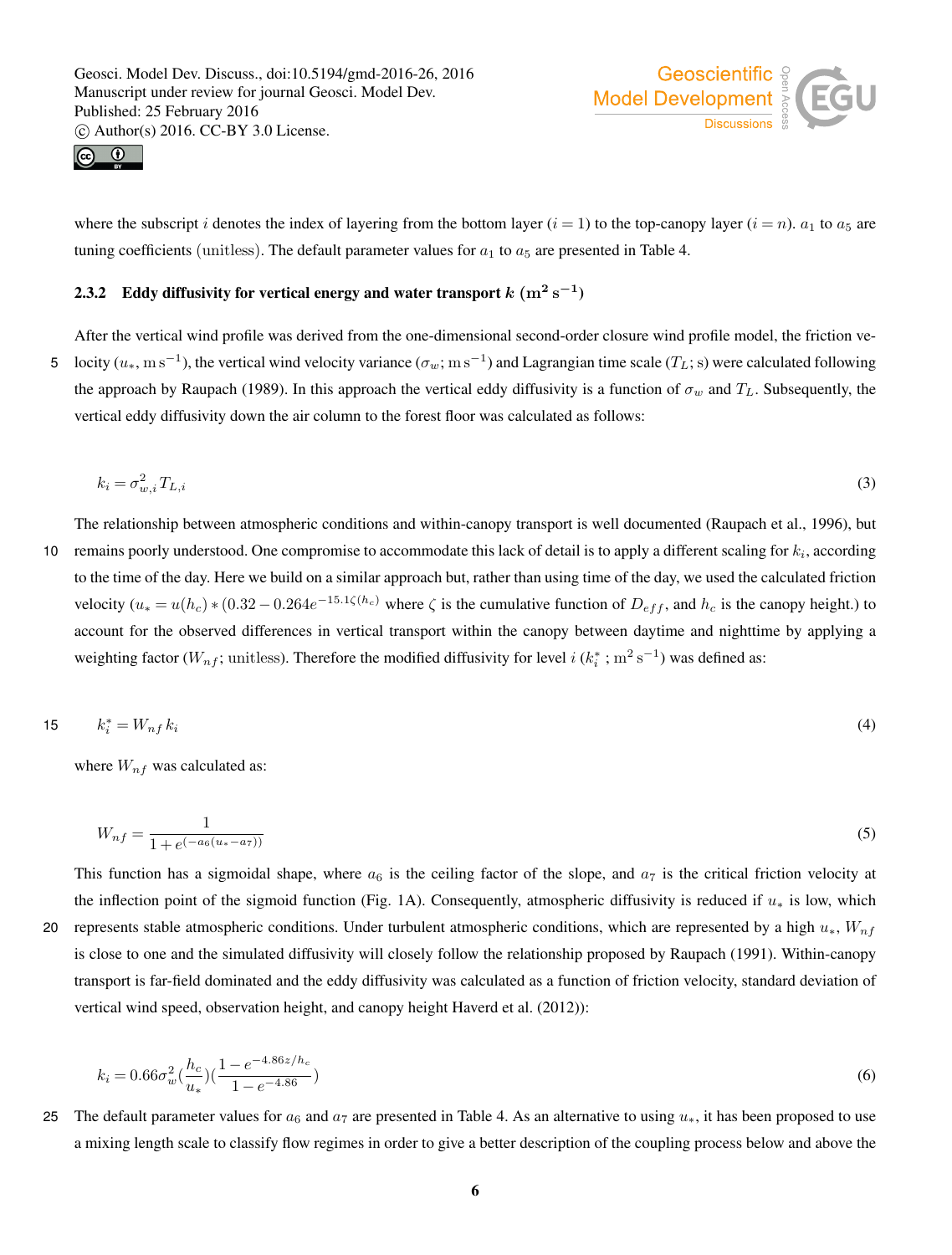



where the subscript i denotes the index of layering from the bottom layer (i = 1) to the top-canopy layer (i = n).  $a_1$  to  $a_5$  are tuning coefficients (unitless). The default parameter values for  $a_1$  to  $a_5$  are presented in Table 4.

## 2.3.2 Eddy diffusivity for vertical energy and water transport  $k~(\mathrm{m^2~s^{-1}})$

After the vertical wind profile was derived from the one-dimensional second-order closure wind profile model, the friction ve-5 locity  $(u_*, \text{m s}^{-1})$ , the vertical wind velocity variance  $(\sigma_w; \text{m s}^{-1})$  and Lagrangian time scale  $(T_L; \text{s})$  were calculated following the approach by Raupach (1989). In this approach the vertical eddy diffusivity is a function of  $\sigma_w$  and  $T_L$ . Subsequently, the vertical eddy diffusivity down the air column to the forest floor was calculated as follows:

$$
k_i = \sigma_{w,i}^2 T_{L,i} \tag{3}
$$

The relationship between atmospheric conditions and within-canopy transport is well documented (Raupach et al., 1996), but 10 remains poorly understood. One compromise to accommodate this lack of detail is to apply a different scaling for  $k_i$ , according to the time of the day. Here we build on a similar approach but, rather than using time of the day, we used the calculated friction velocity  $(u_*=u(h_c)*(0.32-0.264e^{-15.1\zeta(h_c)})$  where  $\zeta$  is the cumulative function of  $D_{eff}$ , and  $h_c$  is the canopy height.) to account for the observed differences in vertical transport within the canopy between daytime and nighttime by applying a weighting factor ( $W_{nf}$ ; unitless). Therefore the modified diffusivity for level  $i$  ( $k_i^*$ ; m<sup>2</sup> s<sup>-1</sup>) was defined as:

$$
15 \t k_i^* = W_{nf} k_i \t (4)
$$

where  $W_{nf}$  was calculated as:

$$
W_{nf} = \frac{1}{1 + e^{(-a_6(u_* - a_7))}}
$$
(5)

This function has a sigmoidal shape, where  $a_6$  is the ceiling factor of the slope, and  $a_7$  is the critical friction velocity at the inflection point of the sigmoid function (Fig. 1A). Consequently, atmospheric diffusivity is reduced if  $u_*$  is low, which 20 represents stable atmospheric conditions. Under turbulent atmospheric conditions, which are represented by a high  $u_*, W_{nf}$ is close to one and the simulated diffusivity will closely follow the relationship proposed by Raupach (1991). Within-canopy transport is far-field dominated and the eddy diffusivity was calculated as a function of friction velocity, standard deviation of vertical wind speed, observation height, and canopy height Haverd et al. (2012)):

$$
k_i = 0.66\sigma_w^2 \left(\frac{h_c}{u_*}\right) \left(\frac{1 - e^{-4.86z/h_c}}{1 - e^{-4.86}}\right) \tag{6}
$$

25 The default parameter values for  $a_6$  and  $a_7$  are presented in Table 4. As an alternative to using  $u_*$ , it has been proposed to use a mixing length scale to classify flow regimes in order to give a better description of the coupling process below and above the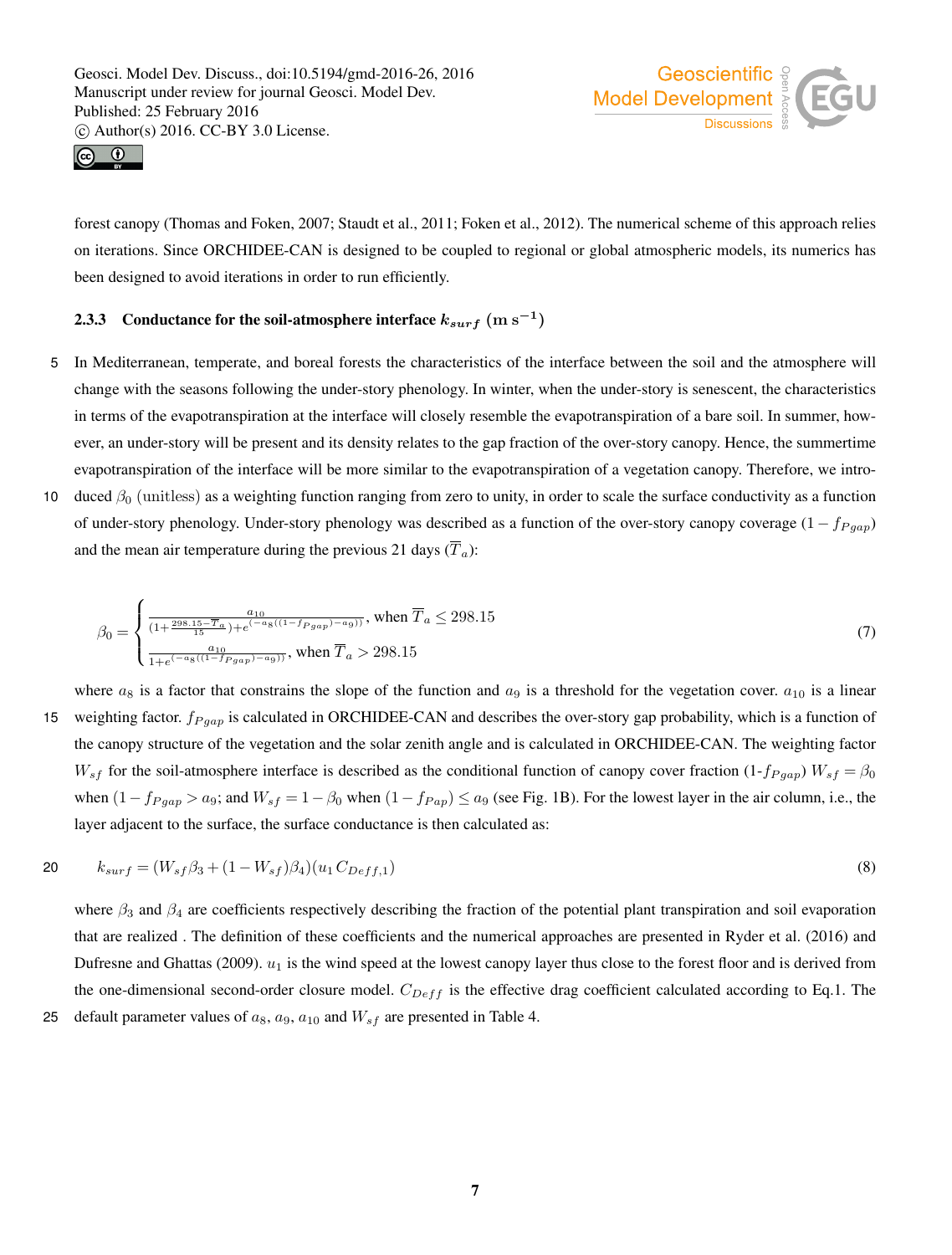



forest canopy (Thomas and Foken, 2007; Staudt et al., 2011; Foken et al., 2012). The numerical scheme of this approach relies on iterations. Since ORCHIDEE-CAN is designed to be coupled to regional or global atmospheric models, its numerics has been designed to avoid iterations in order to run efficiently.

## 2.3.3 Conductance for the soil-atmosphere interface  $k_{surf}~({\rm m~s^{-1}})$

- 5 In Mediterranean, temperate, and boreal forests the characteristics of the interface between the soil and the atmosphere will change with the seasons following the under-story phenology. In winter, when the under-story is senescent, the characteristics in terms of the evapotranspiration at the interface will closely resemble the evapotranspiration of a bare soil. In summer, however, an under-story will be present and its density relates to the gap fraction of the over-story canopy. Hence, the summertime evapotranspiration of the interface will be more similar to the evapotranspiration of a vegetation canopy. Therefore, we intro-
- 10 duced  $\beta_0$  (unitless) as a weighting function ranging from zero to unity, in order to scale the surface conductivity as a function of under-story phenology. Under-story phenology was described as a function of the over-story canopy coverage  $(1 - f_{Pgap})$ and the mean air temperature during the previous 21 days  $(\overline{T}_a)$ :

$$
\beta_0 = \begin{cases} \frac{a_{10}}{(1 + \frac{298.15 - \overline{T}_a}{15}) + e^{(-a_8((1 - f_{Pgap}) - a_9))}}, \text{ when } \overline{T}_a \le 298.15\\ \frac{a_{10}}{1 + e^{(-a_8((1 - f_{Pgap}) - a_9))}}, \text{ when } \overline{T}_a > 298.15 \end{cases}
$$
(7)

where  $a_8$  is a factor that constrains the slope of the function and  $a_9$  is a threshold for the vegetation cover.  $a_{10}$  is a linear 15 weighting factor.  $f_{P gap}$  is calculated in ORCHIDEE-CAN and describes the over-story gap probability, which is a function of the canopy structure of the vegetation and the solar zenith angle and is calculated in ORCHIDEE-CAN. The weighting factor  $W_{sf}$  for the soil-atmosphere interface is described as the conditional function of canopy cover fraction (1- $f_{P gap}$ )  $W_{sf} = \beta_0$ when  $(1-f_{Pgap} > a_9$ ; and  $W_{sf} = 1-\beta_0$  when  $(1-f_{Pap}) \le a_9$  (see Fig. 1B). For the lowest layer in the air column, i.e., the layer adjacent to the surface, the surface conductance is then calculated as:

20 
$$
k_{surf} = (W_{sf}\beta_3 + (1 - W_{sf})\beta_4)(u_1 C_{Deff,1})
$$
\n(8)

where  $\beta_3$  and  $\beta_4$  are coefficients respectively describing the fraction of the potential plant transpiration and soil evaporation that are realized . The definition of these coefficients and the numerical approaches are presented in Ryder et al. (2016) and Dufresne and Ghattas (2009).  $u_1$  is the wind speed at the lowest canopy layer thus close to the forest floor and is derived from the one-dimensional second-order closure model.  $C_{Def}$  is the effective drag coefficient calculated according to Eq.1. The

25 default parameter values of  $a_8$ ,  $a_9$ ,  $a_{10}$  and  $W_{sf}$  are presented in Table 4.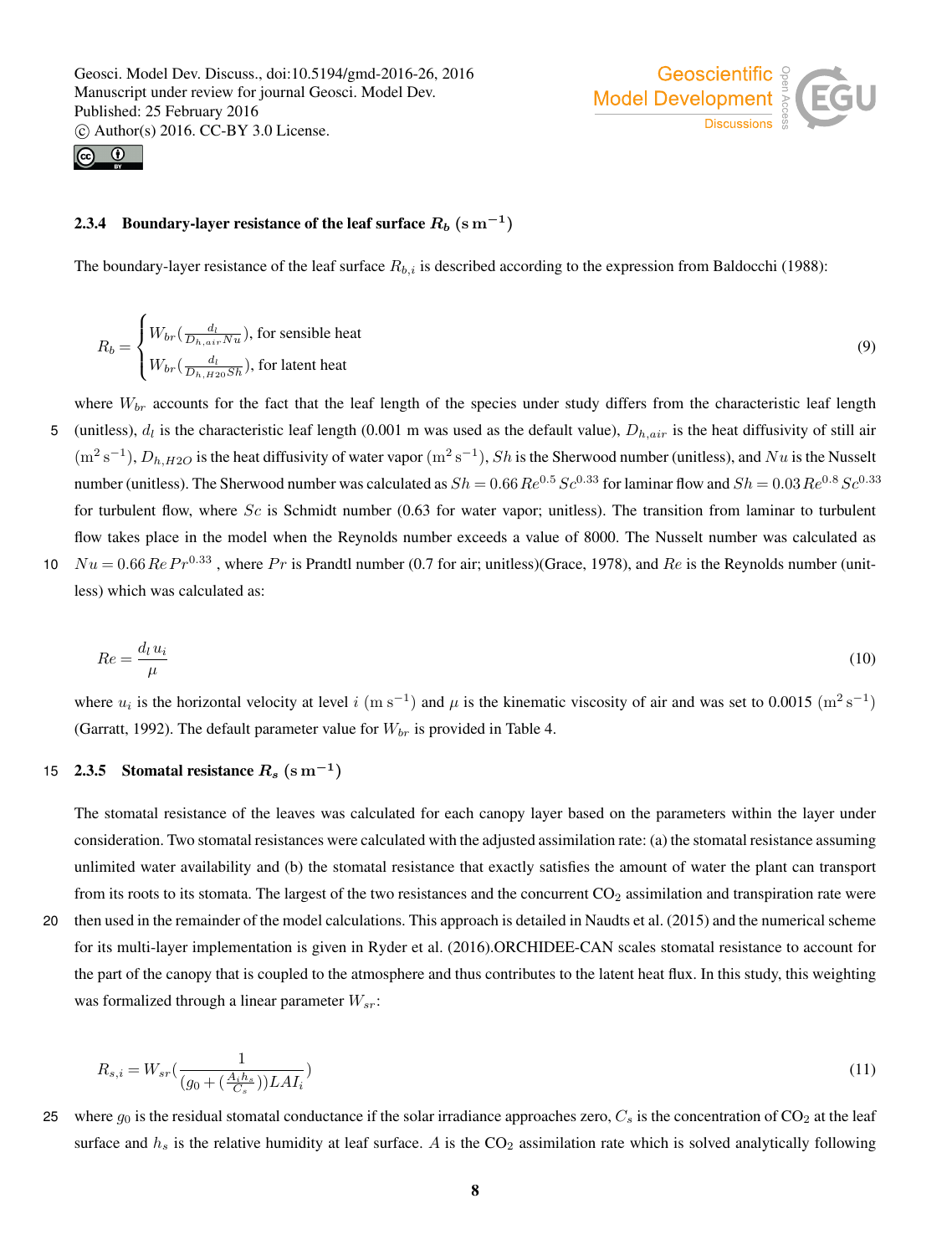



## 2.3.4 Boundary-layer resistance of the leaf surface  $R_b~({\rm s\,m^{-1}})$

The boundary-layer resistance of the leaf surface  $R_{b,i}$  is described according to the expression from Baldocchi (1988):

$$
R_b = \begin{cases} W_{br}(\frac{d_l}{D_{h,air}Nu}), \text{ for sensible heat} \\ W_{br}(\frac{d_l}{D_{h, H20}Sh}), \text{ for latent heat} \end{cases}
$$
(9)

where  $W_{br}$  accounts for the fact that the leaf length of the species under study differs from the characteristic leaf length 5 (unitless),  $d_l$  is the characteristic leaf length (0.001 m was used as the default value),  $D_{h,air}$  is the heat diffusivity of still air  $(m^2 s^{-1})$ ,  $D_{h,H2O}$  is the heat diffusivity of water vapor  $(m^2 s^{-1})$ ,  $Sh$  is the Sherwood number (unitless), and  $Nu$  is the Nusselt number (unitless). The Sherwood number was calculated as  $Sh = 0.66 Re^{0.5} Sc^{0.33}$  for laminar flow and  $Sh = 0.03 Re^{0.8} Sc^{0.33}$ for turbulent flow, where  $Sc$  is Schmidt number (0.63 for water vapor; unitless). The transition from laminar to turbulent flow takes place in the model when the Reynolds number exceeds a value of 8000. The Nusselt number was calculated as 10  $Nu = 0.66$   $Re Pr^{0.33}$ , where  $Pr$  is Prandtl number (0.7 for air; unitless)(Grace, 1978), and  $Re$  is the Reynolds number (unit-

less) which was calculated as:

$$
Re = \frac{d_l u_i}{\mu} \tag{10}
$$

where  $u_i$  is the horizontal velocity at level i (m s<sup>-1</sup>) and  $\mu$  is the kinematic viscosity of air and was set to 0.0015 (m<sup>2</sup> s<sup>-1</sup>) (Garratt, 1992). The default parameter value for  $W_{br}$  is provided in Table 4.

## 15 2.3.5 Stomatal resistance  $R_s$  (s  $\mathrm{m}^{-1}$ )

The stomatal resistance of the leaves was calculated for each canopy layer based on the parameters within the layer under consideration. Two stomatal resistances were calculated with the adjusted assimilation rate: (a) the stomatal resistance assuming unlimited water availability and (b) the stomatal resistance that exactly satisfies the amount of water the plant can transport from its roots to its stomata. The largest of the two resistances and the concurrent  $CO<sub>2</sub>$  assimilation and transpiration rate were

20 then used in the remainder of the model calculations. This approach is detailed in Naudts et al. (2015) and the numerical scheme for its multi-layer implementation is given in Ryder et al. (2016).ORCHIDEE-CAN scales stomatal resistance to account for the part of the canopy that is coupled to the atmosphere and thus contributes to the latent heat flux. In this study, this weighting was formalized through a linear parameter  $W_{sr}$ :

$$
R_{s,i} = W_{sr}(\frac{1}{(g_0 + (\frac{A_i h_s}{C_s}))LAI_i})
$$
\n(11)

25 where  $g_0$  is the residual stomatal conductance if the solar irradiance approaches zero,  $C_s$  is the concentration of CO<sub>2</sub> at the leaf surface and  $h_s$  is the relative humidity at leaf surface. A is the  $CO_2$  assimilation rate which is solved analytically following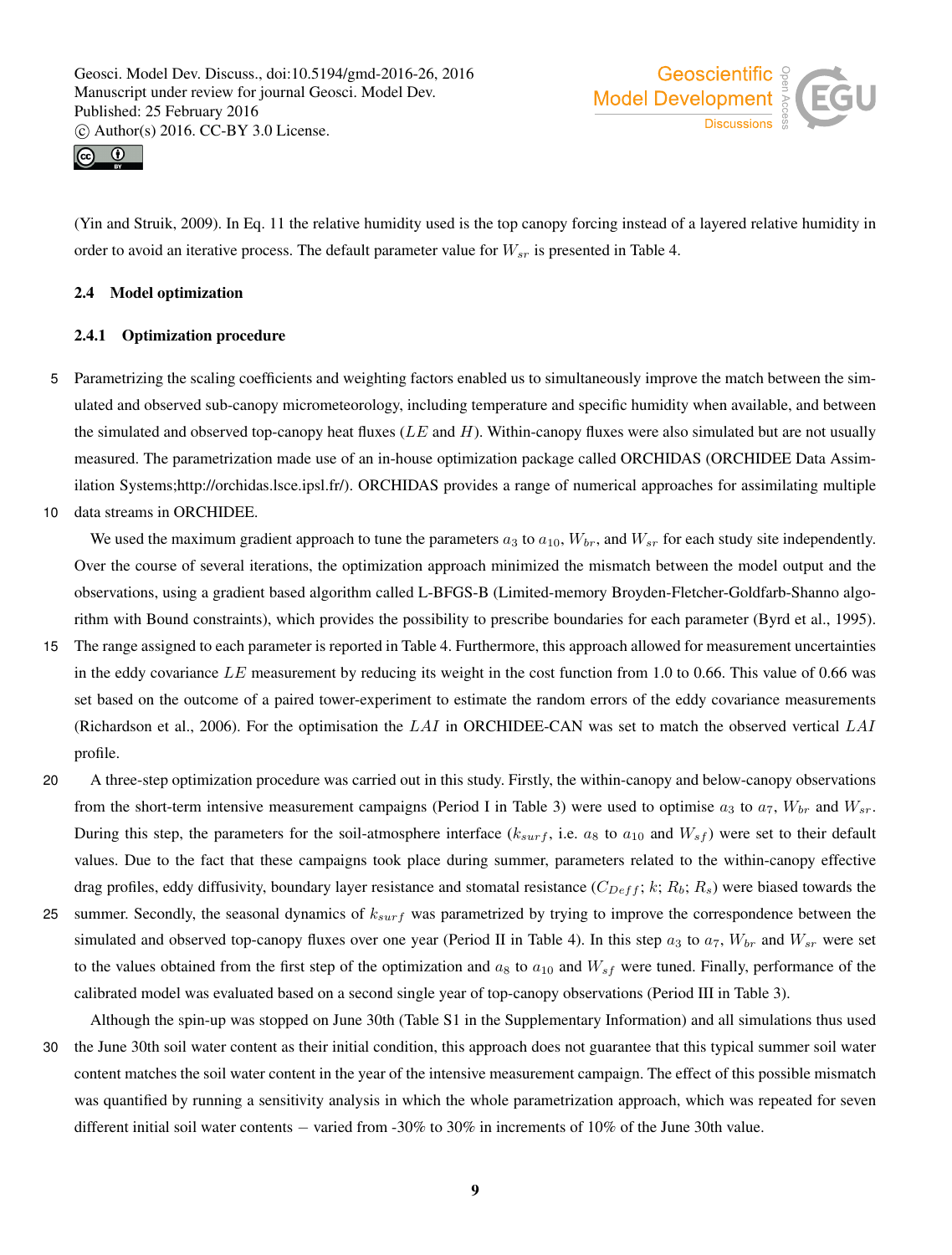



(Yin and Struik, 2009). In Eq. 11 the relative humidity used is the top canopy forcing instead of a layered relative humidity in order to avoid an iterative process. The default parameter value for  $W_{sr}$  is presented in Table 4.

#### 2.4 Model optimization

#### 2.4.1 Optimization procedure

- 5 Parametrizing the scaling coefficients and weighting factors enabled us to simultaneously improve the match between the simulated and observed sub-canopy micrometeorology, including temperature and specific humidity when available, and between the simulated and observed top-canopy heat fluxes ( $LE$  and  $H$ ). Within-canopy fluxes were also simulated but are not usually measured. The parametrization made use of an in-house optimization package called ORCHIDAS (ORCHIDEE Data Assimilation Systems;http://orchidas.lsce.ipsl.fr/). ORCHIDAS provides a range of numerical approaches for assimilating multiple
- 10 data streams in ORCHIDEE.

We used the maximum gradient approach to tune the parameters  $a_3$  to  $a_{10}$ ,  $W_{br}$ , and  $W_{sr}$  for each study site independently. Over the course of several iterations, the optimization approach minimized the mismatch between the model output and the observations, using a gradient based algorithm called L-BFGS-B (Limited-memory Broyden-Fletcher-Goldfarb-Shanno algorithm with Bound constraints), which provides the possibility to prescribe boundaries for each parameter (Byrd et al., 1995).

- 15 The range assigned to each parameter is reported in Table 4. Furthermore, this approach allowed for measurement uncertainties in the eddy covariance LE measurement by reducing its weight in the cost function from 1.0 to 0.66. This value of 0.66 was set based on the outcome of a paired tower-experiment to estimate the random errors of the eddy covariance measurements (Richardson et al., 2006). For the optimisation the  $LAI$  in ORCHIDEE-CAN was set to match the observed vertical  $LAI$ profile.
- 20 A three-step optimization procedure was carried out in this study. Firstly, the within-canopy and below-canopy observations from the short-term intensive measurement campaigns (Period I in Table 3) were used to optimise  $a_3$  to  $a_7$ ,  $W_{br}$  and  $W_{sr}$ . During this step, the parameters for the soil-atmosphere interface ( $k_{surf}$ , i.e.  $a_8$  to  $a_{10}$  and  $W_{sf}$ ) were set to their default values. Due to the fact that these campaigns took place during summer, parameters related to the within-canopy effective drag profiles, eddy diffusivity, boundary layer resistance and stomatal resistance  $(C_{Def} f; k; R_b; R_s)$  were biased towards the
- 25 summer. Secondly, the seasonal dynamics of  $k_{surf}$  was parametrized by trying to improve the correspondence between the simulated and observed top-canopy fluxes over one year (Period II in Table 4). In this step  $a_3$  to  $a_7$ ,  $W_{br}$  and  $W_{sr}$  were set to the values obtained from the first step of the optimization and  $a_8$  to  $a_{10}$  and  $W_{sf}$  were tuned. Finally, performance of the calibrated model was evaluated based on a second single year of top-canopy observations (Period III in Table 3).

Although the spin-up was stopped on June 30th (Table S1 in the Supplementary Information) and all simulations thus used 30 the June 30th soil water content as their initial condition, this approach does not guarantee that this typical summer soil water content matches the soil water content in the year of the intensive measurement campaign. The effect of this possible mismatch was quantified by running a sensitivity analysis in which the whole parametrization approach, which was repeated for seven different initial soil water contents − varied from -30% to 30% in increments of 10% of the June 30th value.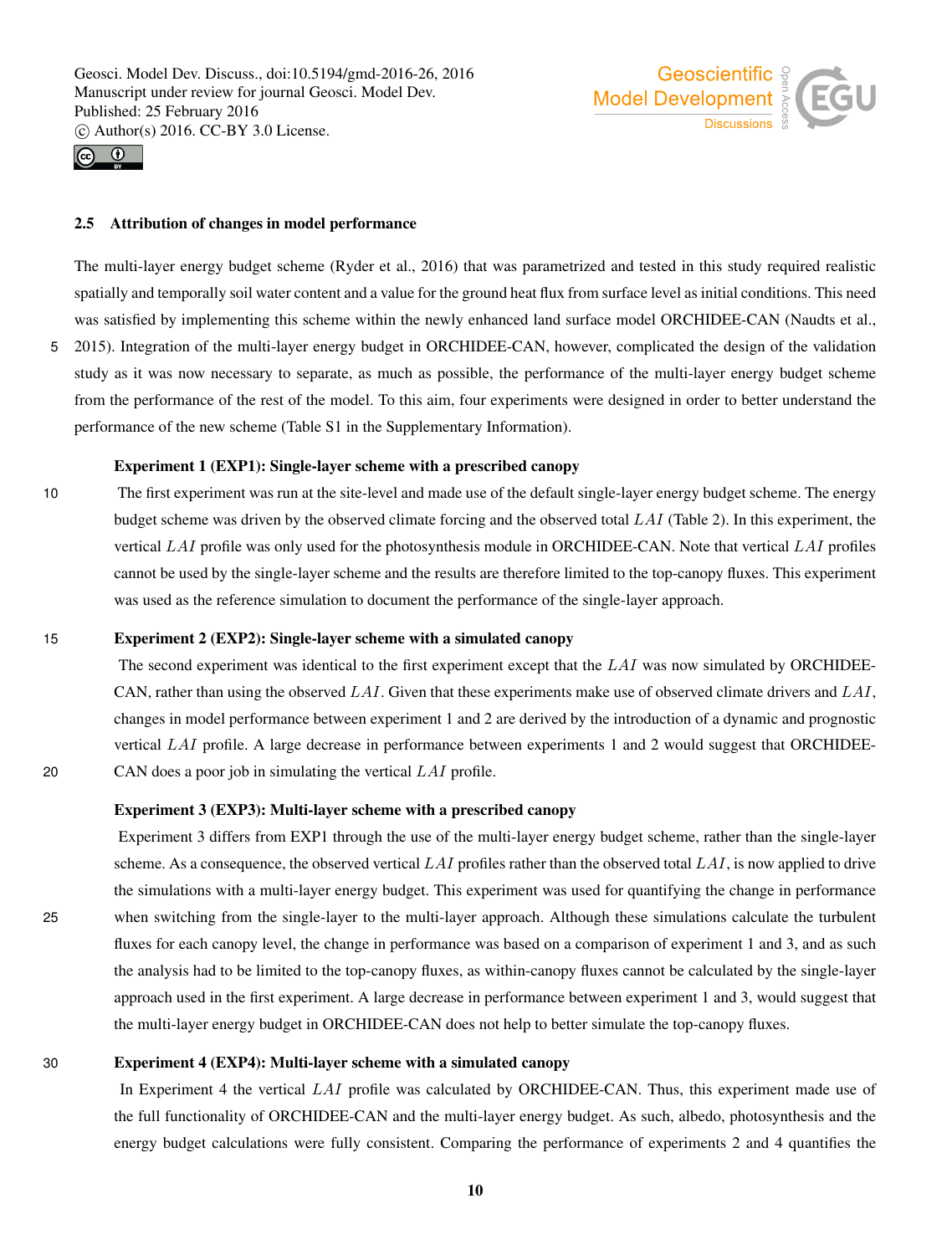

# Geoscientific 9 Model Development  $\frac{3}{8}$

#### 2.5 Attribution of changes in model performance

The multi-layer energy budget scheme (Ryder et al., 2016) that was parametrized and tested in this study required realistic spatially and temporally soil water content and a value for the ground heat flux from surface level as initial conditions. This need was satisfied by implementing this scheme within the newly enhanced land surface model ORCHIDEE-CAN (Naudts et al., 5 2015). Integration of the multi-layer energy budget in ORCHIDEE-CAN, however, complicated the design of the validation study as it was now necessary to separate, as much as possible, the performance of the multi-layer energy budget scheme from the performance of the rest of the model. To this aim, four experiments were designed in order to better understand the performance of the new scheme (Table S1 in the Supplementary Information).

#### Experiment 1 (EXP1): Single-layer scheme with a prescribed canopy

10 The first experiment was run at the site-level and made use of the default single-layer energy budget scheme. The energy budget scheme was driven by the observed climate forcing and the observed total  $LAI$  (Table 2). In this experiment, the vertical LAI profile was only used for the photosynthesis module in ORCHIDEE-CAN. Note that vertical LAI profiles cannot be used by the single-layer scheme and the results are therefore limited to the top-canopy fluxes. This experiment was used as the reference simulation to document the performance of the single-layer approach.

#### 15 Experiment 2 (EXP2): Single-layer scheme with a simulated canopy

The second experiment was identical to the first experiment except that the LAI was now simulated by ORCHIDEE-CAN, rather than using the observed LAI. Given that these experiments make use of observed climate drivers and LAI, changes in model performance between experiment 1 and 2 are derived by the introduction of a dynamic and prognostic vertical LAI profile. A large decrease in performance between experiments 1 and 2 would suggest that ORCHIDEE-20 CAN does a poor job in simulating the vertical LAI profile.

#### Experiment 3 (EXP3): Multi-layer scheme with a prescribed canopy

Experiment 3 differs from EXP1 through the use of the multi-layer energy budget scheme, rather than the single-layer scheme. As a consequence, the observed vertical  $LAI$  profiles rather than the observed total  $LAI$ , is now applied to drive the simulations with a multi-layer energy budget. This experiment was used for quantifying the change in performance 25 when switching from the single-layer to the multi-layer approach. Although these simulations calculate the turbulent fluxes for each canopy level, the change in performance was based on a comparison of experiment 1 and 3, and as such the analysis had to be limited to the top-canopy fluxes, as within-canopy fluxes cannot be calculated by the single-layer approach used in the first experiment. A large decrease in performance between experiment 1 and 3, would suggest that the multi-layer energy budget in ORCHIDEE-CAN does not help to better simulate the top-canopy fluxes.

#### 30 Experiment 4 (EXP4): Multi-layer scheme with a simulated canopy

In Experiment 4 the vertical LAI profile was calculated by ORCHIDEE-CAN. Thus, this experiment made use of the full functionality of ORCHIDEE-CAN and the multi-layer energy budget. As such, albedo, photosynthesis and the energy budget calculations were fully consistent. Comparing the performance of experiments 2 and 4 quantifies the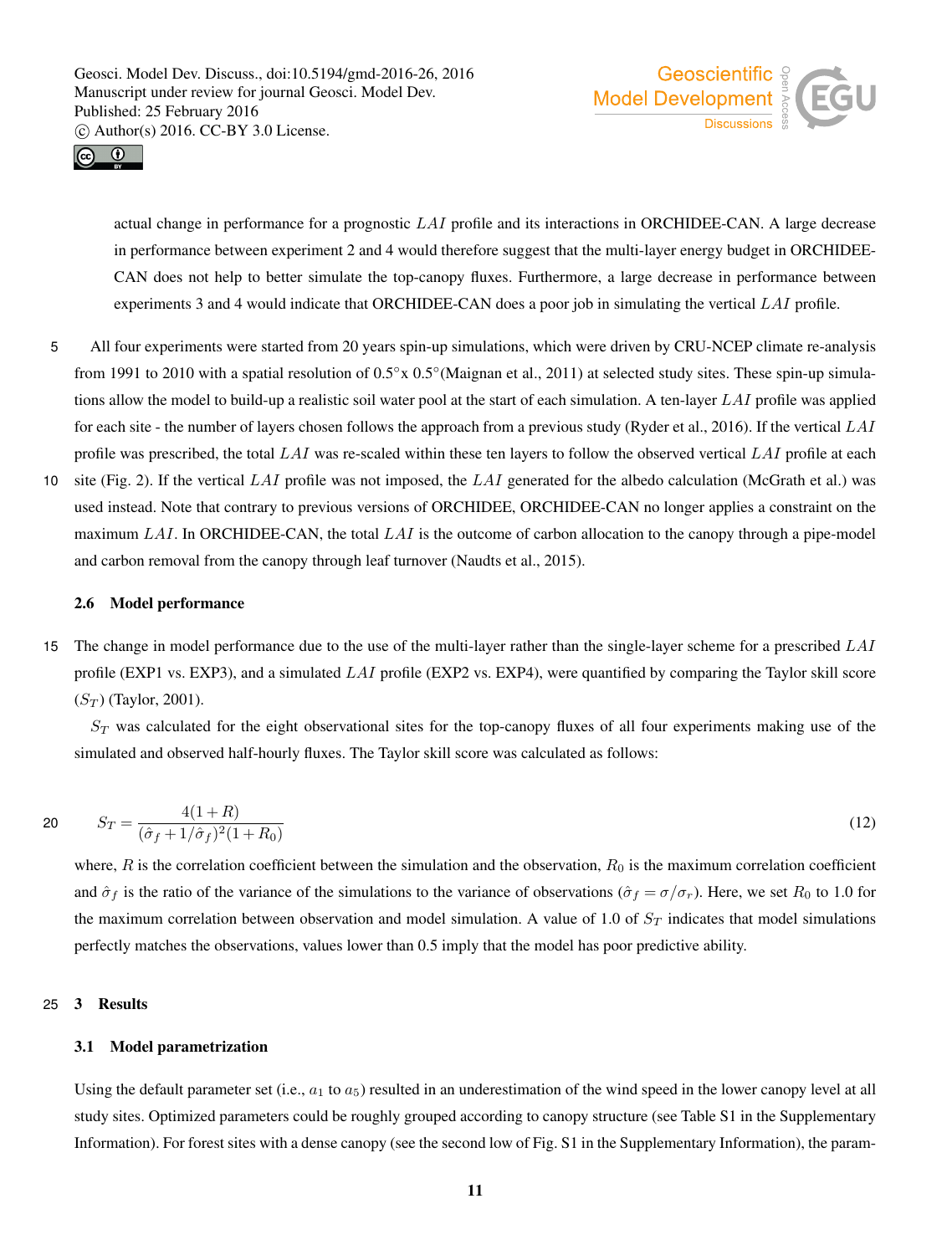



actual change in performance for a prognostic LAI profile and its interactions in ORCHIDEE-CAN. A large decrease in performance between experiment 2 and 4 would therefore suggest that the multi-layer energy budget in ORCHIDEE-CAN does not help to better simulate the top-canopy fluxes. Furthermore, a large decrease in performance between experiments 3 and 4 would indicate that ORCHIDEE-CAN does a poor job in simulating the vertical LAI profile.

- 5 All four experiments were started from 20 years spin-up simulations, which were driven by CRU-NCEP climate re-analysis from 1991 to 2010 with a spatial resolution of  $0.5° \times 0.5°$  (Maignan et al., 2011) at selected study sites. These spin-up simulations allow the model to build-up a realistic soil water pool at the start of each simulation. A ten-layer  $LAI$  profile was applied for each site - the number of layers chosen follows the approach from a previous study (Ryder et al., 2016). If the vertical  $LAI$ profile was prescribed, the total LAI was re-scaled within these ten layers to follow the observed vertical LAI profile at each
- 10 site (Fig. 2). If the vertical LAI profile was not imposed, the LAI generated for the albedo calculation (McGrath et al.) was used instead. Note that contrary to previous versions of ORCHIDEE, ORCHIDEE-CAN no longer applies a constraint on the maximum LAI. In ORCHIDEE-CAN, the total  $LAI$  is the outcome of carbon allocation to the canopy through a pipe-model and carbon removal from the canopy through leaf turnover (Naudts et al., 2015).

#### 2.6 Model performance

15 The change in model performance due to the use of the multi-layer rather than the single-layer scheme for a prescribed LAI profile (EXP1 vs. EXP3), and a simulated  $LAI$  profile (EXP2 vs. EXP4), were quantified by comparing the Taylor skill score  $(S_T)$  (Taylor, 2001).

 $S_T$  was calculated for the eight observational sites for the top-canopy fluxes of all four experiments making use of the simulated and observed half-hourly fluxes. The Taylor skill score was calculated as follows:

20 
$$
S_T = \frac{4(1+R)}{(\hat{\sigma}_f + 1/\hat{\sigma}_f)^2(1+R_0)}
$$
(12)

where,  $R$  is the correlation coefficient between the simulation and the observation,  $R_0$  is the maximum correlation coefficient and  $\hat{\sigma}_f$  is the ratio of the variance of the simulations to the variance of observations ( $\hat{\sigma}_f = \sigma/\sigma_r$ ). Here, we set  $R_0$  to 1.0 for the maximum correlation between observation and model simulation. A value of 1.0 of  $S_T$  indicates that model simulations perfectly matches the observations, values lower than 0.5 imply that the model has poor predictive ability.

#### 25 3 Results

#### 3.1 Model parametrization

Using the default parameter set (i.e.,  $a_1$  to  $a_5$ ) resulted in an underestimation of the wind speed in the lower canopy level at all study sites. Optimized parameters could be roughly grouped according to canopy structure (see Table S1 in the Supplementary Information). For forest sites with a dense canopy (see the second low of Fig. S1 in the Supplementary Information), the param-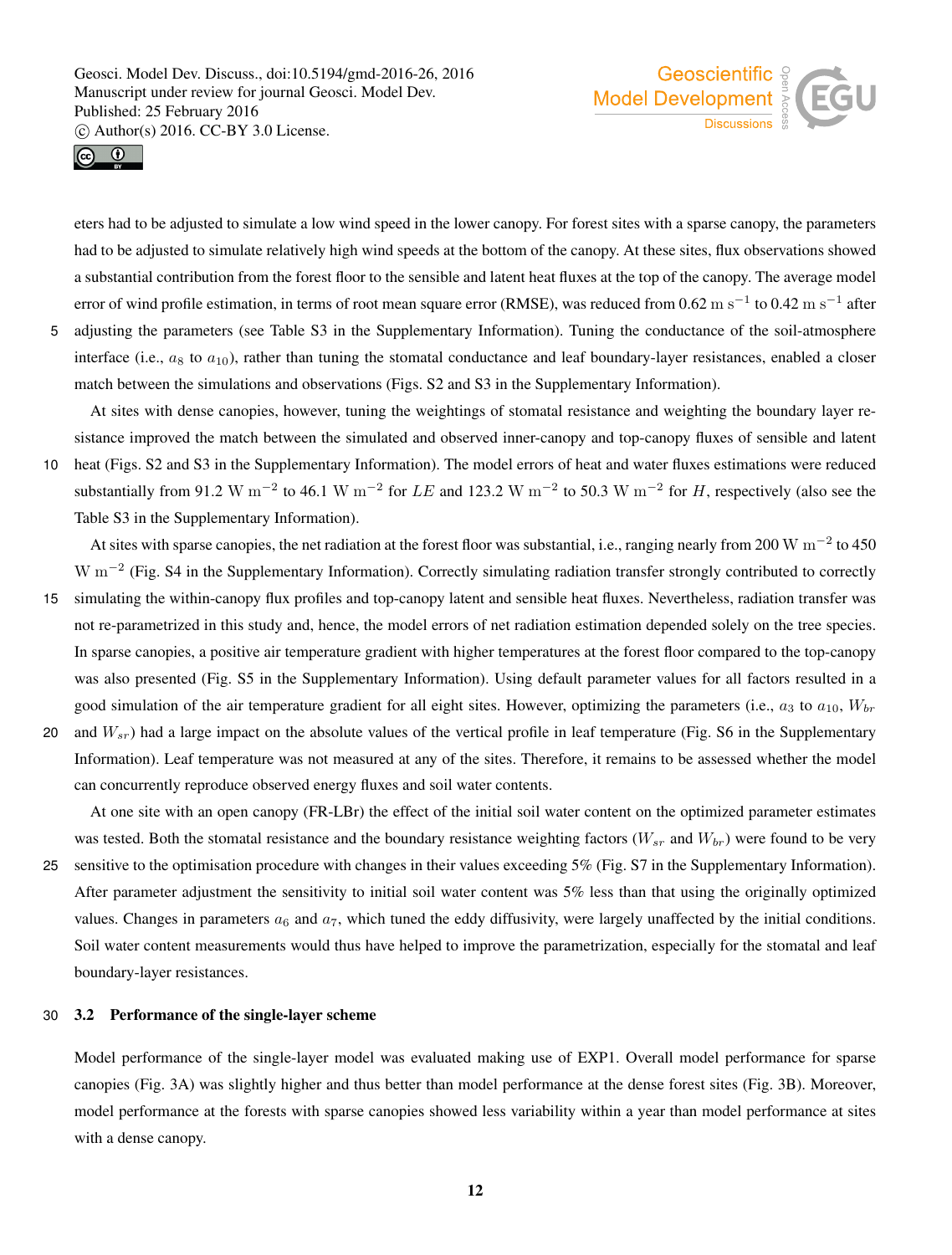



eters had to be adjusted to simulate a low wind speed in the lower canopy. For forest sites with a sparse canopy, the parameters had to be adjusted to simulate relatively high wind speeds at the bottom of the canopy. At these sites, flux observations showed a substantial contribution from the forest floor to the sensible and latent heat fluxes at the top of the canopy. The average model error of wind profile estimation, in terms of root mean square error (RMSE), was reduced from 0.62 m s<sup>-1</sup> to 0.42 m s<sup>-1</sup> after 5 adjusting the parameters (see Table S3 in the Supplementary Information). Tuning the conductance of the soil-atmosphere interface (i.e.,  $a_8$  to  $a_{10}$ ), rather than tuning the stomatal conductance and leaf boundary-layer resistances, enabled a closer match between the simulations and observations (Figs. S2 and S3 in the Supplementary Information).

At sites with dense canopies, however, tuning the weightings of stomatal resistance and weighting the boundary layer resistance improved the match between the simulated and observed inner-canopy and top-canopy fluxes of sensible and latent

10 heat (Figs. S2 and S3 in the Supplementary Information). The model errors of heat and water fluxes estimations were reduced substantially from 91.2 W m<sup>-2</sup> to 46.1 W m<sup>-2</sup> for LE and 123.2 W m<sup>-2</sup> to 50.3 W m<sup>-2</sup> for H, respectively (also see the Table S3 in the Supplementary Information).

At sites with sparse canopies, the net radiation at the forest floor was substantial, i.e., ranging nearly from 200 W  $\rm m^{-2}$  to 450  $W$  m<sup>-2</sup> (Fig. S4 in the Supplementary Information). Correctly simulating radiation transfer strongly contributed to correctly

- 15 simulating the within-canopy flux profiles and top-canopy latent and sensible heat fluxes. Nevertheless, radiation transfer was not re-parametrized in this study and, hence, the model errors of net radiation estimation depended solely on the tree species. In sparse canopies, a positive air temperature gradient with higher temperatures at the forest floor compared to the top-canopy was also presented (Fig. S5 in the Supplementary Information). Using default parameter values for all factors resulted in a good simulation of the air temperature gradient for all eight sites. However, optimizing the parameters (i.e.,  $a_3$  to  $a_{10}$ ,  $W_{br}$
- 20 and  $W_{sr}$ ) had a large impact on the absolute values of the vertical profile in leaf temperature (Fig. S6 in the Supplementary Information). Leaf temperature was not measured at any of the sites. Therefore, it remains to be assessed whether the model can concurrently reproduce observed energy fluxes and soil water contents.

At one site with an open canopy (FR-LBr) the effect of the initial soil water content on the optimized parameter estimates was tested. Both the stomatal resistance and the boundary resistance weighting factors  $(W_{sr}$  and  $W_{br}$ ) were found to be very 25 sensitive to the optimisation procedure with changes in their values exceeding 5% (Fig. S7 in the Supplementary Information). After parameter adjustment the sensitivity to initial soil water content was 5% less than that using the originally optimized values. Changes in parameters  $a_6$  and  $a_7$ , which tuned the eddy diffusivity, were largely unaffected by the initial conditions. Soil water content measurements would thus have helped to improve the parametrization, especially for the stomatal and leaf boundary-layer resistances.

#### 30 3.2 Performance of the single-layer scheme

Model performance of the single-layer model was evaluated making use of EXP1. Overall model performance for sparse canopies (Fig. 3A) was slightly higher and thus better than model performance at the dense forest sites (Fig. 3B). Moreover, model performance at the forests with sparse canopies showed less variability within a year than model performance at sites with a dense canopy.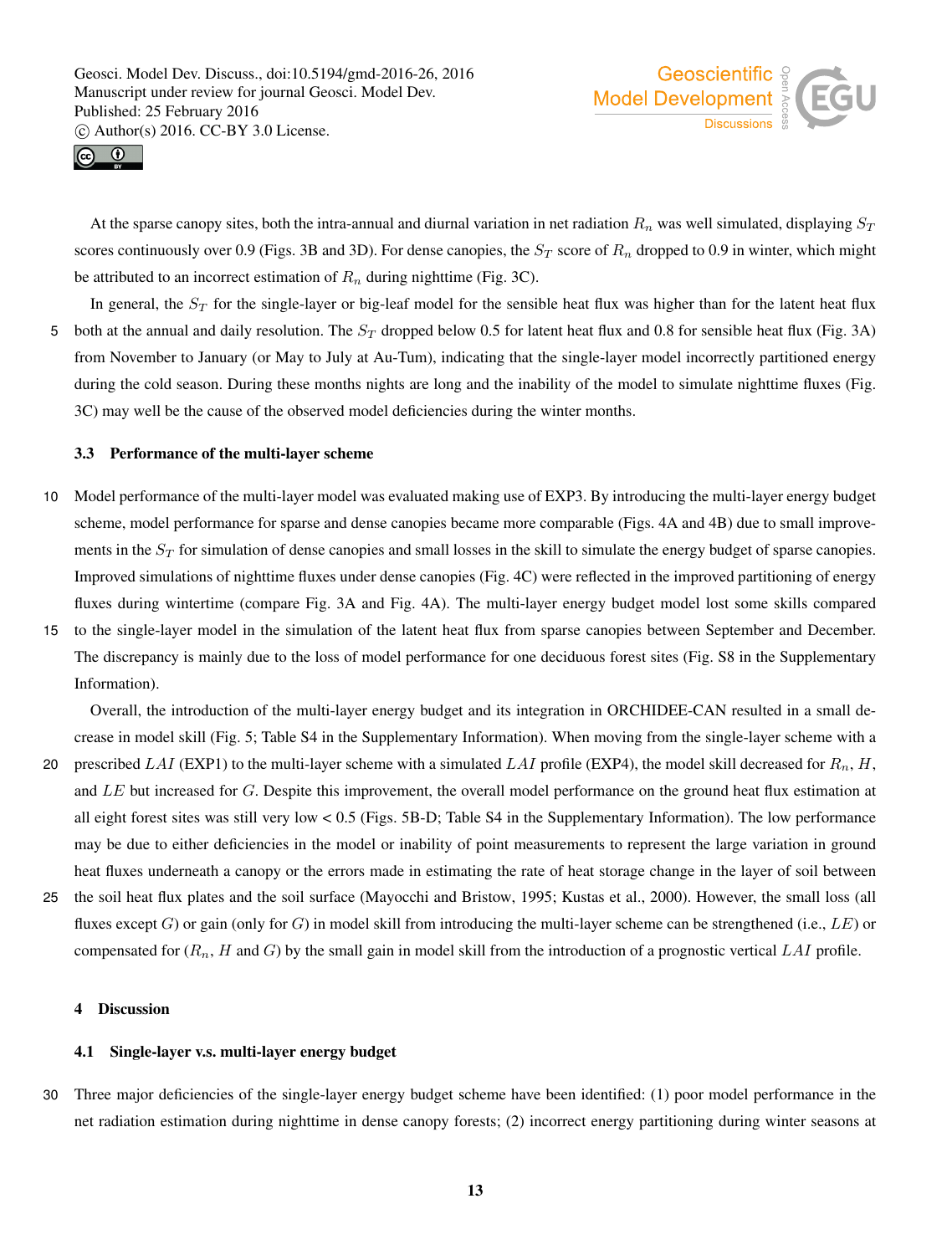



At the sparse canopy sites, both the intra-annual and diurnal variation in net radiation  $R_n$  was well simulated, displaying  $S_T$ scores continuously over 0.9 (Figs. 3B and 3D). For dense canopies, the  $S_T$  score of  $R_n$  dropped to 0.9 in winter, which might be attributed to an incorrect estimation of  $R_n$  during nighttime (Fig. 3C).

In general, the  $S_T$  for the single-layer or big-leaf model for the sensible heat flux was higher than for the latent heat flux 5 both at the annual and daily resolution. The  $S_T$  dropped below 0.5 for latent heat flux and 0.8 for sensible heat flux (Fig. 3A) from November to January (or May to July at Au-Tum), indicating that the single-layer model incorrectly partitioned energy during the cold season. During these months nights are long and the inability of the model to simulate nighttime fluxes (Fig. 3C) may well be the cause of the observed model deficiencies during the winter months.

#### 3.3 Performance of the multi-layer scheme

- 10 Model performance of the multi-layer model was evaluated making use of EXP3. By introducing the multi-layer energy budget scheme, model performance for sparse and dense canopies became more comparable (Figs. 4A and 4B) due to small improvements in the  $S_T$  for simulation of dense canopies and small losses in the skill to simulate the energy budget of sparse canopies. Improved simulations of nighttime fluxes under dense canopies (Fig. 4C) were reflected in the improved partitioning of energy fluxes during wintertime (compare Fig. 3A and Fig. 4A). The multi-layer energy budget model lost some skills compared
- 15 to the single-layer model in the simulation of the latent heat flux from sparse canopies between September and December. The discrepancy is mainly due to the loss of model performance for one deciduous forest sites (Fig. S8 in the Supplementary Information).

Overall, the introduction of the multi-layer energy budget and its integration in ORCHIDEE-CAN resulted in a small decrease in model skill (Fig. 5; Table S4 in the Supplementary Information). When moving from the single-layer scheme with a

- 20 prescribed LAI (EXP1) to the multi-layer scheme with a simulated LAI profile (EXP4), the model skill decreased for  $R_n$ , H, and LE but increased for G. Despite this improvement, the overall model performance on the ground heat flux estimation at all eight forest sites was still very low < 0.5 (Figs. 5B-D; Table S4 in the Supplementary Information). The low performance may be due to either deficiencies in the model or inability of point measurements to represent the large variation in ground heat fluxes underneath a canopy or the errors made in estimating the rate of heat storage change in the layer of soil between
- 25 the soil heat flux plates and the soil surface (Mayocchi and Bristow, 1995; Kustas et al., 2000). However, the small loss (all fluxes except G) or gain (only for G) in model skill from introducing the multi-layer scheme can be strengthened (i.e.,  $LE$ ) or compensated for  $(R_n, H$  and G) by the small gain in model skill from the introduction of a prognostic vertical LAI profile.

#### 4 Discussion

#### 4.1 Single-layer v.s. multi-layer energy budget

30 Three major deficiencies of the single-layer energy budget scheme have been identified: (1) poor model performance in the net radiation estimation during nighttime in dense canopy forests; (2) incorrect energy partitioning during winter seasons at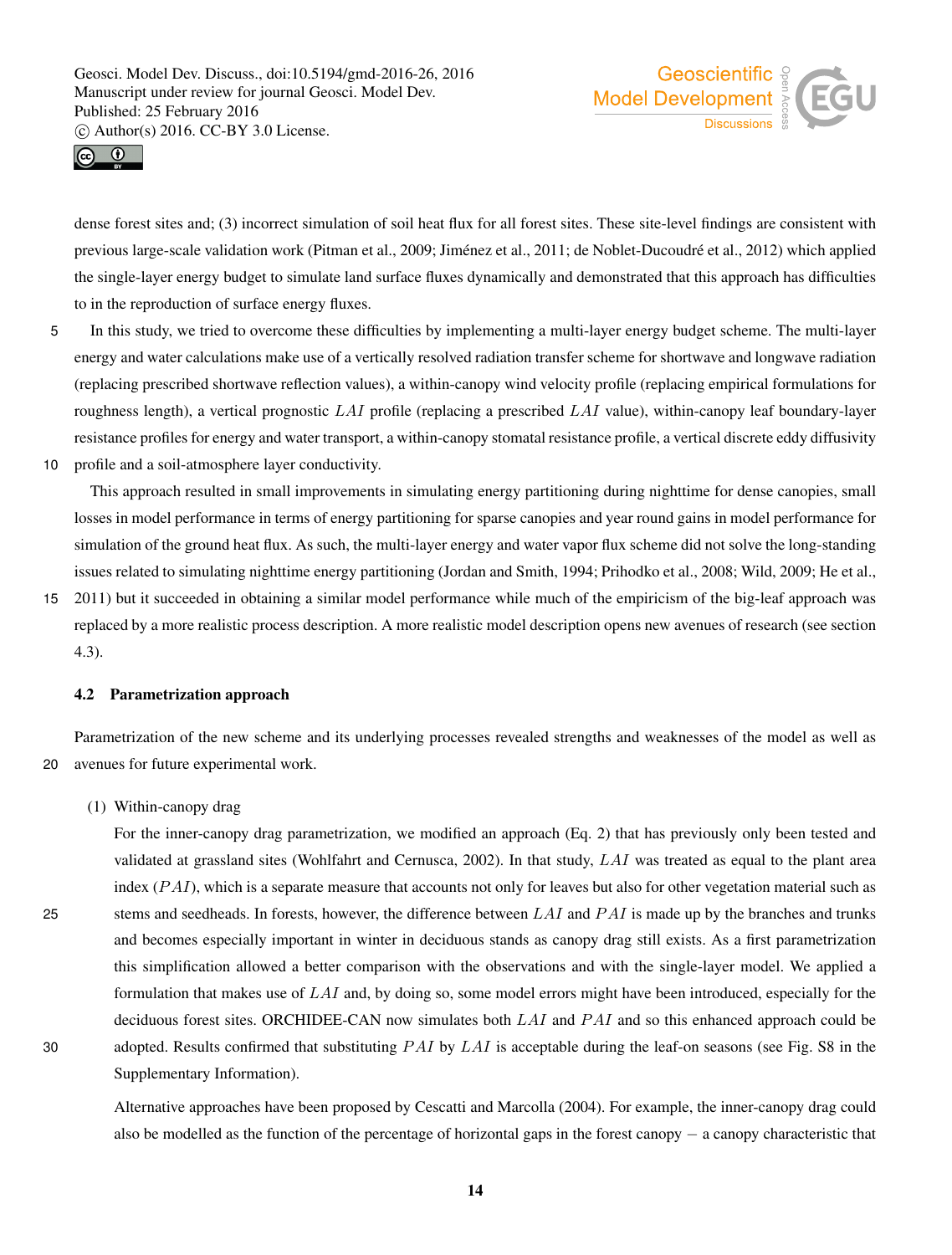



dense forest sites and; (3) incorrect simulation of soil heat flux for all forest sites. These site-level findings are consistent with previous large-scale validation work (Pitman et al., 2009; Jiménez et al., 2011; de Noblet-Ducoudré et al., 2012) which applied the single-layer energy budget to simulate land surface fluxes dynamically and demonstrated that this approach has difficulties to in the reproduction of surface energy fluxes.

- 5 In this study, we tried to overcome these difficulties by implementing a multi-layer energy budget scheme. The multi-layer energy and water calculations make use of a vertically resolved radiation transfer scheme for shortwave and longwave radiation (replacing prescribed shortwave reflection values), a within-canopy wind velocity profile (replacing empirical formulations for roughness length), a vertical prognostic  $LAI$  profile (replacing a prescribed  $LAI$  value), within-canopy leaf boundary-layer resistance profiles for energy and water transport, a within-canopy stomatal resistance profile, a vertical discrete eddy diffusivity
- 10 profile and a soil-atmosphere layer conductivity.

This approach resulted in small improvements in simulating energy partitioning during nighttime for dense canopies, small losses in model performance in terms of energy partitioning for sparse canopies and year round gains in model performance for simulation of the ground heat flux. As such, the multi-layer energy and water vapor flux scheme did not solve the long-standing issues related to simulating nighttime energy partitioning (Jordan and Smith, 1994; Prihodko et al., 2008; Wild, 2009; He et al.,

15 2011) but it succeeded in obtaining a similar model performance while much of the empiricism of the big-leaf approach was replaced by a more realistic process description. A more realistic model description opens new avenues of research (see section 4.3).

#### 4.2 Parametrization approach

Parametrization of the new scheme and its underlying processes revealed strengths and weaknesses of the model as well as 20 avenues for future experimental work.

(1) Within-canopy drag

For the inner-canopy drag parametrization, we modified an approach (Eq. 2) that has previously only been tested and validated at grassland sites (Wohlfahrt and Cernusca, 2002). In that study, LAI was treated as equal to the plant area index  $(PAI)$ , which is a separate measure that accounts not only for leaves but also for other vegetation material such as 25 stems and seedheads. In forests, however, the difference between  $LAI$  and  $PAI$  is made up by the branches and trunks and becomes especially important in winter in deciduous stands as canopy drag still exists. As a first parametrization this simplification allowed a better comparison with the observations and with the single-layer model. We applied a formulation that makes use of  $LAI$  and, by doing so, some model errors might have been introduced, especially for the deciduous forest sites. ORCHIDEE-CAN now simulates both  $LAI$  and  $PAI$  and so this enhanced approach could be 30 adopted. Results confirmed that substituting  $PAI$  by  $LAI$  is acceptable during the leaf-on seasons (see Fig. S8 in the Supplementary Information).

Alternative approaches have been proposed by Cescatti and Marcolla (2004). For example, the inner-canopy drag could also be modelled as the function of the percentage of horizontal gaps in the forest canopy − a canopy characteristic that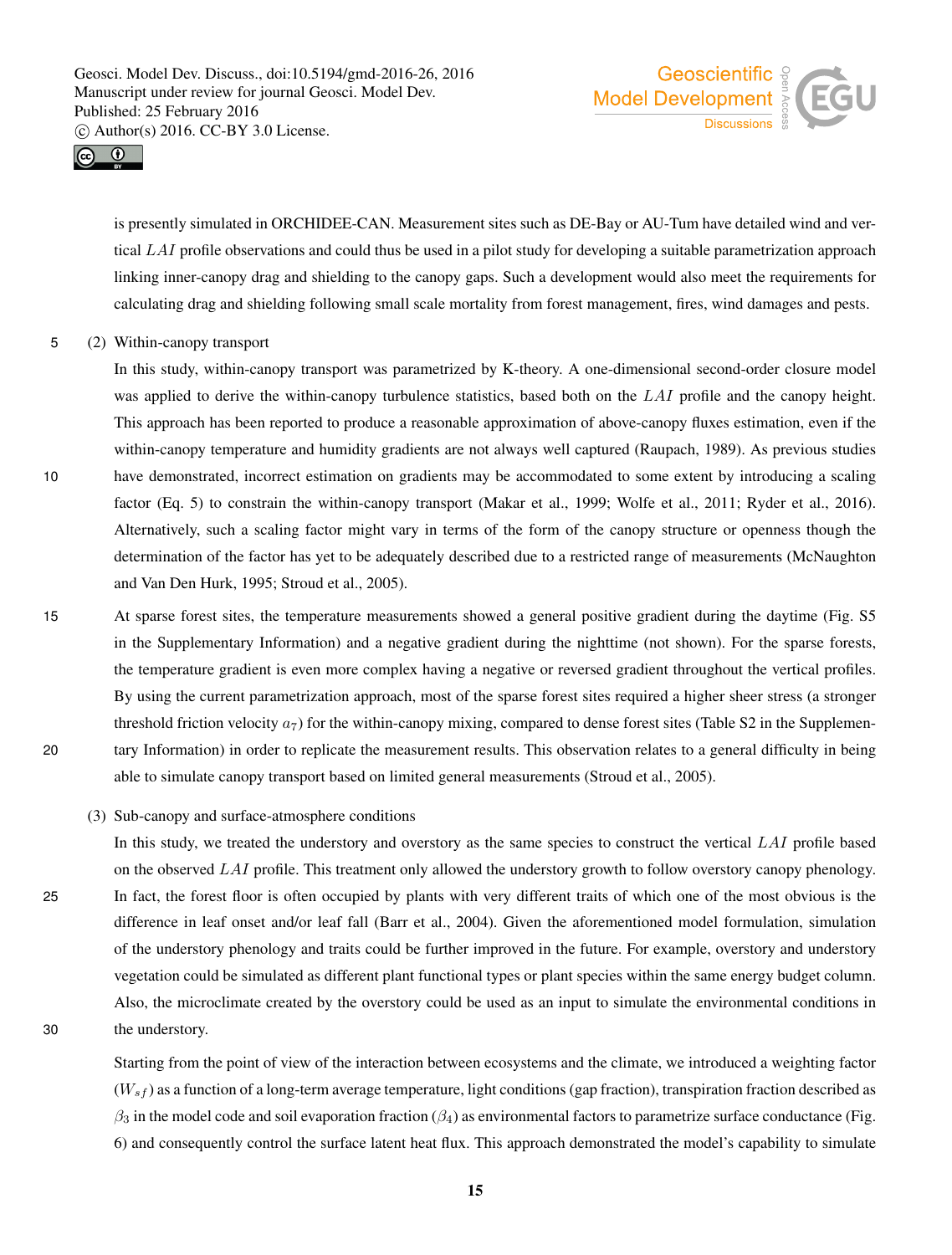



is presently simulated in ORCHIDEE-CAN. Measurement sites such as DE-Bay or AU-Tum have detailed wind and vertical LAI profile observations and could thus be used in a pilot study for developing a suitable parametrization approach linking inner-canopy drag and shielding to the canopy gaps. Such a development would also meet the requirements for calculating drag and shielding following small scale mortality from forest management, fires, wind damages and pests.

5 (2) Within-canopy transport

In this study, within-canopy transport was parametrized by K-theory. A one-dimensional second-order closure model was applied to derive the within-canopy turbulence statistics, based both on the LAI profile and the canopy height. This approach has been reported to produce a reasonable approximation of above-canopy fluxes estimation, even if the within-canopy temperature and humidity gradients are not always well captured (Raupach, 1989). As previous studies 10 have demonstrated, incorrect estimation on gradients may be accommodated to some extent by introducing a scaling factor (Eq. 5) to constrain the within-canopy transport (Makar et al., 1999; Wolfe et al., 2011; Ryder et al., 2016). Alternatively, such a scaling factor might vary in terms of the form of the canopy structure or openness though the determination of the factor has yet to be adequately described due to a restricted range of measurements (McNaughton and Van Den Hurk, 1995; Stroud et al., 2005).

- 15 At sparse forest sites, the temperature measurements showed a general positive gradient during the daytime (Fig. S5 in the Supplementary Information) and a negative gradient during the nighttime (not shown). For the sparse forests, the temperature gradient is even more complex having a negative or reversed gradient throughout the vertical profiles. By using the current parametrization approach, most of the sparse forest sites required a higher sheer stress (a stronger threshold friction velocity  $a_7$ ) for the within-canopy mixing, compared to dense forest sites (Table S2 in the Supplemen-20 tary Information) in order to replicate the measurement results. This observation relates to a general difficulty in being able to simulate canopy transport based on limited general measurements (Stroud et al., 2005).
	- (3) Sub-canopy and surface-atmosphere conditions
- In this study, we treated the understory and overstory as the same species to construct the vertical LAI profile based on the observed LAI profile. This treatment only allowed the understory growth to follow overstory canopy phenology. 25 In fact, the forest floor is often occupied by plants with very different traits of which one of the most obvious is the difference in leaf onset and/or leaf fall (Barr et al., 2004). Given the aforementioned model formulation, simulation of the understory phenology and traits could be further improved in the future. For example, overstory and understory vegetation could be simulated as different plant functional types or plant species within the same energy budget column. Also, the microclimate created by the overstory could be used as an input to simulate the environmental conditions in 30 the understory.

Starting from the point of view of the interaction between ecosystems and the climate, we introduced a weighting factor  $(W_{sf})$  as a function of a long-term average temperature, light conditions (gap fraction), transpiration fraction described as  $\beta_3$  in the model code and soil evaporation fraction ( $\beta_4$ ) as environmental factors to parametrize surface conductance (Fig. 6) and consequently control the surface latent heat flux. This approach demonstrated the model's capability to simulate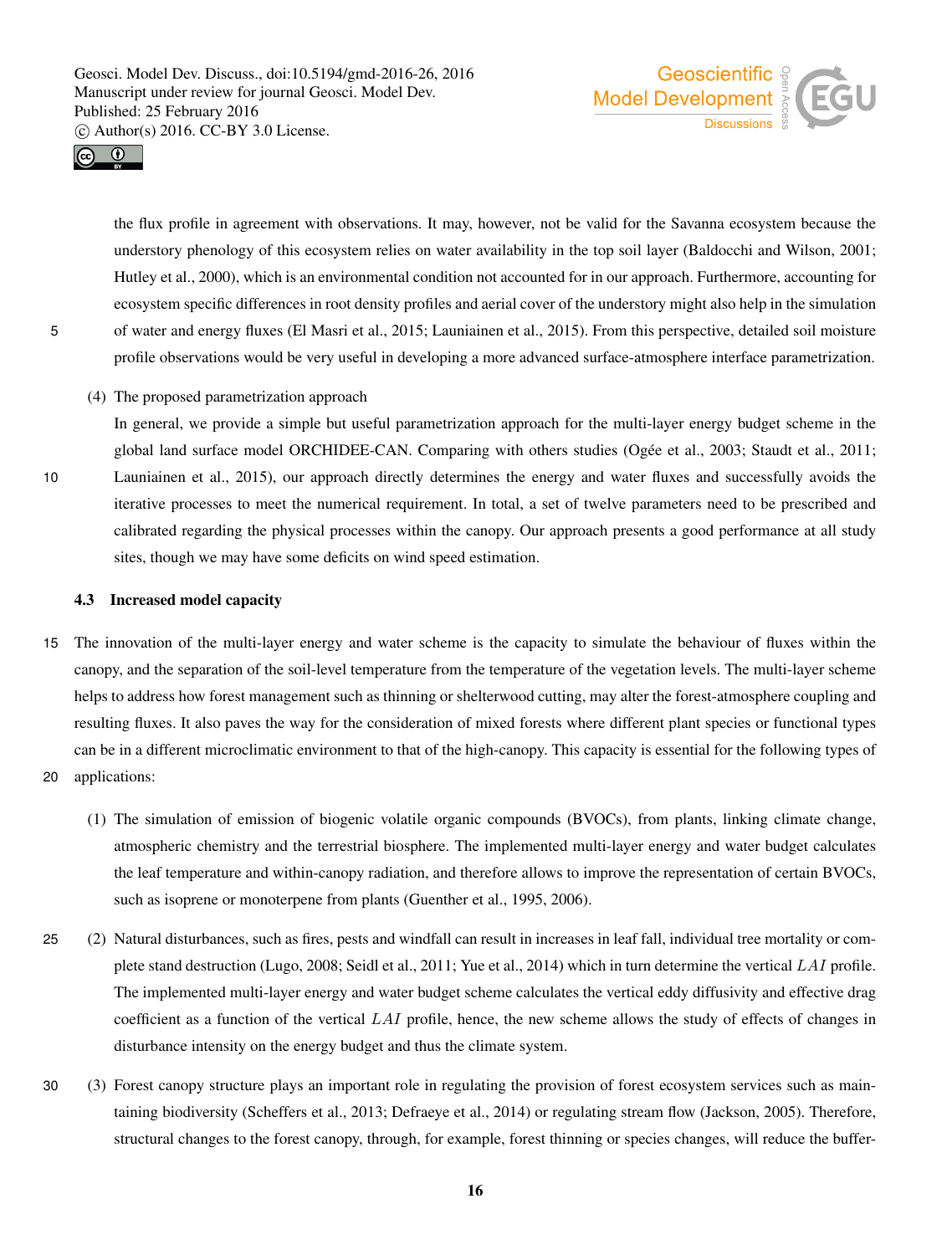



the flux profile in agreement with observations. It may, however, not be valid for the Savanna ecosystem because the understory phenology of this ecosystem relies on water availability in the top soil layer (Baldocchi and Wilson, 2001; Hutley et al., 2000), which is an environmental condition not accounted for in our approach. Furthermore, accounting for ecosystem specific differences in root density profiles and aerial cover of the understory might also help in the simulation 5 of water and energy fluxes (El Masri et al., 2015; Launiainen et al., 2015). From this perspective, detailed soil moisture profile observations would be very useful in developing a more advanced surface-atmosphere interface parametrization.

(4) The proposed parametrization approach

In general, we provide a simple but useful parametrization approach for the multi-layer energy budget scheme in the global land surface model ORCHIDEE-CAN. Comparing with others studies (Ogée et al., 2003; Staudt et al., 2011; 10 Launiainen et al., 2015), our approach directly determines the energy and water fluxes and successfully avoids the iterative processes to meet the numerical requirement. In total, a set of twelve parameters need to be prescribed and calibrated regarding the physical processes within the canopy. Our approach presents a good performance at all study sites, though we may have some deficits on wind speed estimation.

#### 4.3 Increased model capacity

- 15 The innovation of the multi-layer energy and water scheme is the capacity to simulate the behaviour of fluxes within the canopy, and the separation of the soil-level temperature from the temperature of the vegetation levels. The multi-layer scheme helps to address how forest management such as thinning or shelterwood cutting, may alter the forest-atmosphere coupling and resulting fluxes. It also paves the way for the consideration of mixed forests where different plant species or functional types can be in a different microclimatic environment to that of the high-canopy. This capacity is essential for the following types of
- 20 applications:
	- (1) The simulation of emission of biogenic volatile organic compounds (BVOCs), from plants, linking climate change, atmospheric chemistry and the terrestrial biosphere. The implemented multi-layer energy and water budget calculates the leaf temperature and within-canopy radiation, and therefore allows to improve the representation of certain BVOCs, such as isoprene or monoterpene from plants (Guenther et al., 1995, 2006).
- 25 (2) Natural disturbances, such as fires, pests and windfall can result in increases in leaf fall, individual tree mortality or complete stand destruction (Lugo, 2008; Seidl et al., 2011; Yue et al., 2014) which in turn determine the vertical LAI profile. The implemented multi-layer energy and water budget scheme calculates the vertical eddy diffusivity and effective drag coefficient as a function of the vertical  $LAI$  profile, hence, the new scheme allows the study of effects of changes in disturbance intensity on the energy budget and thus the climate system.
- 30 (3) Forest canopy structure plays an important role in regulating the provision of forest ecosystem services such as maintaining biodiversity (Scheffers et al., 2013; Defraeye et al., 2014) or regulating stream flow (Jackson, 2005). Therefore, structural changes to the forest canopy, through, for example, forest thinning or species changes, will reduce the buffer-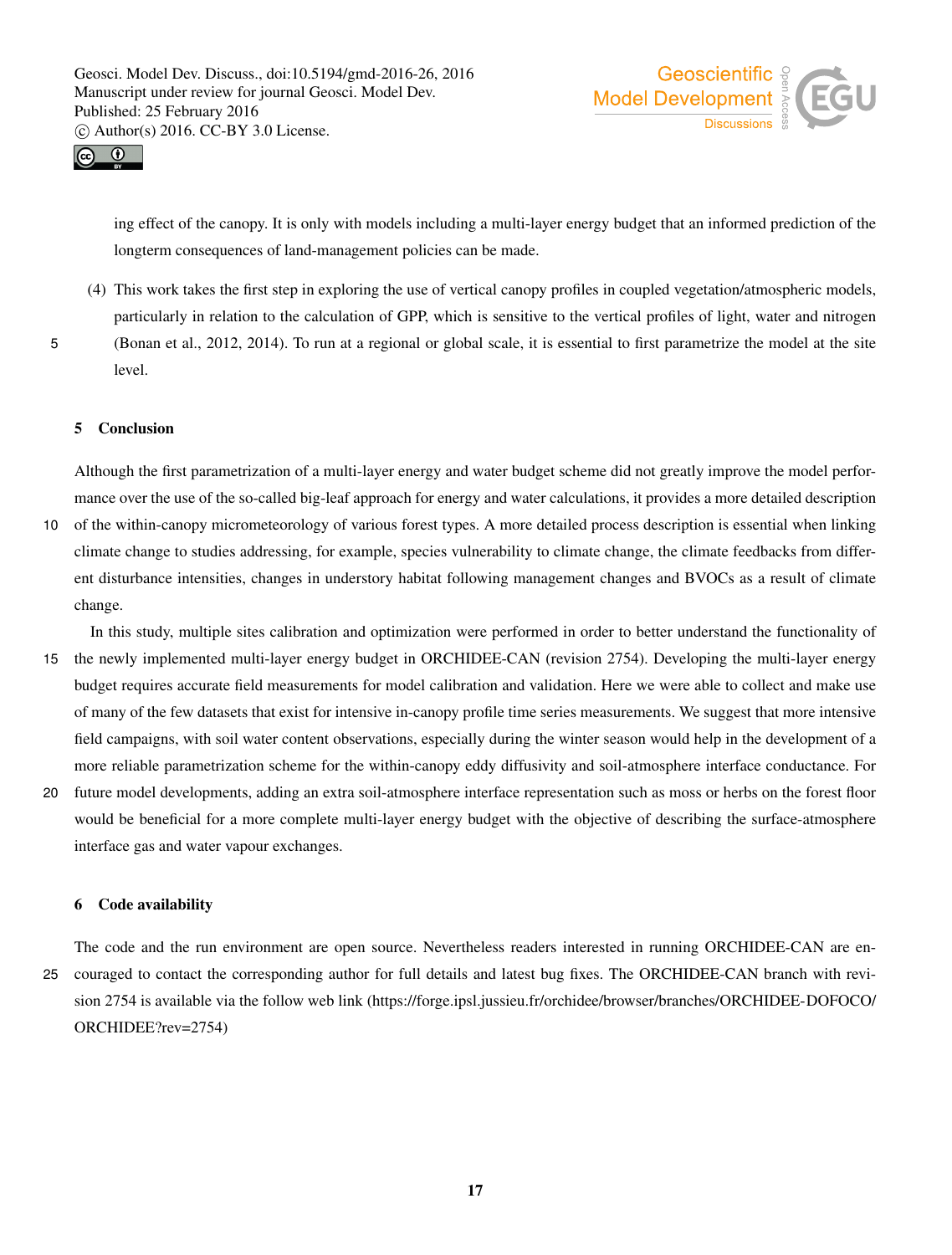



ing effect of the canopy. It is only with models including a multi-layer energy budget that an informed prediction of the longterm consequences of land-management policies can be made.

- (4) This work takes the first step in exploring the use of vertical canopy profiles in coupled vegetation/atmospheric models, particularly in relation to the calculation of GPP, which is sensitive to the vertical profiles of light, water and nitrogen
- 

5 (Bonan et al., 2012, 2014). To run at a regional or global scale, it is essential to first parametrize the model at the site level.

## 5 Conclusion

Although the first parametrization of a multi-layer energy and water budget scheme did not greatly improve the model performance over the use of the so-called big-leaf approach for energy and water calculations, it provides a more detailed description

- 10 of the within-canopy micrometeorology of various forest types. A more detailed process description is essential when linking climate change to studies addressing, for example, species vulnerability to climate change, the climate feedbacks from different disturbance intensities, changes in understory habitat following management changes and BVOCs as a result of climate change.
- In this study, multiple sites calibration and optimization were performed in order to better understand the functionality of 15 the newly implemented multi-layer energy budget in ORCHIDEE-CAN (revision 2754). Developing the multi-layer energy budget requires accurate field measurements for model calibration and validation. Here we were able to collect and make use of many of the few datasets that exist for intensive in-canopy profile time series measurements. We suggest that more intensive field campaigns, with soil water content observations, especially during the winter season would help in the development of a more reliable parametrization scheme for the within-canopy eddy diffusivity and soil-atmosphere interface conductance. For
- 20 future model developments, adding an extra soil-atmosphere interface representation such as moss or herbs on the forest floor would be beneficial for a more complete multi-layer energy budget with the objective of describing the surface-atmosphere interface gas and water vapour exchanges.

#### 6 Code availability

The code and the run environment are open source. Nevertheless readers interested in running ORCHIDEE-CAN are en-25 couraged to contact the corresponding author for full details and latest bug fixes. The ORCHIDEE-CAN branch with revision 2754 is available via the follow web link (https://forge.ipsl.jussieu.fr/orchidee/browser/branches/ORCHIDEE-DOFOCO/ ORCHIDEE?rev=2754)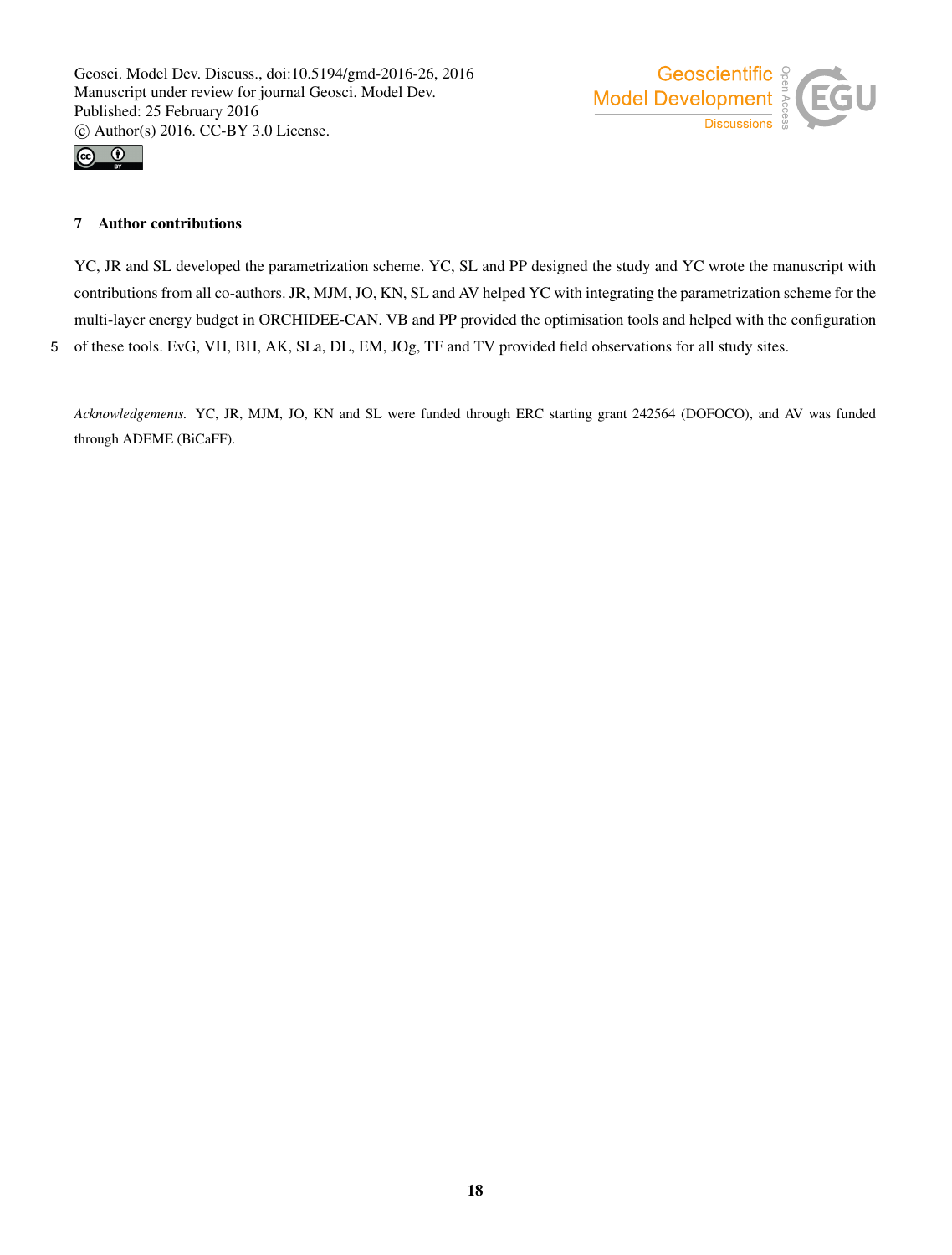



## 7 Author contributions

YC, JR and SL developed the parametrization scheme. YC, SL and PP designed the study and YC wrote the manuscript with contributions from all co-authors. JR, MJM, JO, KN, SL and AV helped YC with integrating the parametrization scheme for the multi-layer energy budget in ORCHIDEE-CAN. VB and PP provided the optimisation tools and helped with the configuration 5 of these tools. EvG, VH, BH, AK, SLa, DL, EM, JOg, TF and TV provided field observations for all study sites.

*Acknowledgements.* YC, JR, MJM, JO, KN and SL were funded through ERC starting grant 242564 (DOFOCO), and AV was funded through ADEME (BiCaFF).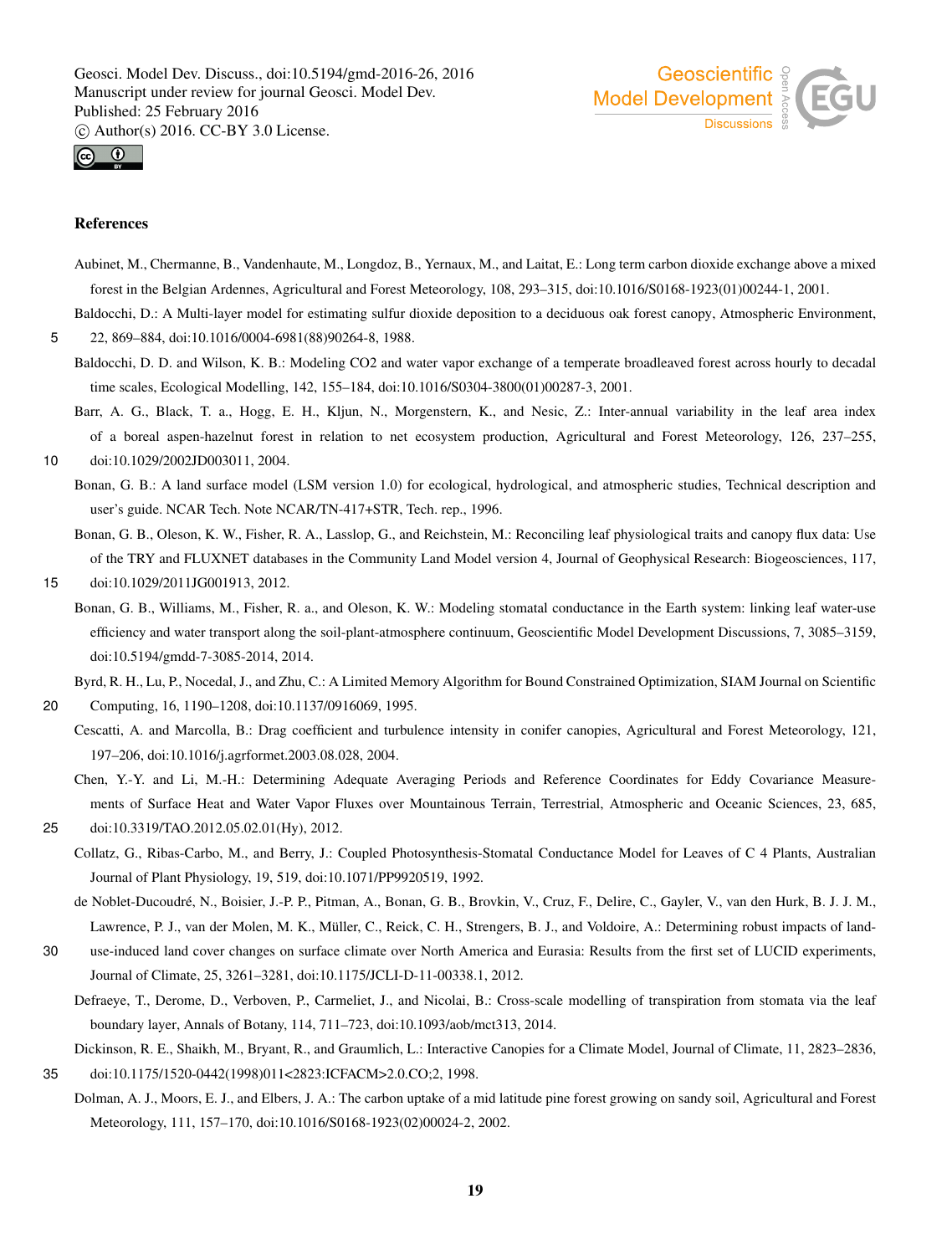



#### References

- Aubinet, M., Chermanne, B., Vandenhaute, M., Longdoz, B., Yernaux, M., and Laitat, E.: Long term carbon dioxide exchange above a mixed forest in the Belgian Ardennes, Agricultural and Forest Meteorology, 108, 293–315, doi:10.1016/S0168-1923(01)00244-1, 2001.
- Baldocchi, D.: A Multi-layer model for estimating sulfur dioxide deposition to a deciduous oak forest canopy, Atmospheric Environment,

5 22, 869–884, doi:10.1016/0004-6981(88)90264-8, 1988.

- Baldocchi, D. D. and Wilson, K. B.: Modeling CO2 and water vapor exchange of a temperate broadleaved forest across hourly to decadal time scales, Ecological Modelling, 142, 155–184, doi:10.1016/S0304-3800(01)00287-3, 2001.
- Barr, A. G., Black, T. a., Hogg, E. H., Kljun, N., Morgenstern, K., and Nesic, Z.: Inter-annual variability in the leaf area index of a boreal aspen-hazelnut forest in relation to net ecosystem production, Agricultural and Forest Meteorology, 126, 237–255, 10 doi:10.1029/2002JD003011, 2004.
	- Bonan, G. B.: A land surface model (LSM version 1.0) for ecological, hydrological, and atmospheric studies, Technical description and user's guide. NCAR Tech. Note NCAR/TN-417+STR, Tech. rep., 1996.
	- Bonan, G. B., Oleson, K. W., Fisher, R. A., Lasslop, G., and Reichstein, M.: Reconciling leaf physiological traits and canopy flux data: Use of the TRY and FLUXNET databases in the Community Land Model version 4, Journal of Geophysical Research: Biogeosciences, 117,

#### 15 doi:10.1029/2011JG001913, 2012.

Bonan, G. B., Williams, M., Fisher, R. a., and Oleson, K. W.: Modeling stomatal conductance in the Earth system: linking leaf water-use efficiency and water transport along the soil-plant-atmosphere continuum, Geoscientific Model Development Discussions, 7, 3085–3159, doi:10.5194/gmdd-7-3085-2014, 2014.

Byrd, R. H., Lu, P., Nocedal, J., and Zhu, C.: A Limited Memory Algorithm for Bound Constrained Optimization, SIAM Journal on Scientific

- 20 Computing, 16, 1190–1208, doi:10.1137/0916069, 1995.
	- Cescatti, A. and Marcolla, B.: Drag coefficient and turbulence intensity in conifer canopies, Agricultural and Forest Meteorology, 121, 197–206, doi:10.1016/j.agrformet.2003.08.028, 2004.

Chen, Y.-Y. and Li, M.-H.: Determining Adequate Averaging Periods and Reference Coordinates for Eddy Covariance Measurements of Surface Heat and Water Vapor Fluxes over Mountainous Terrain, Terrestrial, Atmospheric and Oceanic Sciences, 23, 685,

- 25 doi:10.3319/TAO.2012.05.02.01(Hy), 2012.
	- Collatz, G., Ribas-Carbo, M., and Berry, J.: Coupled Photosynthesis-Stomatal Conductance Model for Leaves of C 4 Plants, Australian Journal of Plant Physiology, 19, 519, doi:10.1071/PP9920519, 1992.
	- de Noblet-Ducoudré, N., Boisier, J.-P. P., Pitman, A., Bonan, G. B., Brovkin, V., Cruz, F., Delire, C., Gayler, V., van den Hurk, B. J. J. M., Lawrence, P. J., van der Molen, M. K., Müller, C., Reick, C. H., Strengers, B. J., and Voldoire, A.: Determining robust impacts of land-
- 30 use-induced land cover changes on surface climate over North America and Eurasia: Results from the first set of LUCID experiments, Journal of Climate, 25, 3261–3281, doi:10.1175/JCLI-D-11-00338.1, 2012.
	- Defraeye, T., Derome, D., Verboven, P., Carmeliet, J., and Nicolai, B.: Cross-scale modelling of transpiration from stomata via the leaf boundary layer, Annals of Botany, 114, 711–723, doi:10.1093/aob/mct313, 2014.
- Dickinson, R. E., Shaikh, M., Bryant, R., and Graumlich, L.: Interactive Canopies for a Climate Model, Journal of Climate, 11, 2823–2836, 35 doi:10.1175/1520-0442(1998)011<2823:ICFACM>2.0.CO;2, 1998.
- Dolman, A. J., Moors, E. J., and Elbers, J. A.: The carbon uptake of a mid latitude pine forest growing on sandy soil, Agricultural and Forest Meteorology, 111, 157–170, doi:10.1016/S0168-1923(02)00024-2, 2002.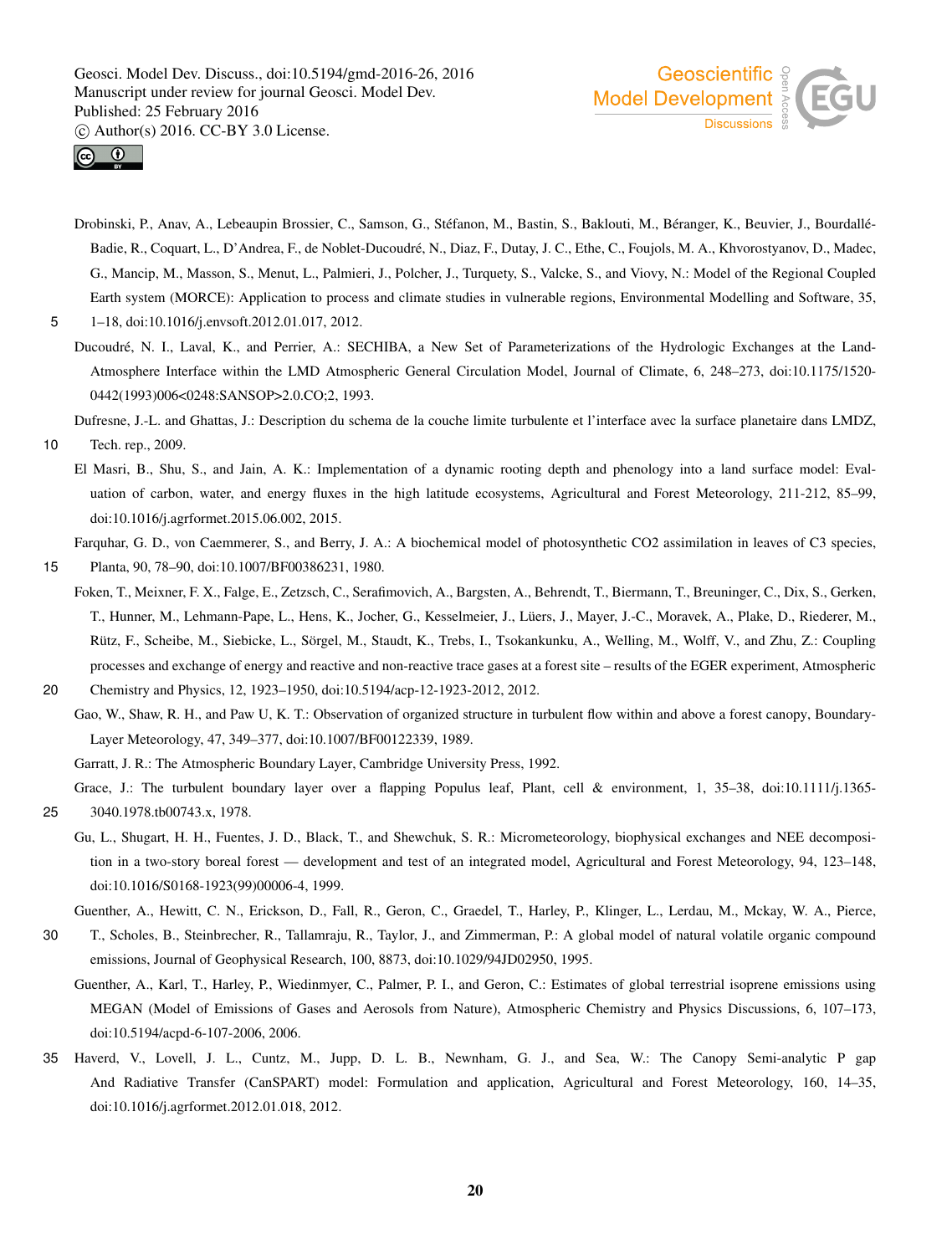



Drobinski, P., Anav, A., Lebeaupin Brossier, C., Samson, G., Stéfanon, M., Bastin, S., Baklouti, M., Béranger, K., Beuvier, J., Bourdallé-Badie, R., Coquart, L., D'Andrea, F., de Noblet-Ducoudré, N., Diaz, F., Dutay, J. C., Ethe, C., Foujols, M. A., Khvorostyanov, D., Madec, G., Mancip, M., Masson, S., Menut, L., Palmieri, J., Polcher, J., Turquety, S., Valcke, S., and Viovy, N.: Model of the Regional Coupled Earth system (MORCE): Application to process and climate studies in vulnerable regions, Environmental Modelling and Software, 35,

5 1–18, doi:10.1016/j.envsoft.2012.01.017, 2012.

Ducoudré, N. I., Laval, K., and Perrier, A.: SECHIBA, a New Set of Parameterizations of the Hydrologic Exchanges at the Land-Atmosphere Interface within the LMD Atmospheric General Circulation Model, Journal of Climate, 6, 248–273, doi:10.1175/1520- 0442(1993)006<0248:SANSOP>2.0.CO;2, 1993.

Dufresne, J.-L. and Ghattas, J.: Description du schema de la couche limite turbulente et l'interface avec la surface planetaire dans LMDZ,

- 10 Tech. rep., 2009.
	- El Masri, B., Shu, S., and Jain, A. K.: Implementation of a dynamic rooting depth and phenology into a land surface model: Evaluation of carbon, water, and energy fluxes in the high latitude ecosystems, Agricultural and Forest Meteorology, 211-212, 85–99, doi:10.1016/j.agrformet.2015.06.002, 2015.

Farquhar, G. D., von Caemmerer, S., and Berry, J. A.: A biochemical model of photosynthetic CO2 assimilation in leaves of C3 species, 15 Planta, 90, 78–90, doi:10.1007/BF00386231, 1980.

Foken, T., Meixner, F. X., Falge, E., Zetzsch, C., Serafimovich, A., Bargsten, A., Behrendt, T., Biermann, T., Breuninger, C., Dix, S., Gerken, T., Hunner, M., Lehmann-Pape, L., Hens, K., Jocher, G., Kesselmeier, J., Lüers, J., Mayer, J.-C., Moravek, A., Plake, D., Riederer, M., Rütz, F., Scheibe, M., Siebicke, L., Sörgel, M., Staudt, K., Trebs, I., Tsokankunku, A., Welling, M., Wolff, V., and Zhu, Z.: Coupling processes and exchange of energy and reactive and non-reactive trace gases at a forest site – results of the EGER experiment, Atmospheric

Gao, W., Shaw, R. H., and Paw U, K. T.: Observation of organized structure in turbulent flow within and above a forest canopy, Boundary-Layer Meteorology, 47, 349–377, doi:10.1007/BF00122339, 1989.

Garratt, J. R.: The Atmospheric Boundary Layer, Cambridge University Press, 1992.

Grace, J.: The turbulent boundary layer over a flapping Populus leaf, Plant, cell & environment, 1, 35–38, doi:10.1111/j.1365-25 3040.1978.tb00743.x, 1978.

Gu, L., Shugart, H. H., Fuentes, J. D., Black, T., and Shewchuk, S. R.: Micrometeorology, biophysical exchanges and NEE decomposition in a two-story boreal forest — development and test of an integrated model, Agricultural and Forest Meteorology, 94, 123–148, doi:10.1016/S0168-1923(99)00006-4, 1999.

Guenther, A., Hewitt, C. N., Erickson, D., Fall, R., Geron, C., Graedel, T., Harley, P., Klinger, L., Lerdau, M., Mckay, W. A., Pierce,

- 30 T., Scholes, B., Steinbrecher, R., Tallamraju, R., Taylor, J., and Zimmerman, P.: A global model of natural volatile organic compound emissions, Journal of Geophysical Research, 100, 8873, doi:10.1029/94JD02950, 1995.
	- Guenther, A., Karl, T., Harley, P., Wiedinmyer, C., Palmer, P. I., and Geron, C.: Estimates of global terrestrial isoprene emissions using MEGAN (Model of Emissions of Gases and Aerosols from Nature), Atmospheric Chemistry and Physics Discussions, 6, 107–173, doi:10.5194/acpd-6-107-2006, 2006.
- 35 Haverd, V., Lovell, J. L., Cuntz, M., Jupp, D. L. B., Newnham, G. J., and Sea, W.: The Canopy Semi-analytic P gap And Radiative Transfer (CanSPART) model: Formulation and application, Agricultural and Forest Meteorology, 160, 14–35, doi:10.1016/j.agrformet.2012.01.018, 2012.

<sup>20</sup> Chemistry and Physics, 12, 1923–1950, doi:10.5194/acp-12-1923-2012, 2012.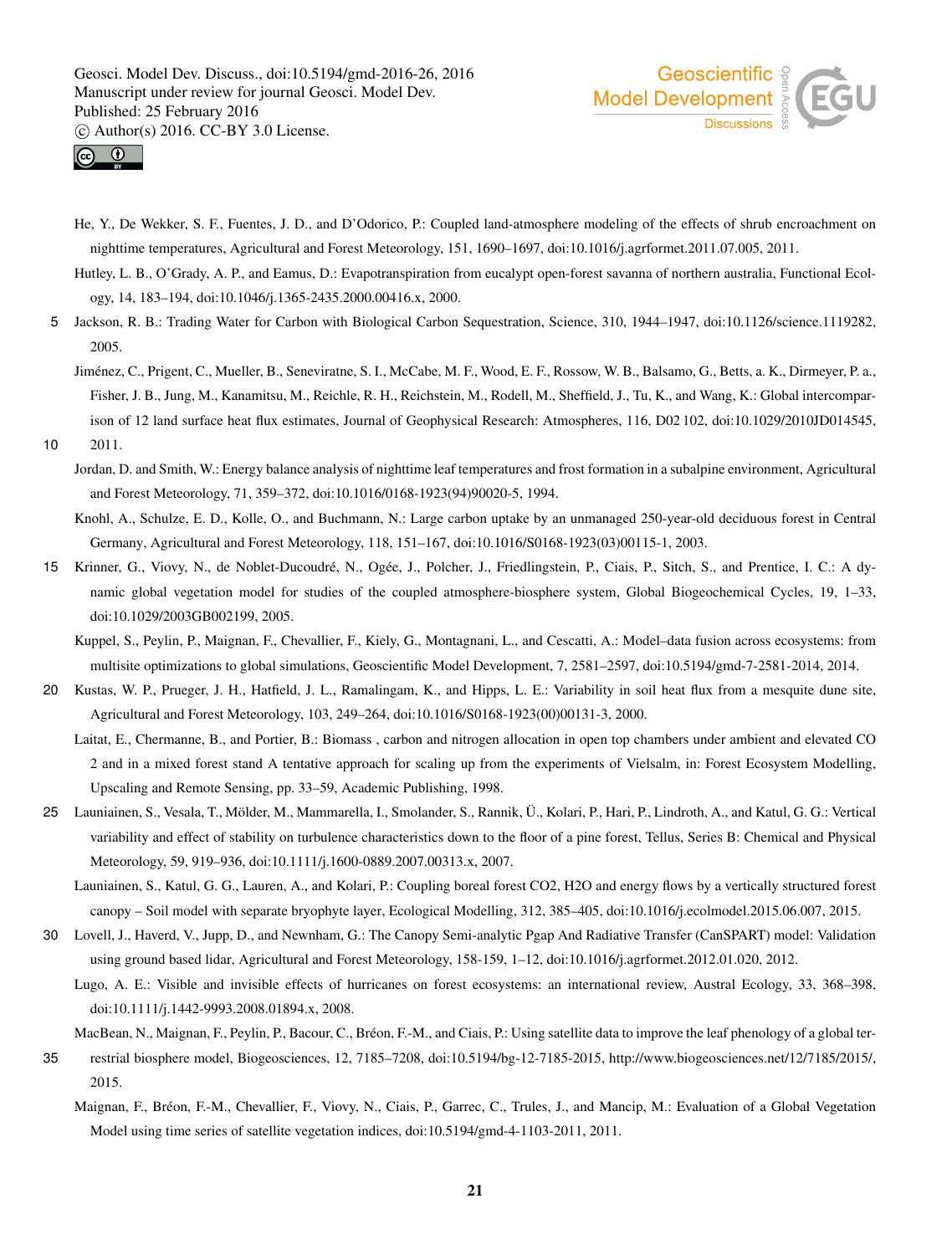



- He, Y., De Wekker, S. F., Fuentes, J. D., and D'Odorico, P.: Coupled land-atmosphere modeling of the effects of shrub encroachment on nighttime temperatures, Agricultural and Forest Meteorology, 151, 1690–1697, doi:10.1016/j.agrformet.2011.07.005, 2011.
- Hutley, L. B., O'Grady, A. P., and Eamus, D.: Evapotranspiration from eucalypt open-forest savanna of northern australia, Functional Ecology, 14, 183–194, doi:10.1046/j.1365-2435.2000.00416.x, 2000.
- 5 Jackson, R. B.: Trading Water for Carbon with Biological Carbon Sequestration, Science, 310, 1944–1947, doi:10.1126/science.1119282, 2005.
	- Jiménez, C., Prigent, C., Mueller, B., Seneviratne, S. I., McCabe, M. F., Wood, E. F., Rossow, W. B., Balsamo, G., Betts, a. K., Dirmeyer, P. a., Fisher, J. B., Jung, M., Kanamitsu, M., Reichle, R. H., Reichstein, M., Rodell, M., Sheffield, J., Tu, K., and Wang, K.: Global intercomparison of 12 land surface heat flux estimates, Journal of Geophysical Research: Atmospheres, 116, D02 102, doi:10.1029/2010JD014545,
- 10 2011.
	- Jordan, D. and Smith, W.: Energy balance analysis of nighttime leaf temperatures and frost formation in a subalpine environment, Agricultural and Forest Meteorology, 71, 359–372, doi:10.1016/0168-1923(94)90020-5, 1994.
	- Knohl, A., Schulze, E. D., Kolle, O., and Buchmann, N.: Large carbon uptake by an unmanaged 250-year-old deciduous forest in Central Germany, Agricultural and Forest Meteorology, 118, 151–167, doi:10.1016/S0168-1923(03)00115-1, 2003.
- 15 Krinner, G., Viovy, N., de Noblet-Ducoudré, N., Ogée, J., Polcher, J., Friedlingstein, P., Ciais, P., Sitch, S., and Prentice, I. C.: A dynamic global vegetation model for studies of the coupled atmosphere-biosphere system, Global Biogeochemical Cycles, 19, 1–33, doi:10.1029/2003GB002199, 2005.
	- Kuppel, S., Peylin, P., Maignan, F., Chevallier, F., Kiely, G., Montagnani, L., and Cescatti, A.: Model–data fusion across ecosystems: from multisite optimizations to global simulations, Geoscientific Model Development, 7, 2581–2597, doi:10.5194/gmd-7-2581-2014, 2014.
- 20 Kustas, W. P., Prueger, J. H., Hatfield, J. L., Ramalingam, K., and Hipps, L. E.: Variability in soil heat flux from a mesquite dune site, Agricultural and Forest Meteorology, 103, 249–264, doi:10.1016/S0168-1923(00)00131-3, 2000.
	- Laitat, E., Chermanne, B., and Portier, B.: Biomass , carbon and nitrogen allocation in open top chambers under ambient and elevated CO 2 and in a mixed forest stand A tentative approach for scaling up from the experiments of Vielsalm, in: Forest Ecosystem Modelling, Upscaling and Remote Sensing, pp. 33–59, Academic Publishing, 1998.
- 25 Launiainen, S., Vesala, T., Mölder, M., Mammarella, I., Smolander, S., Rannik, Ü., Kolari, P., Hari, P., Lindroth, A., and Katul, G. G.: Vertical variability and effect of stability on turbulence characteristics down to the floor of a pine forest, Tellus, Series B: Chemical and Physical Meteorology, 59, 919–936, doi:10.1111/j.1600-0889.2007.00313.x, 2007.
	- Launiainen, S., Katul, G. G., Lauren, A., and Kolari, P.: Coupling boreal forest CO2, H2O and energy flows by a vertically structured forest canopy – Soil model with separate bryophyte layer, Ecological Modelling, 312, 385–405, doi:10.1016/j.ecolmodel.2015.06.007, 2015.
- 30 Lovell, J., Haverd, V., Jupp, D., and Newnham, G.: The Canopy Semi-analytic Pgap And Radiative Transfer (CanSPART) model: Validation using ground based lidar, Agricultural and Forest Meteorology, 158-159, 1–12, doi:10.1016/j.agrformet.2012.01.020, 2012.
	- Lugo, A. E.: Visible and invisible effects of hurricanes on forest ecosystems: an international review, Austral Ecology, 33, 368–398, doi:10.1111/j.1442-9993.2008.01894.x, 2008.
	- MacBean, N., Maignan, F., Peylin, P., Bacour, C., Bréon, F.-M., and Ciais, P.: Using satellite data to improve the leaf phenology of a global ter-
- 35 restrial biosphere model, Biogeosciences, 12, 7185–7208, doi:10.5194/bg-12-7185-2015, http://www.biogeosciences.net/12/7185/2015/, 2015.
	- Maignan, F., Bréon, F.-M., Chevallier, F., Viovy, N., Ciais, P., Garrec, C., Trules, J., and Mancip, M.: Evaluation of a Global Vegetation Model using time series of satellite vegetation indices, doi:10.5194/gmd-4-1103-2011, 2011.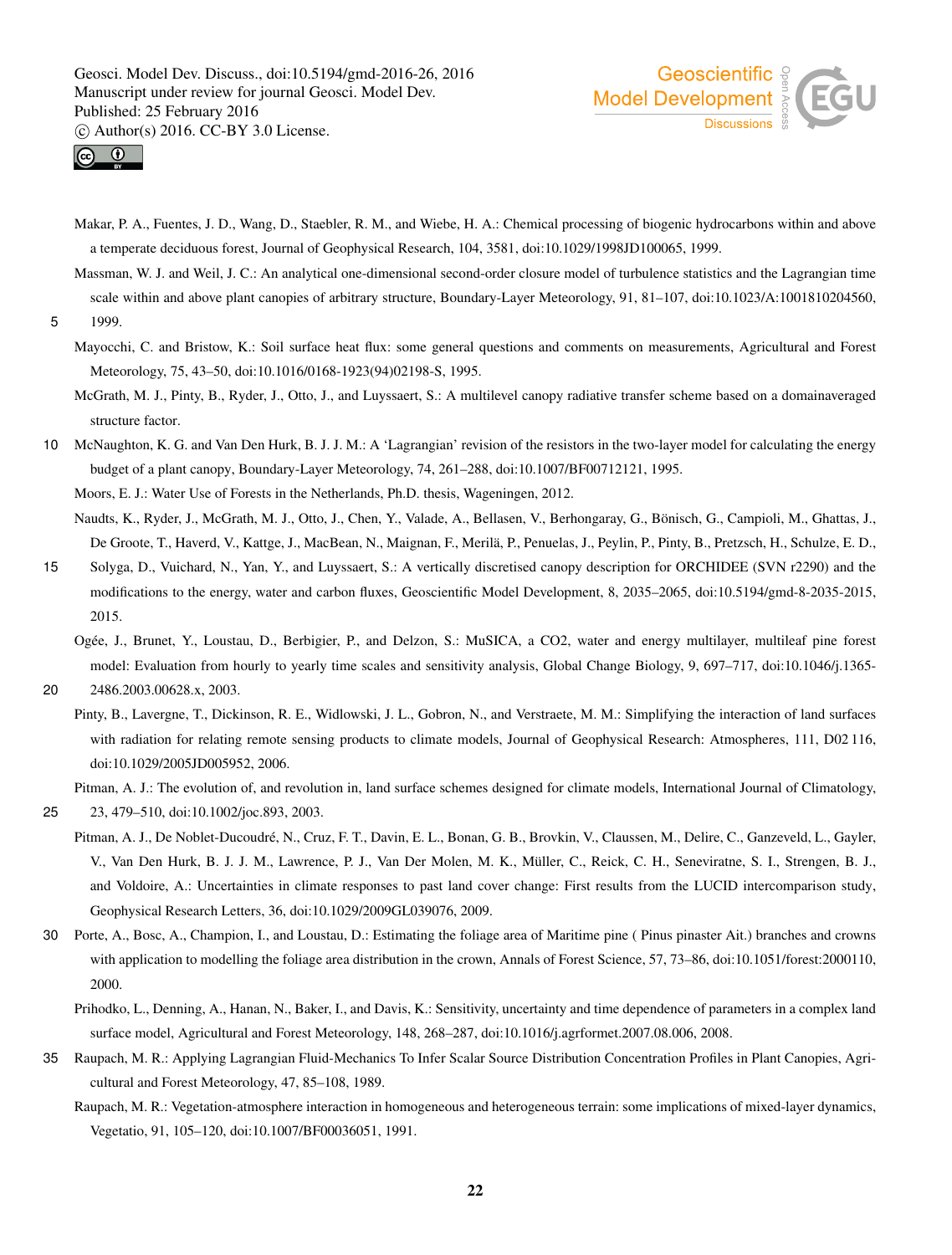



- Makar, P. A., Fuentes, J. D., Wang, D., Staebler, R. M., and Wiebe, H. A.: Chemical processing of biogenic hydrocarbons within and above a temperate deciduous forest, Journal of Geophysical Research, 104, 3581, doi:10.1029/1998JD100065, 1999.
- Massman, W. J. and Weil, J. C.: An analytical one-dimensional second-order closure model of turbulence statistics and the Lagrangian time scale within and above plant canopies of arbitrary structure, Boundary-Layer Meteorology, 91, 81–107, doi:10.1023/A:1001810204560, 5 1999.

Mayocchi, C. and Bristow, K.: Soil surface heat flux: some general questions and comments on measurements, Agricultural and Forest Meteorology, 75, 43–50, doi:10.1016/0168-1923(94)02198-S, 1995.

McGrath, M. J., Pinty, B., Ryder, J., Otto, J., and Luyssaert, S.: A multilevel canopy radiative transfer scheme based on a domainaveraged structure factor.

10 McNaughton, K. G. and Van Den Hurk, B. J. J. M.: A 'Lagrangian' revision of the resistors in the two-layer model for calculating the energy budget of a plant canopy, Boundary-Layer Meteorology, 74, 261–288, doi:10.1007/BF00712121, 1995.

Moors, E. J.: Water Use of Forests in the Netherlands, Ph.D. thesis, Wageningen, 2012.

Naudts, K., Ryder, J., McGrath, M. J., Otto, J., Chen, Y., Valade, A., Bellasen, V., Berhongaray, G., Bönisch, G., Campioli, M., Ghattas, J., De Groote, T., Haverd, V., Kattge, J., MacBean, N., Maignan, F., Merilä, P., Penuelas, J., Peylin, P., Pinty, B., Pretzsch, H., Schulze, E. D.,

- 15 Solyga, D., Vuichard, N., Yan, Y., and Luyssaert, S.: A vertically discretised canopy description for ORCHIDEE (SVN r2290) and the modifications to the energy, water and carbon fluxes, Geoscientific Model Development, 8, 2035–2065, doi:10.5194/gmd-8-2035-2015, 2015.
	- Ogée, J., Brunet, Y., Loustau, D., Berbigier, P., and Delzon, S.: MuSICA, a CO2, water and energy multilayer, multileaf pine forest model: Evaluation from hourly to yearly time scales and sensitivity analysis, Global Change Biology, 9, 697–717, doi:10.1046/j.1365-

20 2486.2003.00628.x, 2003.

Pinty, B., Lavergne, T., Dickinson, R. E., Widlowski, J. L., Gobron, N., and Verstraete, M. M.: Simplifying the interaction of land surfaces with radiation for relating remote sensing products to climate models, Journal of Geophysical Research: Atmospheres, 111, D02 116, doi:10.1029/2005JD005952, 2006.

Pitman, A. J.: The evolution of, and revolution in, land surface schemes designed for climate models, International Journal of Climatology,

25 23, 479–510, doi:10.1002/joc.893, 2003.

- Pitman, A. J., De Noblet-Ducoudré, N., Cruz, F. T., Davin, E. L., Bonan, G. B., Brovkin, V., Claussen, M., Delire, C., Ganzeveld, L., Gayler, V., Van Den Hurk, B. J. J. M., Lawrence, P. J., Van Der Molen, M. K., Müller, C., Reick, C. H., Seneviratne, S. I., Strengen, B. J., and Voldoire, A.: Uncertainties in climate responses to past land cover change: First results from the LUCID intercomparison study, Geophysical Research Letters, 36, doi:10.1029/2009GL039076, 2009.
- 30 Porte, A., Bosc, A., Champion, I., and Loustau, D.: Estimating the foliage area of Maritime pine ( Pinus pinaster Ait.) branches and crowns with application to modelling the foliage area distribution in the crown, Annals of Forest Science, 57, 73–86, doi:10.1051/forest:2000110, 2000.
	- Prihodko, L., Denning, A., Hanan, N., Baker, I., and Davis, K.: Sensitivity, uncertainty and time dependence of parameters in a complex land surface model, Agricultural and Forest Meteorology, 148, 268–287, doi:10.1016/j.agrformet.2007.08.006, 2008.
- 35 Raupach, M. R.: Applying Lagrangian Fluid-Mechanics To Infer Scalar Source Distribution Concentration Profiles in Plant Canopies, Agricultural and Forest Meteorology, 47, 85–108, 1989.
	- Raupach, M. R.: Vegetation-atmosphere interaction in homogeneous and heterogeneous terrain: some implications of mixed-layer dynamics, Vegetatio, 91, 105–120, doi:10.1007/BF00036051, 1991.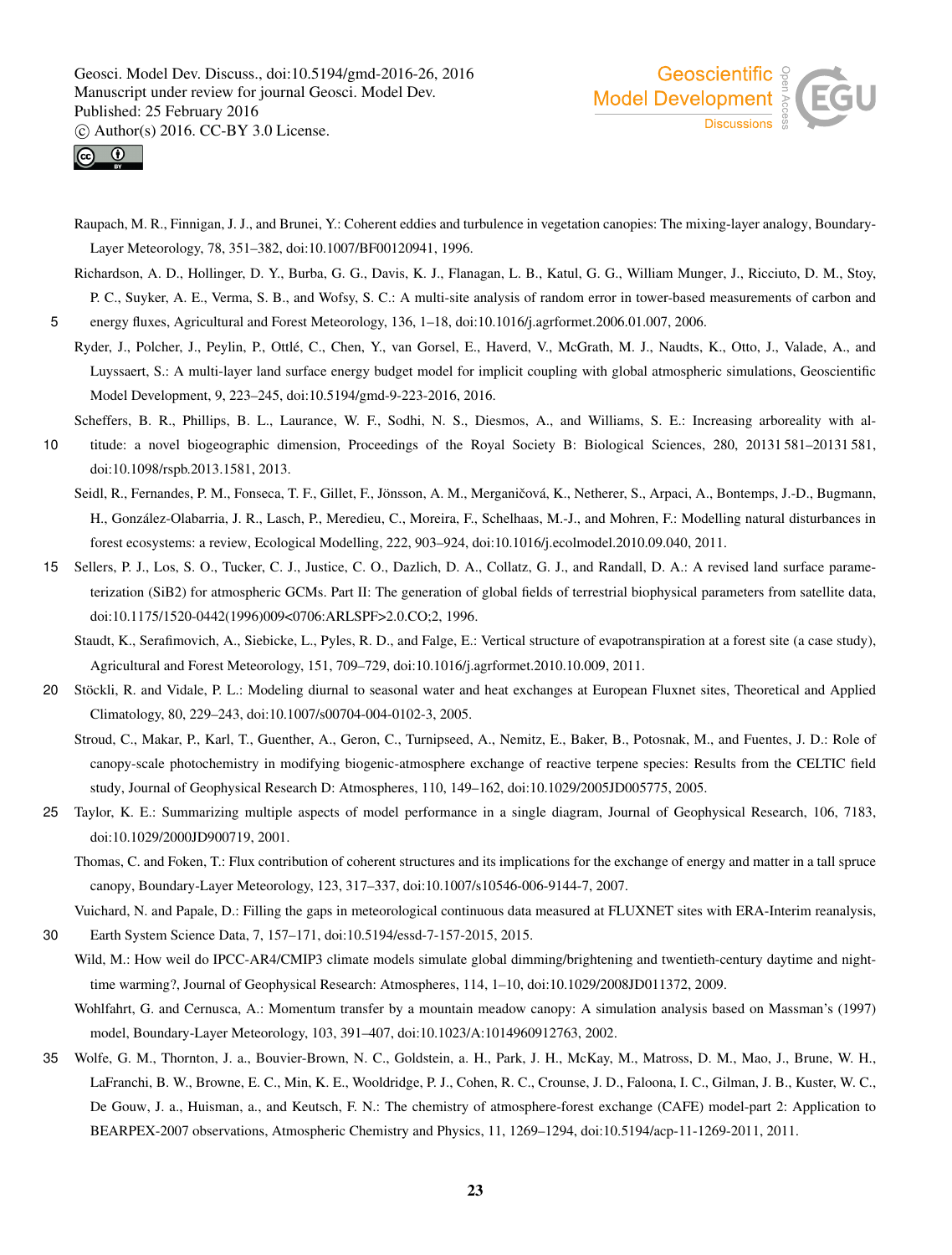



Raupach, M. R., Finnigan, J. J., and Brunei, Y.: Coherent eddies and turbulence in vegetation canopies: The mixing-layer analogy, Boundary-Layer Meteorology, 78, 351–382, doi:10.1007/BF00120941, 1996.

Richardson, A. D., Hollinger, D. Y., Burba, G. G., Davis, K. J., Flanagan, L. B., Katul, G. G., William Munger, J., Ricciuto, D. M., Stoy, P. C., Suyker, A. E., Verma, S. B., and Wofsy, S. C.: A multi-site analysis of random error in tower-based measurements of carbon and

5 energy fluxes, Agricultural and Forest Meteorology, 136, 1–18, doi:10.1016/j.agrformet.2006.01.007, 2006.

Ryder, J., Polcher, J., Peylin, P., Ottlé, C., Chen, Y., van Gorsel, E., Haverd, V., McGrath, M. J., Naudts, K., Otto, J., Valade, A., and Luyssaert, S.: A multi-layer land surface energy budget model for implicit coupling with global atmospheric simulations, Geoscientific Model Development, 9, 223–245, doi:10.5194/gmd-9-223-2016, 2016.

Scheffers, B. R., Phillips, B. L., Laurance, W. F., Sodhi, N. S., Diesmos, A., and Williams, S. E.: Increasing arboreality with al-10 titude: a novel biogeographic dimension, Proceedings of the Royal Society B: Biological Sciences, 280, 20131 581–20131 581,

doi:10.1098/rspb.2013.1581, 2013.

Seidl, R., Fernandes, P. M., Fonseca, T. F., Gillet, F., Jönsson, A. M., Merganičová, K., Netherer, S., Arpaci, A., Bontemps, J.-D., Bugmann, H., González-Olabarria, J. R., Lasch, P., Meredieu, C., Moreira, F., Schelhaas, M.-J., and Mohren, F.: Modelling natural disturbances in forest ecosystems: a review, Ecological Modelling, 222, 903–924, doi:10.1016/j.ecolmodel.2010.09.040, 2011.

15 Sellers, P. J., Los, S. O., Tucker, C. J., Justice, C. O., Dazlich, D. A., Collatz, G. J., and Randall, D. A.: A revised land surface parameterization (SiB2) for atmospheric GCMs. Part II: The generation of global fields of terrestrial biophysical parameters from satellite data, doi:10.1175/1520-0442(1996)009<0706:ARLSPF>2.0.CO;2, 1996.

Staudt, K., Serafimovich, A., Siebicke, L., Pyles, R. D., and Falge, E.: Vertical structure of evapotranspiration at a forest site (a case study), Agricultural and Forest Meteorology, 151, 709–729, doi:10.1016/j.agrformet.2010.10.009, 2011.

- 20 Stöckli, R. and Vidale, P. L.: Modeling diurnal to seasonal water and heat exchanges at European Fluxnet sites, Theoretical and Applied Climatology, 80, 229–243, doi:10.1007/s00704-004-0102-3, 2005.
	- Stroud, C., Makar, P., Karl, T., Guenther, A., Geron, C., Turnipseed, A., Nemitz, E., Baker, B., Potosnak, M., and Fuentes, J. D.: Role of canopy-scale photochemistry in modifying biogenic-atmosphere exchange of reactive terpene species: Results from the CELTIC field study, Journal of Geophysical Research D: Atmospheres, 110, 149–162, doi:10.1029/2005JD005775, 2005.
- 25 Taylor, K. E.: Summarizing multiple aspects of model performance in a single diagram, Journal of Geophysical Research, 106, 7183, doi:10.1029/2000JD900719, 2001.

Thomas, C. and Foken, T.: Flux contribution of coherent structures and its implications for the exchange of energy and matter in a tall spruce canopy, Boundary-Layer Meteorology, 123, 317–337, doi:10.1007/s10546-006-9144-7, 2007.

Vuichard, N. and Papale, D.: Filling the gaps in meteorological continuous data measured at FLUXNET sites with ERA-Interim reanalysis,

- 30 Earth System Science Data, 7, 157–171, doi:10.5194/essd-7-157-2015, 2015. Wild, M.: How weil do IPCC-AR4/CMIP3 climate models simulate global dimming/brightening and twentieth-century daytime and nighttime warming?, Journal of Geophysical Research: Atmospheres, 114, 1–10, doi:10.1029/2008JD011372, 2009.
	- Wohlfahrt, G. and Cernusca, A.: Momentum transfer by a mountain meadow canopy: A simulation analysis based on Massman's (1997) model, Boundary-Layer Meteorology, 103, 391–407, doi:10.1023/A:1014960912763, 2002.
- 35 Wolfe, G. M., Thornton, J. a., Bouvier-Brown, N. C., Goldstein, a. H., Park, J. H., McKay, M., Matross, D. M., Mao, J., Brune, W. H., LaFranchi, B. W., Browne, E. C., Min, K. E., Wooldridge, P. J., Cohen, R. C., Crounse, J. D., Faloona, I. C., Gilman, J. B., Kuster, W. C., De Gouw, J. a., Huisman, a., and Keutsch, F. N.: The chemistry of atmosphere-forest exchange (CAFE) model-part 2: Application to BEARPEX-2007 observations, Atmospheric Chemistry and Physics, 11, 1269–1294, doi:10.5194/acp-11-1269-2011, 2011.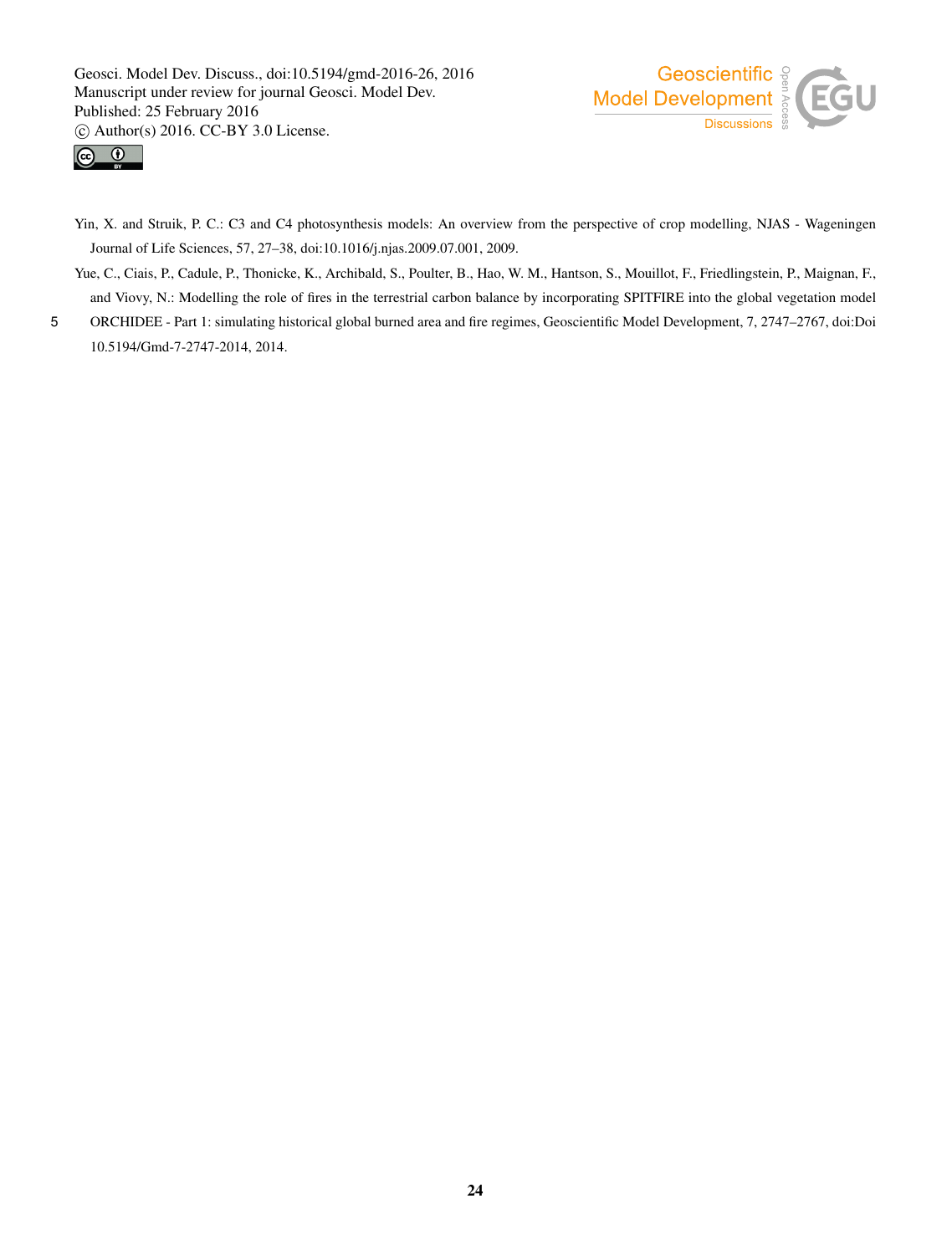



- Yin, X. and Struik, P. C.: C3 and C4 photosynthesis models: An overview from the perspective of crop modelling, NJAS Wageningen Journal of Life Sciences, 57, 27–38, doi:10.1016/j.njas.2009.07.001, 2009.
- Yue, C., Ciais, P., Cadule, P., Thonicke, K., Archibald, S., Poulter, B., Hao, W. M., Hantson, S., Mouillot, F., Friedlingstein, P., Maignan, F., and Viovy, N.: Modelling the role of fires in the terrestrial carbon balance by incorporating SPITFIRE into the global vegetation model
- 5 ORCHIDEE Part 1: simulating historical global burned area and fire regimes, Geoscientific Model Development, 7, 2747–2767, doi:Doi 10.5194/Gmd-7-2747-2014, 2014.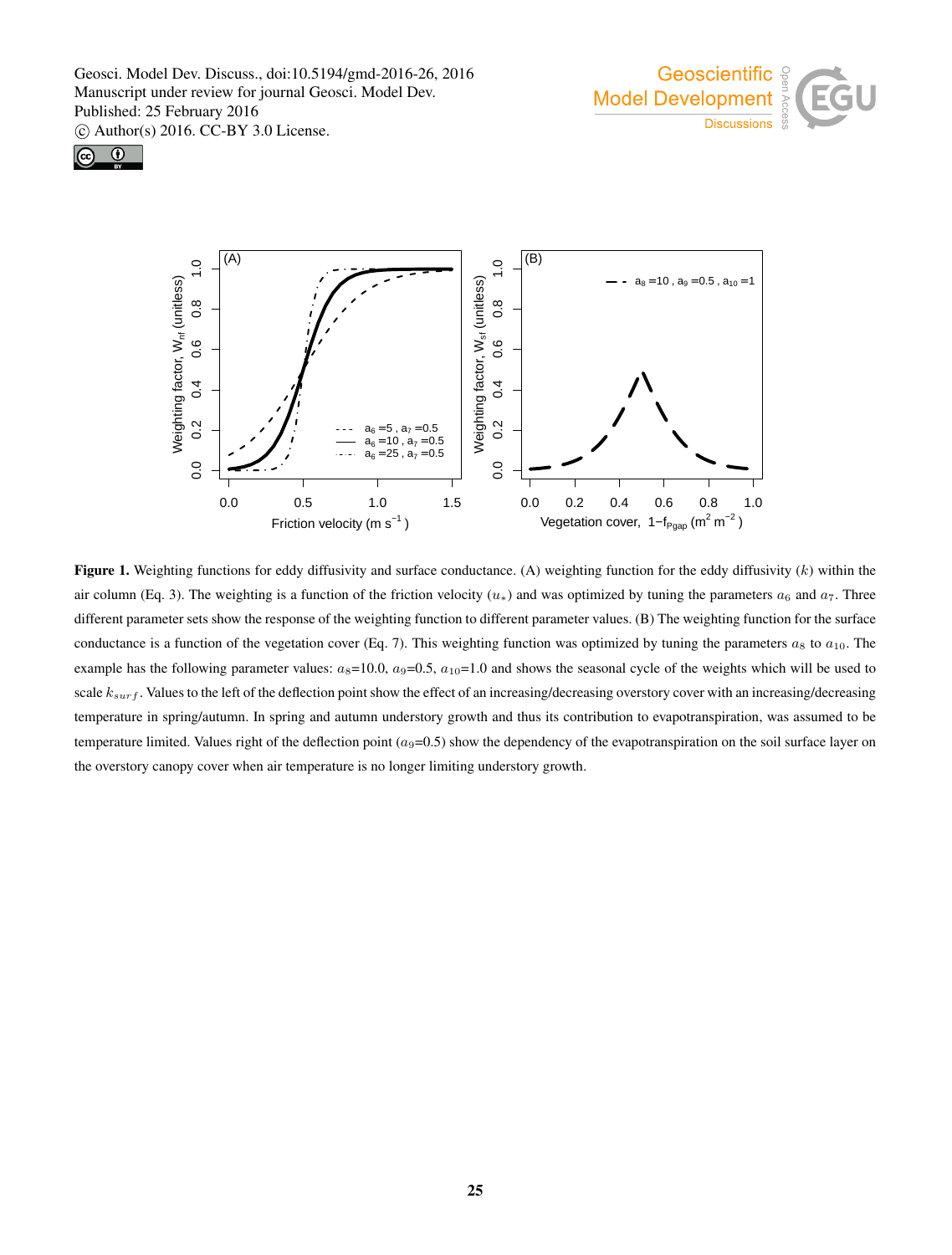





Figure 1. Weighting functions for eddy diffusivity and surface conductance. (A) weighting function for the eddy diffusivity  $(k)$  within the air column (Eq. 3). The weighting is a function of the friction velocity  $(u_*)$  and was optimized by tuning the parameters  $a_6$  and  $a_7$ . Three different parameter sets show the response of the weighting function to different parameter values. (B) The weighting function for the surface conductance is a function of the vegetation cover (Eq. 7). This weighting function was optimized by tuning the parameters  $a_8$  to  $a_{10}$ . The example has the following parameter values:  $a_8=10.0$ ,  $a_9=0.5$ ,  $a_{10}=1.0$  and shows the seasonal cycle of the weights which will be used to scale  $k_{surf}$ . Values to the left of the deflection point show the effect of an increasing/decreasing overstory cover with an increasing/decreasing temperature in spring/autumn. In spring and autumn understory growth and thus its contribution to evapotranspiration, was assumed to be temperature limited. Values right of the deflection point  $(a_9=0.5)$  show the dependency of the evapotranspiration on the soil surface layer on the overstory canopy cover when air temperature is no longer limiting understory growth.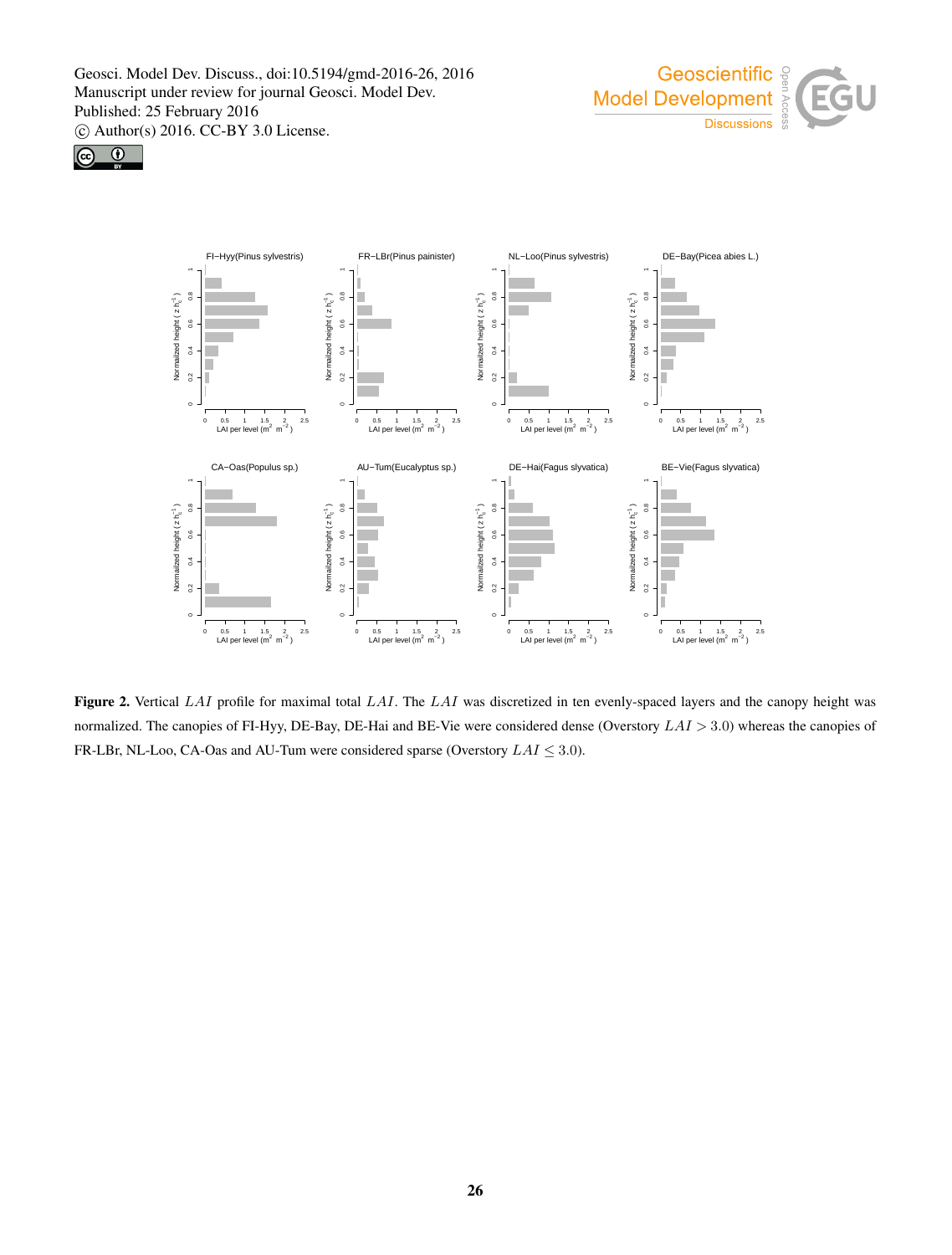





Figure 2. Vertical  $LAI$  profile for maximal total  $LAI$ . The  $LAI$  was discretized in ten evenly-spaced layers and the canopy height was normalized. The canopies of FI-Hyy, DE-Bay, DE-Hai and BE-Vie were considered dense (Overstory  $LAI > 3.0$ ) whereas the canopies of FR-LBr, NL-Loo, CA-Oas and AU-Tum were considered sparse (Overstory  $LAI \leq 3.0$ ).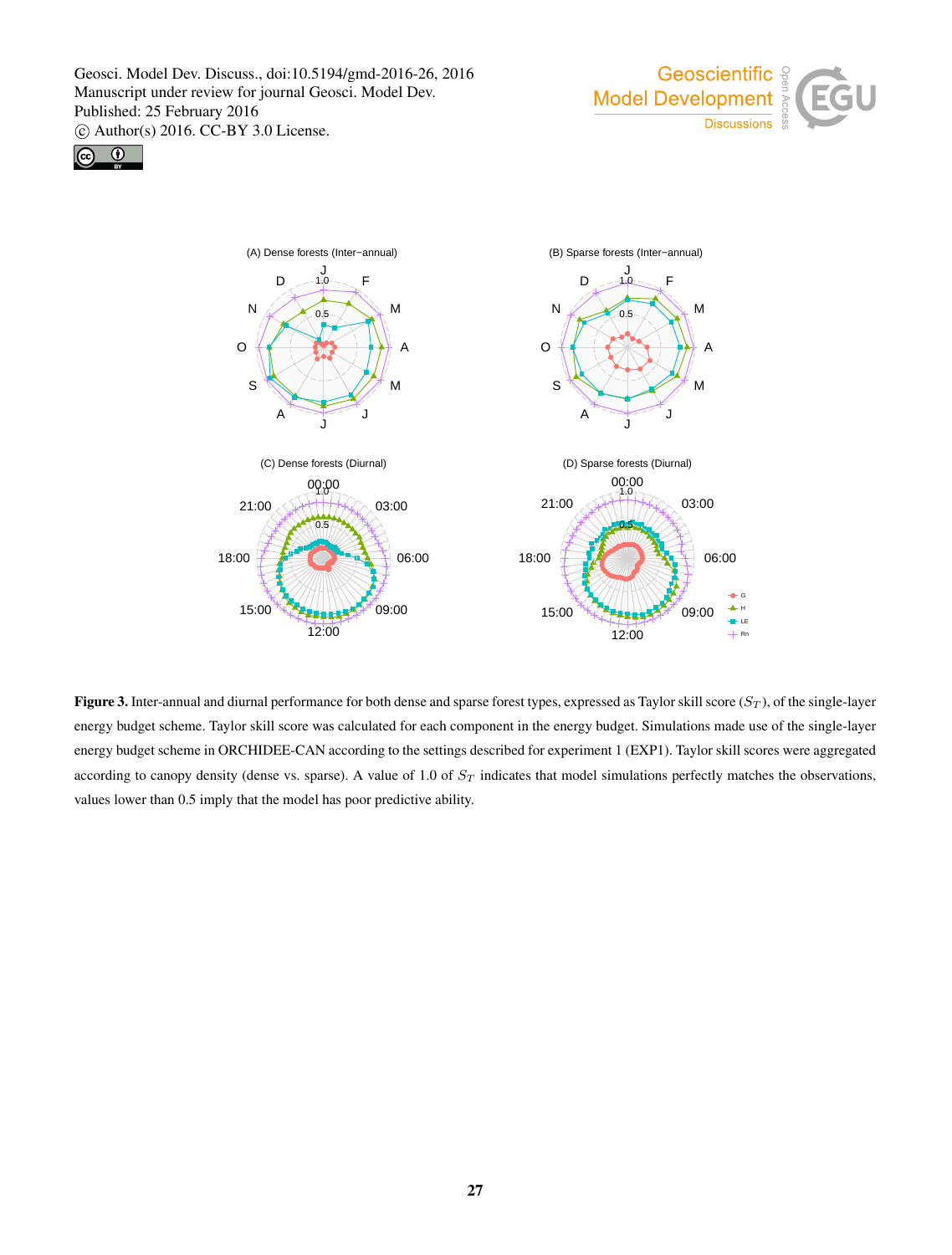





**Figure 3.** Inter-annual and diurnal performance for both dense and sparse forest types, expressed as Taylor skill score  $(S_T)$ , of the single-layer energy budget scheme. Taylor skill score was calculated for each component in the energy budget. Simulations made use of the single-layer energy budget scheme in ORCHIDEE-CAN according to the settings described for experiment 1 (EXP1). Taylor skill scores were aggregated according to canopy density (dense vs. sparse). A value of 1.0 of  $S_T$  indicates that model simulations perfectly matches the observations, values lower than 0.5 imply that the model has poor predictive ability.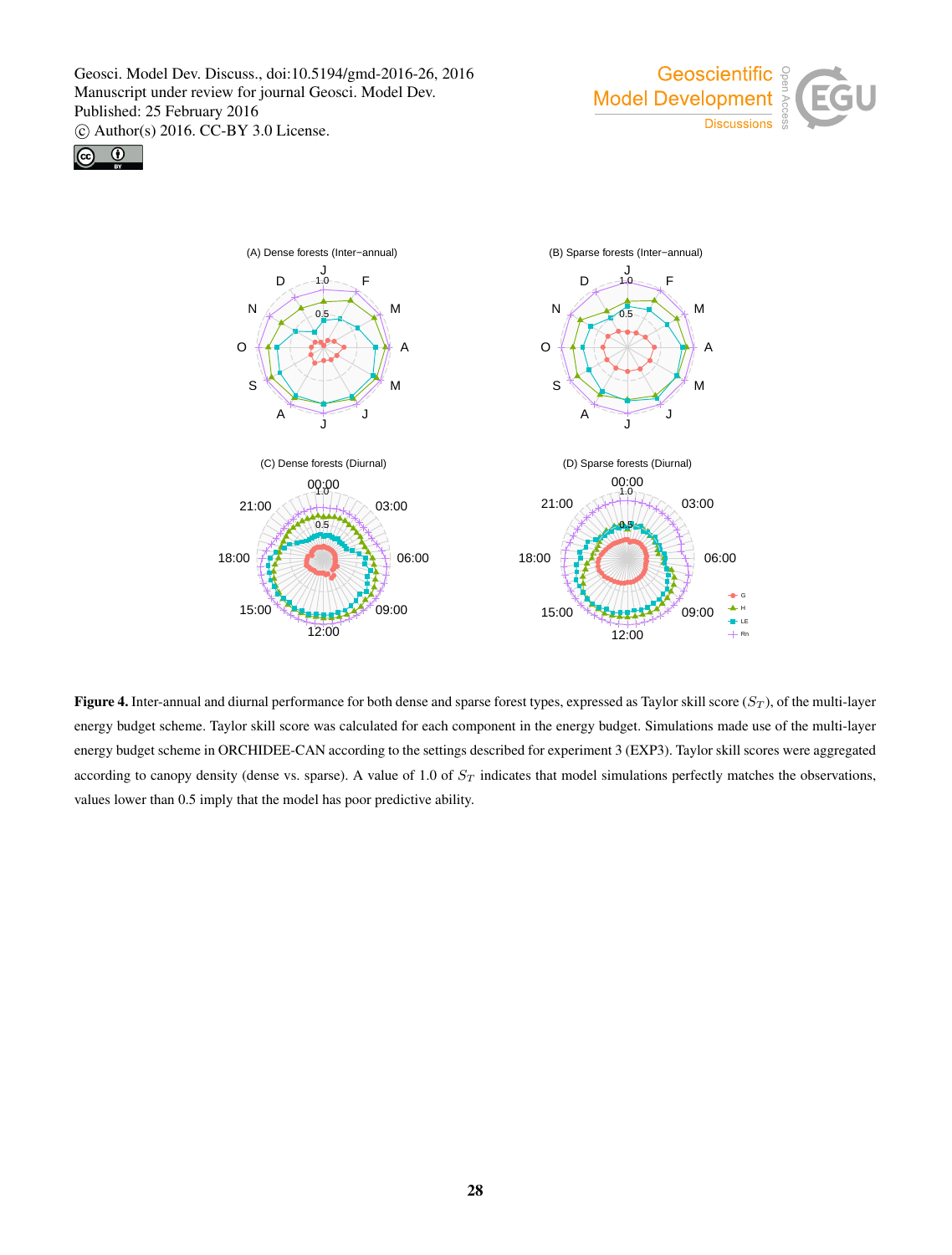





Figure 4. Inter-annual and diurnal performance for both dense and sparse forest types, expressed as Taylor skill score  $(S_T)$ , of the multi-layer energy budget scheme. Taylor skill score was calculated for each component in the energy budget. Simulations made use of the multi-layer energy budget scheme in ORCHIDEE-CAN according to the settings described for experiment 3 (EXP3). Taylor skill scores were aggregated according to canopy density (dense vs. sparse). A value of 1.0 of  $S_T$  indicates that model simulations perfectly matches the observations, values lower than 0.5 imply that the model has poor predictive ability.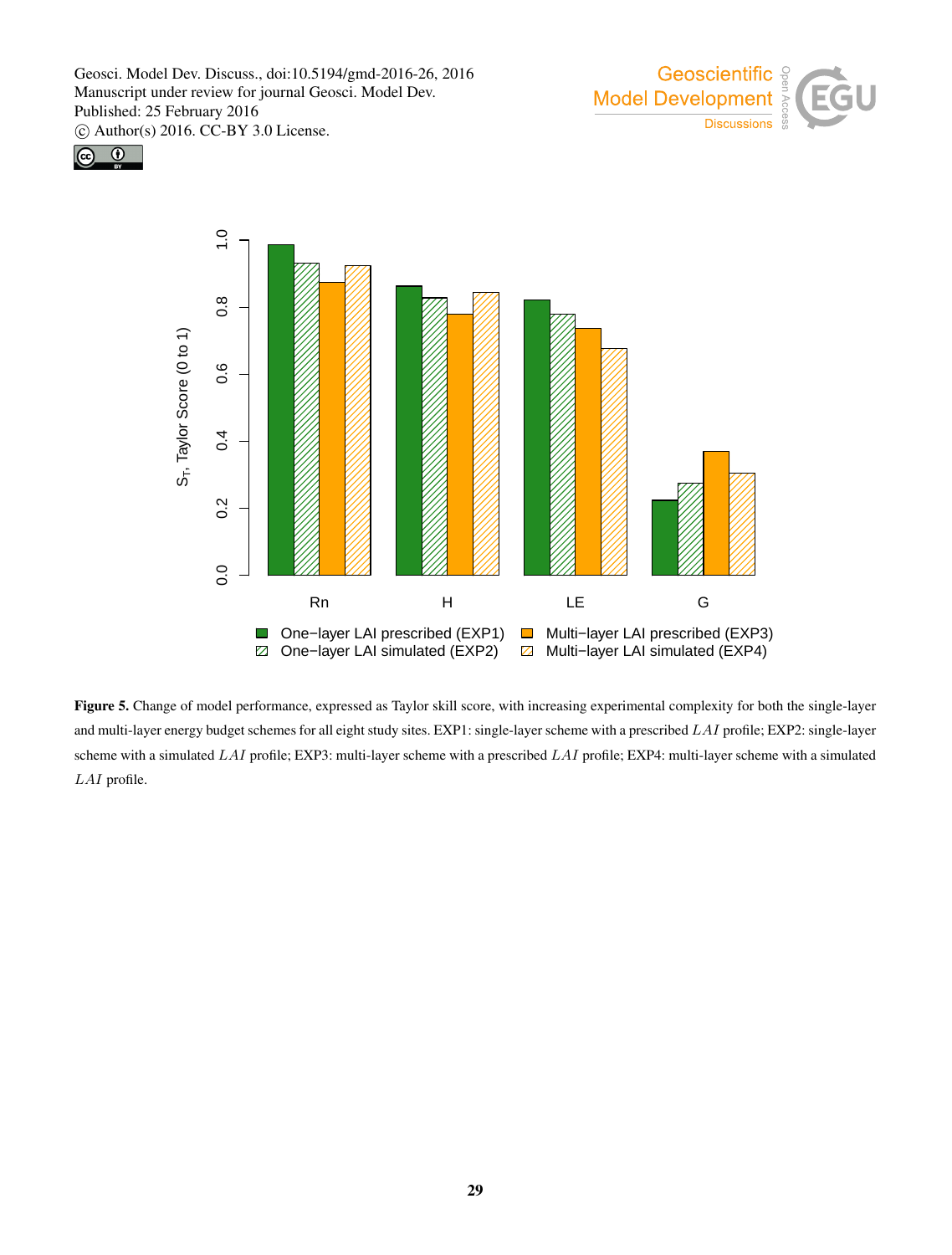





Figure 5. Change of model performance, expressed as Taylor skill score, with increasing experimental complexity for both the single-layer and multi-layer energy budget schemes for all eight study sites. EXP1: single-layer scheme with a prescribed LAI profile; EXP2: single-layer scheme with a simulated  $LAI$  profile; EXP3: multi-layer scheme with a prescribed  $LAI$  profile; EXP4: multi-layer scheme with a simulated LAI profile.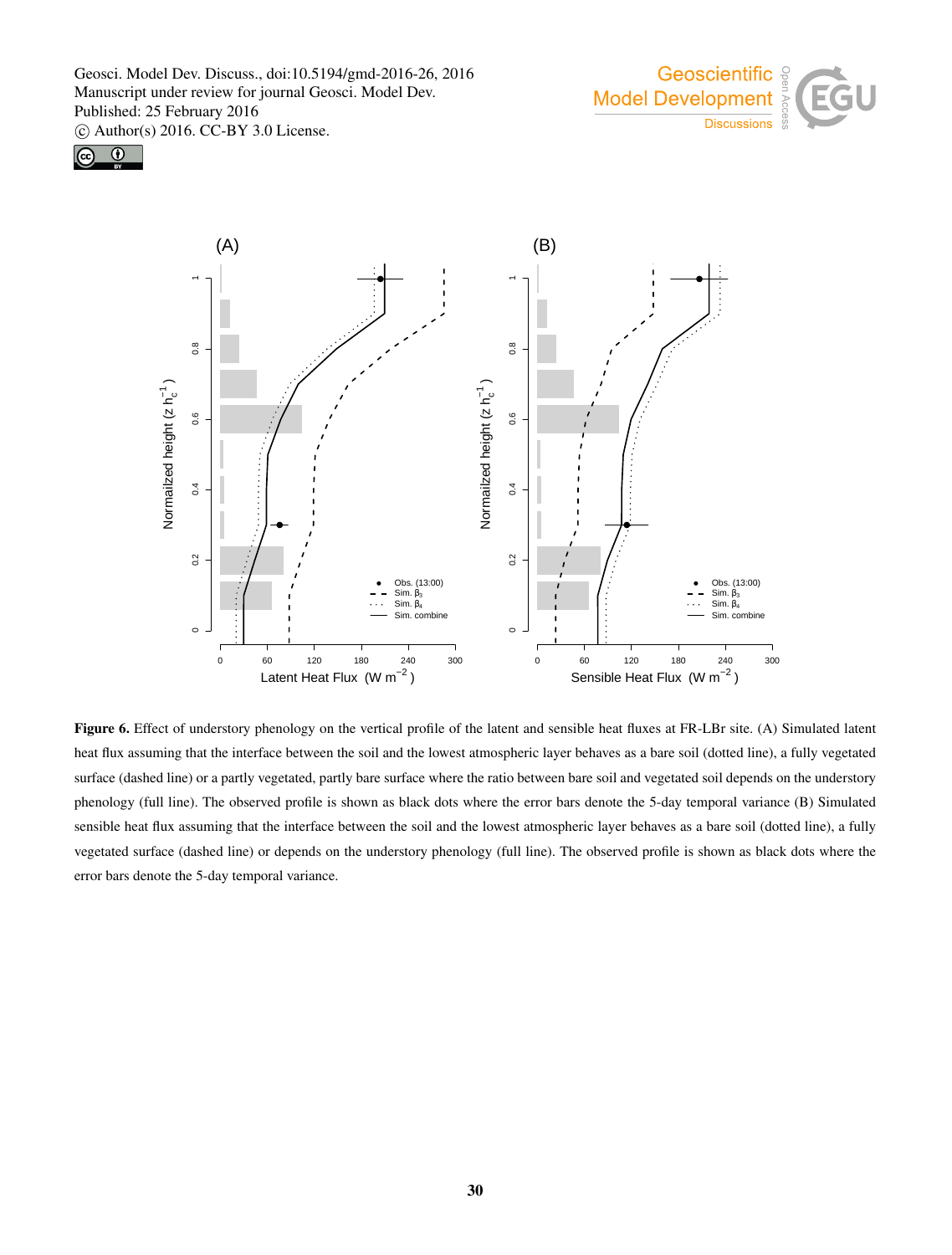





Figure 6. Effect of understory phenology on the vertical profile of the latent and sensible heat fluxes at FR-LBr site. (A) Simulated latent heat flux assuming that the interface between the soil and the lowest atmospheric layer behaves as a bare soil (dotted line), a fully vegetated surface (dashed line) or a partly vegetated, partly bare surface where the ratio between bare soil and vegetated soil depends on the understory phenology (full line). The observed profile is shown as black dots where the error bars denote the 5-day temporal variance (B) Simulated sensible heat flux assuming that the interface between the soil and the lowest atmospheric layer behaves as a bare soil (dotted line), a fully vegetated surface (dashed line) or depends on the understory phenology (full line). The observed profile is shown as black dots where the error bars denote the 5-day temporal variance.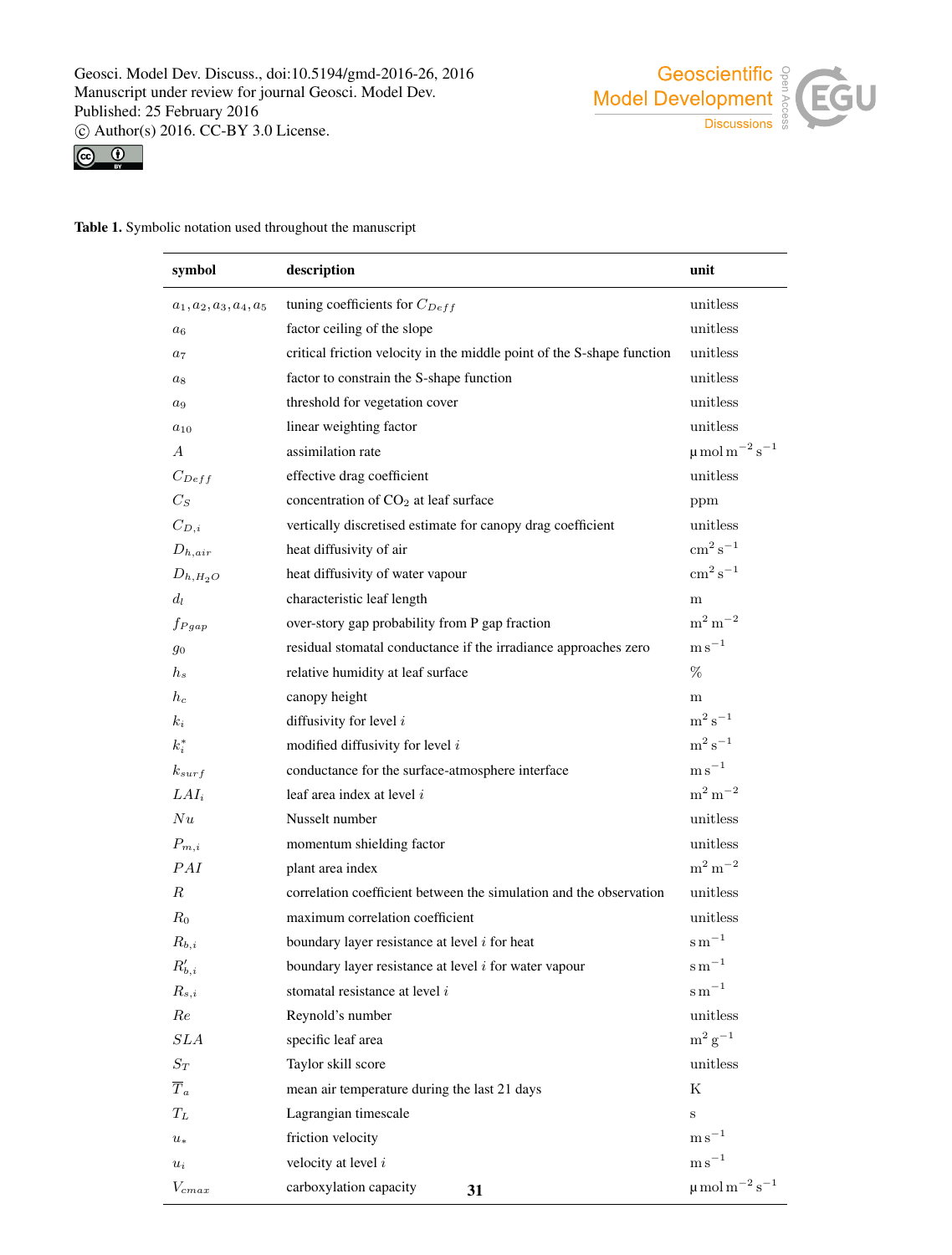





Table 1. Symbolic notation used throughout the manuscript

| symbol                    | description                                                            | unit                                      |
|---------------------------|------------------------------------------------------------------------|-------------------------------------------|
| $a_1, a_2, a_3, a_4, a_5$ | tuning coefficients for $C_{Deff}$                                     | unitless                                  |
| $a_6$                     | factor ceiling of the slope                                            | unitless                                  |
| $a_7$                     | critical friction velocity in the middle point of the S-shape function | unitless                                  |
| $a_8$                     | factor to constrain the S-shape function                               | unitless                                  |
| $a_9$                     | threshold for vegetation cover                                         | unitless                                  |
| $a_{10}$                  | linear weighting factor                                                | unitless                                  |
| $\overline{A}$            | assimilation rate                                                      | $\mu$ mol m <sup>-2</sup> s <sup>-1</sup> |
| $C_{Deff}$                | effective drag coefficient                                             | unitless                                  |
| $C_S$                     | concentration of CO <sub>2</sub> at leaf surface                       | ppm                                       |
| $C_{D,i}$                 | vertically discretised estimate for canopy drag coefficient            | unitless                                  |
| $D_{h,air}$               | heat diffusivity of air                                                | $\rm cm^2\,s^{-1}$                        |
| $D_{h,H_2O}$              | heat diffusivity of water vapour                                       | $\mathrm{cm}^2\,\mathrm{s}^{-1}$          |
| $d_l$                     | characteristic leaf length                                             | m                                         |
| $f_{Pgap}$                | over-story gap probability from P gap fraction                         | $m^2 m^{-2}$                              |
| 90                        | residual stomatal conductance if the irradiance approaches zero        | $\mathrm{m}\,\mathrm{s}^{-1}$             |
| $h_s$                     | relative humidity at leaf surface                                      | %                                         |
| $h_c$                     | canopy height                                                          | m                                         |
| $k_i$                     | diffusivity for level $i$                                              | $m^2 s^{-1}$                              |
| $k_i^*$                   | modified diffusivity for level $i$                                     | $\mathrm{m}^2\,\mathrm{s}^{-1}$           |
| $k_{surf}$                | conductance for the surface-atmosphere interface                       | $\mathrm{m\,s}^{-1}$                      |
| $LAI_i$                   | leaf area index at level $i$                                           | $m^2 m^{-2}$                              |
| Nu                        | Nusselt number                                                         | unitless                                  |
| $P_{m,i}$                 | momentum shielding factor                                              | unitless                                  |
| PAI                       | plant area index                                                       | $\rm m^2\,m^{-2}$                         |
| $\boldsymbol{R}$          | correlation coefficient between the simulation and the observation     | unitless                                  |
| $R_0$                     | maximum correlation coefficient                                        | unitless                                  |
| $R_{b,i}$                 | boundary layer resistance at level $i$ for heat                        | $\mathrm{s\,m}^{-1}$                      |
| $R'_{b,i}$                | boundary layer resistance at level $i$ for water vapour                | s <sub>m</sub>                            |
| $R_{s,i}$                 | stomatal resistance at level i                                         | $\mathrm{s\,m}^{-1}$                      |
| Re                        | Reynold's number                                                       | unitless                                  |
| SLA                       | specific leaf area                                                     | $m^2 g^{-1}$                              |
| $S_T$                     | Taylor skill score                                                     | unitless                                  |
| $\overline{T}_a$          | mean air temperature during the last 21 days                           | Κ                                         |
| $T_L$                     | Lagrangian timescale                                                   | S                                         |
| $u_{\ast}$                | friction velocity                                                      | ${\rm m\,s}^{-1}$                         |
| $u_i$                     | velocity at level $i$                                                  | $\mathrm{m\,s}^{-1}$                      |
| $V_{cmax}$                | carboxylation capacity<br>31                                           | $\mu$ mol m <sup>-2</sup> s <sup>-1</sup> |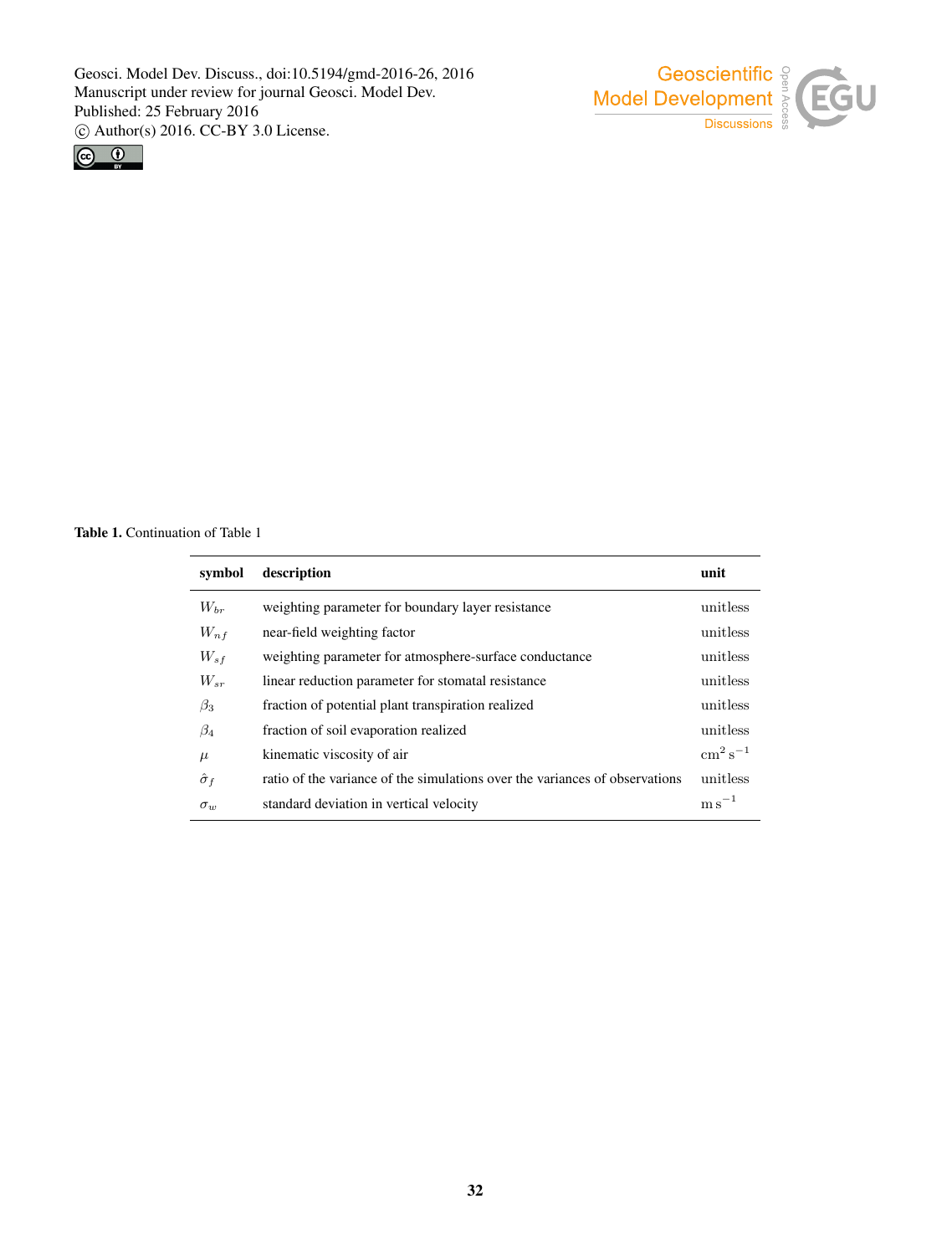



Table 1. Continuation of Table 1

| symbol           | description                                                                 | unit                          |
|------------------|-----------------------------------------------------------------------------|-------------------------------|
| $W_{hr}$         | weighting parameter for boundary layer resistance                           | unitless                      |
| $W_{n,f}$        | near-field weighting factor                                                 | unitless                      |
| $W_{sf}$         | weighting parameter for atmosphere-surface conductance                      | unitless                      |
| $W_{sr}$         | linear reduction parameter for stomatal resistance                          | unitless                      |
| $\beta_3$        | fraction of potential plant transpiration realized                          | unitless                      |
| $\beta_4$        | fraction of soil evaporation realized                                       | unitless                      |
| $\mu$            | kinematic viscosity of air                                                  | $\rm cm^2\,s^{-1}$            |
| $\hat{\sigma}_f$ | ratio of the variance of the simulations over the variances of observations | unitless                      |
| $\sigma_w$       | standard deviation in vertical velocity                                     | $\mathrm{m}\,\mathrm{s}^{-1}$ |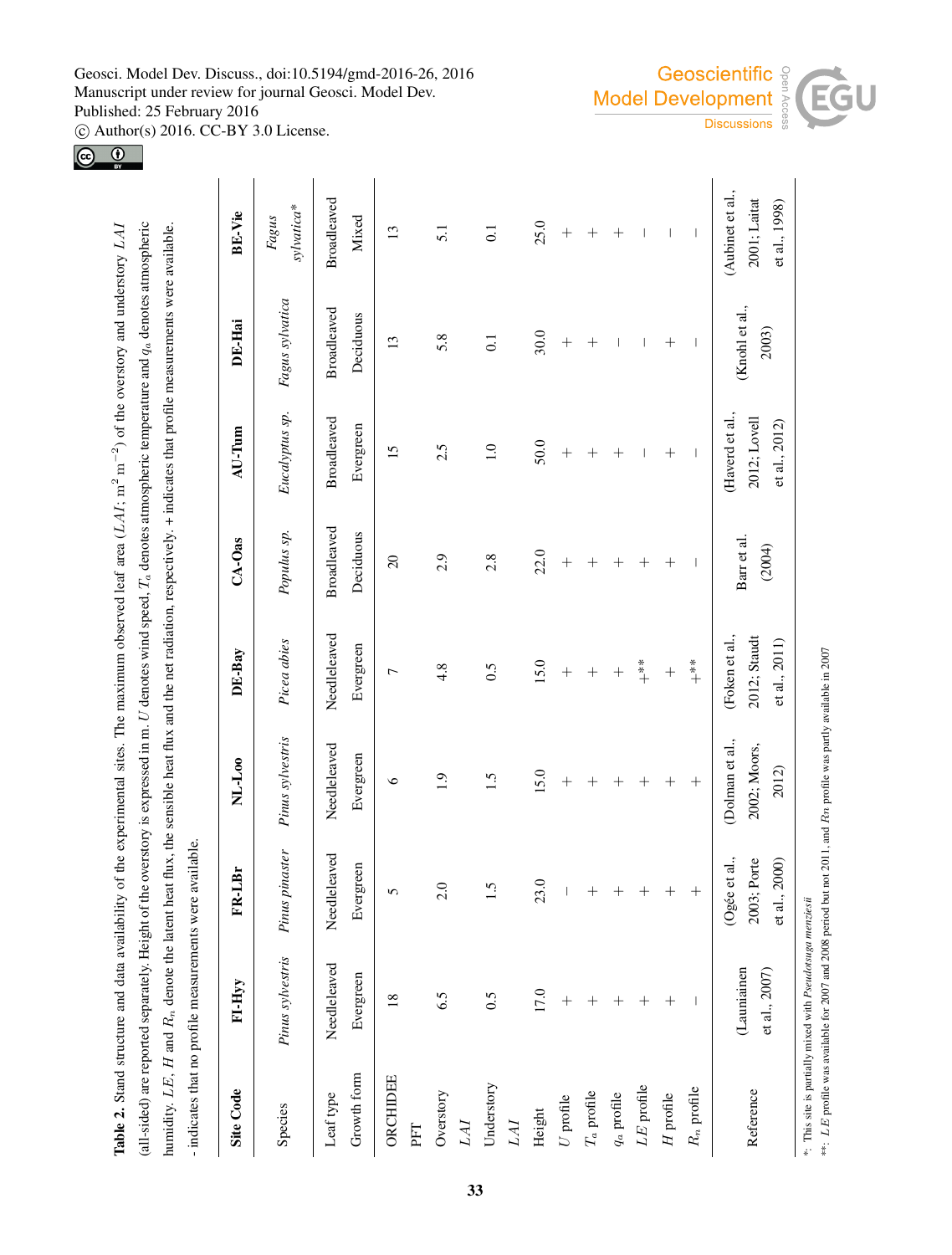Geosci. Model Dev. Discuss., doi:10.5194/gmd-2016-26, 2016 Manuscript under review for journal Geosci. Model Dev. Published: 25 February 2016

 $\overline{c}$  Author(s) 2016. CC-BY 3.0 License.<br> $\overline{c}$ 



\*\*: LE profile was available for 2007 and 2008 period but not 2011, and Rn profile was partly available in 2007

\*\*: LE profile was available for 2007 and 2008 period but not 2011, and Rn profile was partly available in 2007

Table 2. Stand structure and data availability of the experimental sites. The maximum observed leaf area (LAI; m<sup>2</sup> m<sup>-2</sup>) of the overstory and understory LAI

Table 2. Stand structure and data availability of the experimental sites. The maximum observed leaf area (LAI; m<sup>2</sup> m<sup>-2</sup>) of the overstory and understory LAI

(all-sided) are reported separately. Height of the overstory is expressed in m. U denotes wind speed,  $T_a$  denotes atmospheric temperature and  $q_a$  denotes atmospheric  $U$  denotes wind speed,

 $T_a$  denotes atmospheric temperature and  $q_a$  denotes atmospheric

(all-sided) are reported separately. Height of the overstory is expressed in m.

|                          | - indicates that no profile measurements were available.   |                                                    |                                         |                                                 |                       |                                                  |                          |                                                   |
|--------------------------|------------------------------------------------------------|----------------------------------------------------|-----------------------------------------|-------------------------------------------------|-----------------------|--------------------------------------------------|--------------------------|---------------------------------------------------|
| Site Code                | FI-Hyy                                                     | LBr<br>FR-                                         | NL-L <sub>00</sub>                      | DE-Bay                                          | $CA-Oas$              | AU-Tum                                           | DE-Hai                   | <b>BE-Vie</b>                                     |
| Species                  | Pinus sylvestris                                           | Pinus pinaster                                     | Pinus sylvestris                        | Picea abies                                     | Populus sp.           | Eucalyptus sp.                                   | Fagus sylvatica          | sylvatica*<br>Fagus                               |
| Leaf type                | Needleleaved                                               | Needleleaved                                       | Needleleaved                            | Needleleaved                                    | <b>Broadleaved</b>    | Broadleaved                                      | <b>Broadleaved</b>       | <b>Broadleaved</b>                                |
| Growth form              | Evergreen                                                  | Evergreen                                          | Evergreen                               | Evergreen                                       | Deciduous             | Evergreen                                        | Deciduous                | Mixed                                             |
| ORCHIDEE                 | $\overline{18}$                                            |                                                    | $\circ$                                 | $\overline{ }$                                  | $\Omega$              | $\overline{15}$                                  | 13                       | $\overline{13}$                                   |
| PFT                      |                                                            |                                                    |                                         |                                                 |                       |                                                  |                          |                                                   |
| Overstory<br>LAI         | 6.5                                                        | 2.0                                                | 1.9                                     | 4.8                                             | 2.9                   | 2.5                                              | 5.8                      | 5.1                                               |
| Understory               | 0.5                                                        | 5                                                  | $\ddot{1}.\ddot{5}$                     | 0.5                                             | 2.8                   | $\overline{1.0}$                                 | $\overline{0}$           | $\overline{0}$ .                                  |
| LAI                      |                                                            |                                                    |                                         |                                                 |                       |                                                  |                          |                                                   |
| Height                   | 17.0                                                       | 23.0                                               | 15.0                                    | 15.0                                            | 22.0                  | 50.0                                             | 30.0                     | 25.0                                              |
| $\boldsymbol{U}$ profile | $^{+}$                                                     |                                                    | $^{+}$                                  | $^{+}$                                          | $^{+}$                | $^{+}$                                           | $^{+}$                   | $\hspace{0.1mm} +$                                |
| $T_a$ profile            | $+$                                                        | $^{+}$                                             | $^{+}$                                  | $^{+}$                                          | $^{+}$                | $^{+}$                                           | $^{+}$                   | $^{+}$                                            |
| $q_a$ profile            | $^{+}$                                                     |                                                    |                                         | $^{+}$                                          | $^{+}$                | $^{+}$                                           | I                        | $^{+}$                                            |
| LE profile               |                                                            |                                                    | $\! +$                                  | $* *$                                           | $^{+}$                | $\overline{\phantom{a}}$                         | $\overline{\phantom{a}}$ | $\overline{\phantom{a}}$                          |
| $H$ profile              | $^{+}$                                                     |                                                    | $\! +$                                  | $^{+}$                                          | $^{+}$                | $^{+}$                                           |                          | $\overline{\phantom{a}}$                          |
| $R_n$ profile            |                                                            |                                                    | $^{+}$                                  | $\stackrel{*}{*}$ +                             | $\mathbf{I}$          | $\overline{\phantom{a}}$                         | - I                      | $\overline{\phantom{a}}$                          |
| Reference                | (Launiainen<br>et al., 2007)                               | et al.,<br>2003; Porte<br>et al., 2000)<br>$O$ gée | Dolman et al.,<br>2002; Moors,<br>2012) | (Foken et al.,<br>2012; Staudt<br>et al., 2011) | Barr et al.<br>(2004) | (Haverd et al.,<br>2012; Lovell<br>et al., 2012) | (Knohl et al.,<br>2003)  | (Aubinet et al.,<br>2001; Laitat<br>et al., 1998) |
|                          | *: This site is partially mixed with Pseudotsuga menziesii |                                                    |                                         |                                                 |                       |                                                  |                          |                                                   |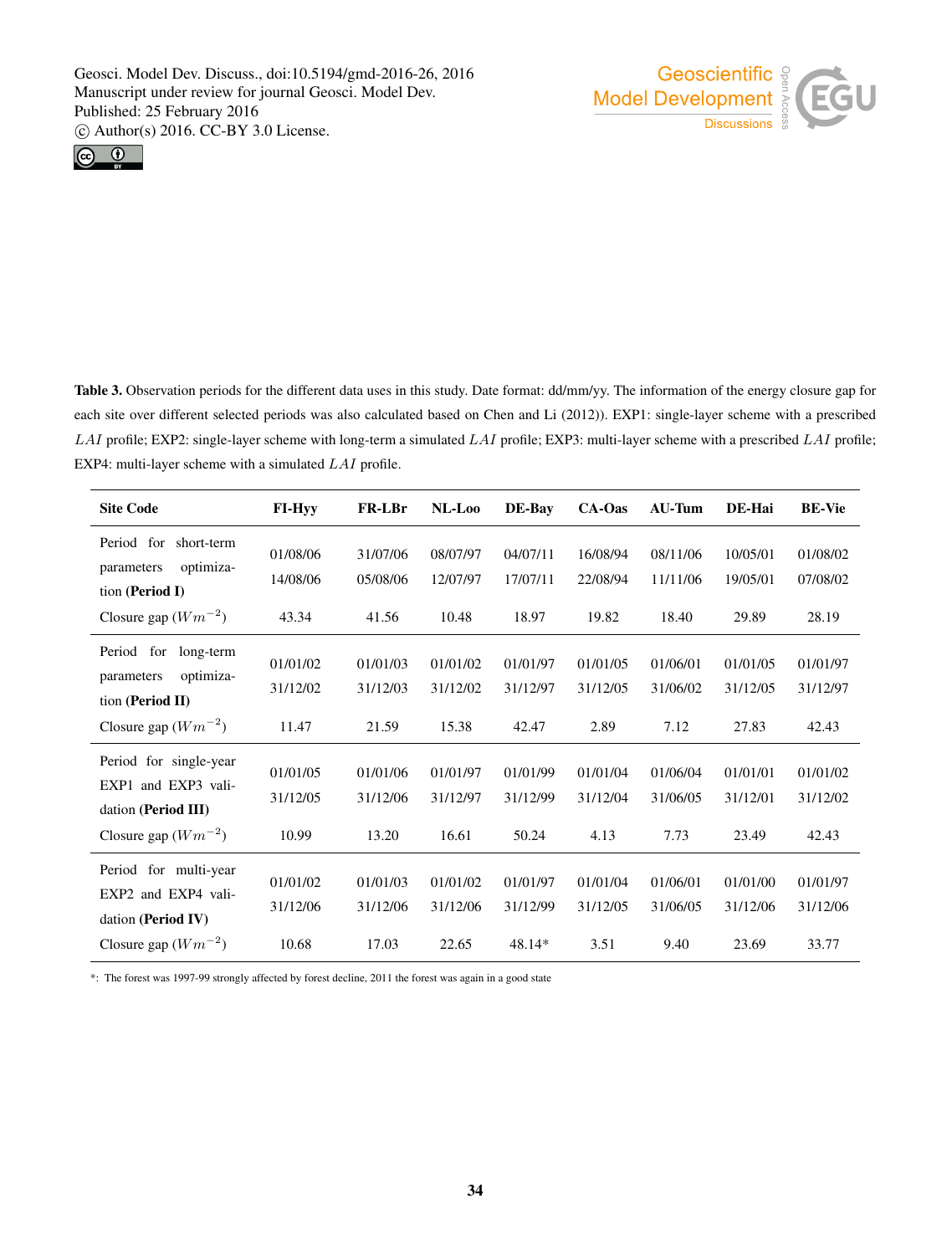



Table 3. Observation periods for the different data uses in this study. Date format: dd/mm/yy. The information of the energy closure gap for each site over different selected periods was also calculated based on Chen and Li (2012)). EXP1: single-layer scheme with a prescribed LAI profile; EXP2: single-layer scheme with long-term a simulated LAI profile; EXP3: multi-layer scheme with a prescribed LAI profile; EXP4: multi-layer scheme with a simulated LAI profile.

| <b>Site Code</b>                                                                                | <b>FI-Hyy</b>                 | <b>FR-LBr</b>                 | NL-Loo                        | DE-Bay                         | CA-Oas                       | <b>AU-Tum</b>                | DE-Hai                        | <b>BE-Vie</b>                 |
|-------------------------------------------------------------------------------------------------|-------------------------------|-------------------------------|-------------------------------|--------------------------------|------------------------------|------------------------------|-------------------------------|-------------------------------|
| Period for<br>short-term<br>optimiza-<br>parameters<br>tion (Period I)                          | 01/08/06<br>14/08/06          | 31/07/06<br>05/08/06          | 08/07/97<br>12/07/97          | 04/07/11<br>17/07/11           | 16/08/94<br>22/08/94         | 08/11/06<br>11/11/06         | 10/05/01<br>19/05/01          | 01/08/02<br>07/08/02          |
| Closure gap $(Wm^{-2})$                                                                         | 43.34                         | 41.56                         | 10.48                         | 18.97                          | 19.82                        | 18.40                        | 29.89                         | 28.19                         |
| Period for<br>long-term<br>optimiza-<br>parameters<br>tion (Period II)                          | 01/01/02<br>31/12/02          | 01/01/03<br>31/12/03          | 01/01/02<br>31/12/02          | 01/01/97<br>31/12/97           | 01/01/05<br>31/12/05         | 01/06/01<br>31/06/02         | 01/01/05<br>31/12/05          | 01/01/97<br>31/12/97          |
| Closure gap $(Wm^{-2})$                                                                         | 11.47                         | 21.59                         | 15.38                         | 42.47                          | 2.89                         | 7.12                         | 27.83                         | 42.43                         |
| Period for single-year<br>EXP1 and EXP3 vali-<br>dation (Period III)<br>Closure gap $(Wm^{-2})$ | 01/01/05<br>31/12/05<br>10.99 | 01/01/06<br>31/12/06<br>13.20 | 01/01/97<br>31/12/97<br>16.61 | 01/01/99<br>31/12/99<br>50.24  | 01/01/04<br>31/12/04<br>4.13 | 01/06/04<br>31/06/05<br>7.73 | 01/01/01<br>31/12/01<br>23.49 | 01/01/02<br>31/12/02<br>42.43 |
| Period for multi-year<br>EXP2 and EXP4 vali-<br>dation (Period IV)<br>Closure gap $(Wm^{-2})$   | 01/01/02<br>31/12/06<br>10.68 | 01/01/03<br>31/12/06<br>17.03 | 01/01/02<br>31/12/06<br>22.65 | 01/01/97<br>31/12/99<br>48.14* | 01/01/04<br>31/12/05<br>3.51 | 01/06/01<br>31/06/05<br>9.40 | 01/01/00<br>31/12/06<br>23.69 | 01/01/97<br>31/12/06<br>33.77 |

\*: The forest was 1997-99 strongly affected by forest decline, 2011 the forest was again in a good state